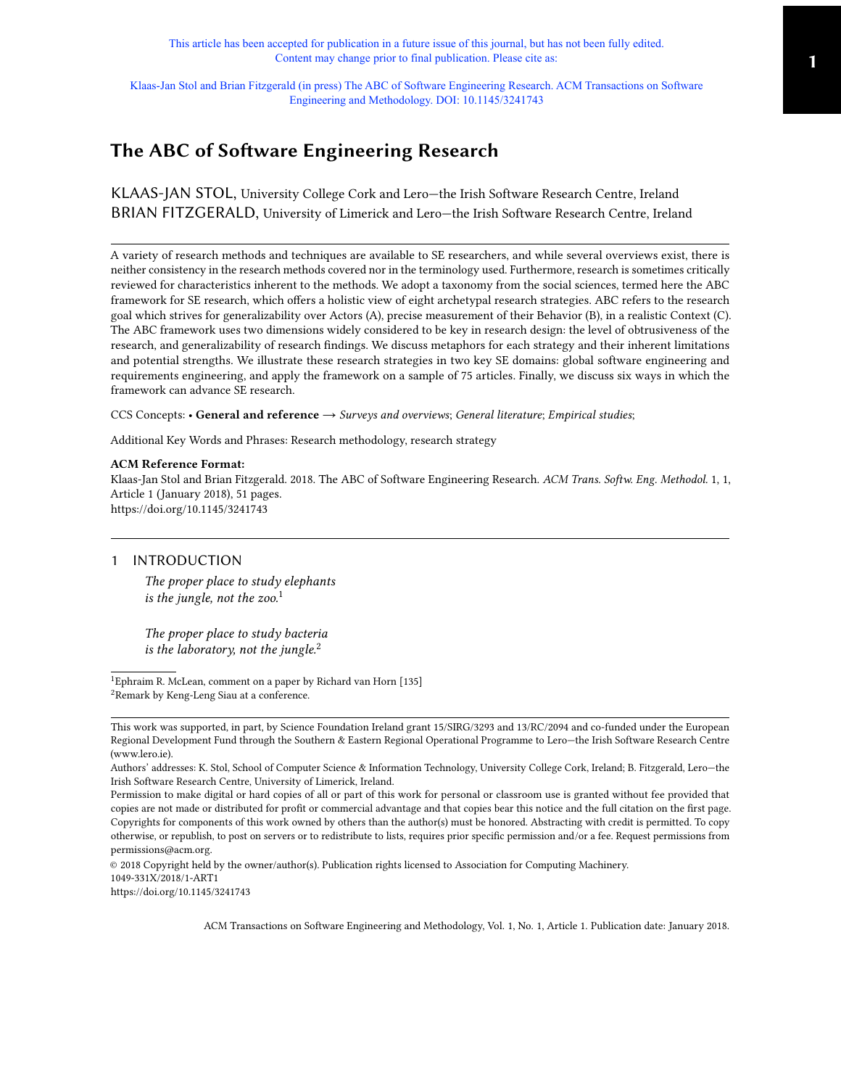This article has been accepted for publication in a future issue of this journal, but has not been fully edited. Content may change prior to final publication. Please cite as:

Klaas-Jan Stol and Brian Fitzgerald (in press) The ABC of Software Engineering Research. ACM Transactions on Software Engineering and Methodology. DOI: 10.1145/3241743

# The ABC of Software Engineering Research

KLAAS-JAN STOL, University College Cork and Lero—the Irish Software Research Centre, Ireland BRIAN FITZGERALD, University of Limerick and Lero—the Irish Software Research Centre, Ireland

A variety of research methods and techniques are available to SE researchers, and while several overviews exist, there is neither consistency in the research methods covered nor in the terminology used. Furthermore, research is sometimes critically reviewed for characteristics inherent to the methods. We adopt a taxonomy from the social sciences, termed here the ABC framework for SE research, which offers a holistic view of eight archetypal research strategies. ABC refers to the research goal which strives for generalizability over Actors (A), precise measurement of their Behavior (B), in a realistic Context (C). The ABC framework uses two dimensions widely considered to be key in research design: the level of obtrusiveness of the research, and generalizability of research findings. We discuss metaphors for each strategy and their inherent limitations and potential strengths. We illustrate these research strategies in two key SE domains: global software engineering and requirements engineering, and apply the framework on a sample of 75 articles. Finally, we discuss six ways in which the framework can advance SE research.

CCS Concepts: • General and reference  $\rightarrow$  Surveys and overviews; General literature; Empirical studies;

Additional Key Words and Phrases: Research methodology, research strategy

#### ACM Reference Format:

Klaas-Jan Stol and Brian Fitzgerald. 2018. The ABC of Software Engineering Research. ACM Trans. Softw. Eng. Methodol. 1, 1, Article 1 (January 2018), [51](#page-50-0) pages. <https://doi.org/10.1145/3241743>

## <span id="page-0-2"></span>1 INTRODUCTION

The proper place to study elephants is the jungle, not the zoo.<sup>[1](#page-0-0)</sup>

The proper place to study bacteria is the laboratory, not the jungle. $^2$  $^2$ 

© 2018 Copyright held by the owner/author(s). Publication rights licensed to Association for Computing Machinery. 1049-331X/2018/1-ART1 <https://doi.org/10.1145/3241743>

<span id="page-0-1"></span><span id="page-0-0"></span><sup>&</sup>lt;sup>1</sup>Ephraim R. McLean, comment on a paper by Richard van Horn [\[135\]](#page-47-0) <sup>2</sup>Remark by Keng-Leng Siau at a conference.

This work was supported, in part, by Science Foundation Ireland grant 15/SIRG/3293 and 13/RC/2094 and co-funded under the European Regional Development Fund through the Southern & Eastern Regional Operational Programme to Lero—the Irish Software Research Centre (www.lero.ie).

Authors' addresses: K. Stol, School of Computer Science & Information Technology, University College Cork, Ireland; B. Fitzgerald, Lero—the Irish Software Research Centre, University of Limerick, Ireland.

Permission to make digital or hard copies of all or part of this work for personal or classroom use is granted without fee provided that copies are not made or distributed for profit or commercial advantage and that copies bear this notice and the full citation on the first page. Copyrights for components of this work owned by others than the author(s) must be honored. Abstracting with credit is permitted. To copy otherwise, or republish, to post on servers or to redistribute to lists, requires prior specific permission and/or a fee. Request permissions from permissions@acm.org.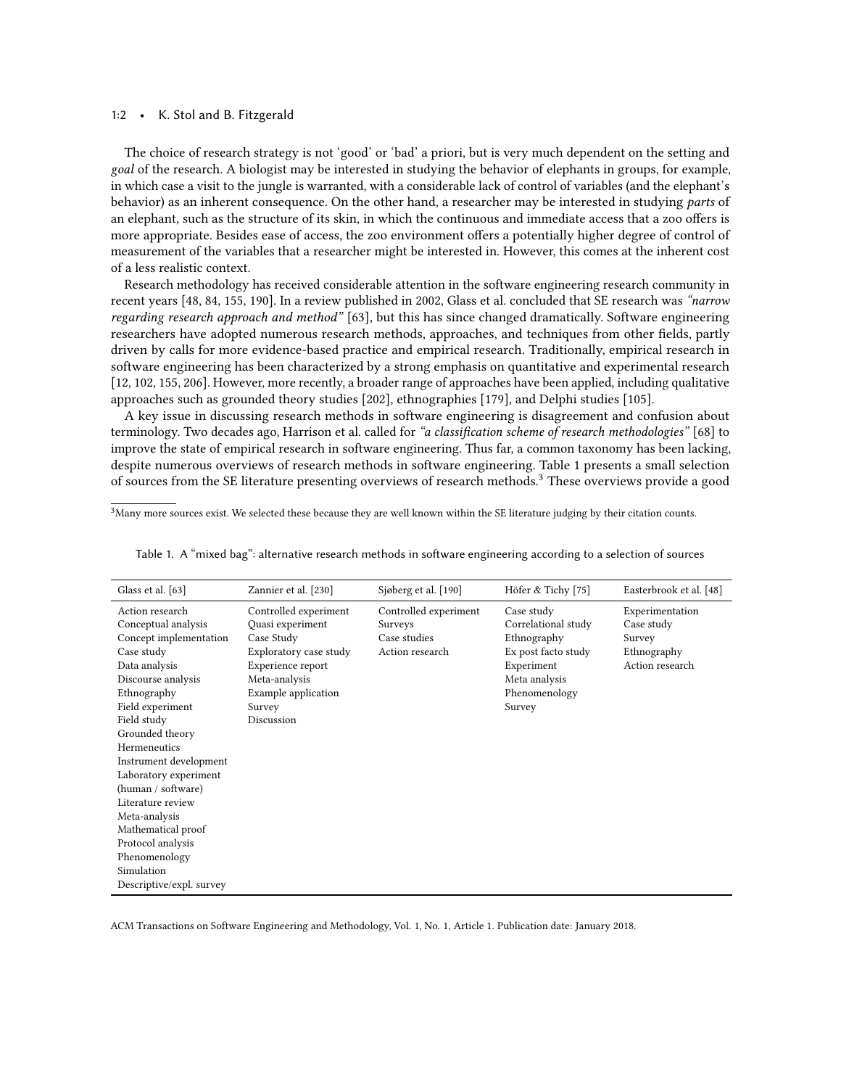#### 1:2 • K. Stol and B. Fitzgerald

The choice of research strategy is not 'good' or 'bad' a priori, but is very much dependent on the setting and goal of the research. A biologist may be interested in studying the behavior of elephants in groups, for example, in which case a visit to the jungle is warranted, with a considerable lack of control of variables (and the elephant's behavior) as an inherent consequence. On the other hand, a researcher may be interested in studying parts of an elephant, such as the structure of its skin, in which the continuous and immediate access that a zoo offers is more appropriate. Besides ease of access, the zoo environment offers a potentially higher degree of control of measurement of the variables that a researcher might be interested in. However, this comes at the inherent cost of a less realistic context.

Research methodology has received considerable attention in the software engineering research community in recent years [\[48,](#page-44-0) [84,](#page-45-0) [155,](#page-47-1) [190\]](#page-48-0). In a review published in 2002, Glass et al. concluded that SE research was "narrow regarding research approach and method" [\[63\]](#page-44-1), but this has since changed dramatically. Software engineering researchers have adopted numerous research methods, approaches, and techniques from other fields, partly driven by calls for more evidence-based practice and empirical research. Traditionally, empirical research in software engineering has been characterized by a strong emphasis on quantitative and experimental research [\[12,](#page-43-0) [102,](#page-46-0) [155,](#page-47-1) [206\]](#page-49-0). However, more recently, a broader range of approaches have been applied, including qualitative approaches such as grounded theory studies [\[202\]](#page-49-1), ethnographies [\[179\]](#page-48-1), and Delphi studies [\[105\]](#page-46-1).

A key issue in discussing research methods in software engineering is disagreement and confusion about terminology. Two decades ago, Harrison et al. called for "a classification scheme of research methodologies" [\[68\]](#page-44-2) to improve the state of empirical research in software engineering. Thus far, a common taxonomy has been lacking, despite numerous overviews of research methods in software engineering. Table [1](#page-1-0) presents a small selection of sources from the SE literature presenting overviews of research methods.[3](#page-1-1) These overviews provide a good

<span id="page-1-1"></span> $3$ Many more sources exist. We selected these because they are well known within the SE literature judging by their citation counts.

| Glass et al. [63]                                                                                                                                                                                                                                                                                                                                                                                                               | Zannier et al. [230]                                                                                                                                                   | Sjøberg et al. [190]                                                | Höfer & Tichy [75]                                                                                                                | Easterbrook et al. [48]                                                   |
|---------------------------------------------------------------------------------------------------------------------------------------------------------------------------------------------------------------------------------------------------------------------------------------------------------------------------------------------------------------------------------------------------------------------------------|------------------------------------------------------------------------------------------------------------------------------------------------------------------------|---------------------------------------------------------------------|-----------------------------------------------------------------------------------------------------------------------------------|---------------------------------------------------------------------------|
| Action research<br>Conceptual analysis<br>Concept implementation<br>Case study<br>Data analysis<br>Discourse analysis<br>Ethnography<br>Field experiment<br>Field study<br>Grounded theory<br>Hermeneutics<br>Instrument development<br>Laboratory experiment<br>(human / software)<br>Literature review<br>Meta-analysis<br>Mathematical proof<br>Protocol analysis<br>Phenomenology<br>Simulation<br>Descriptive/expl. survey | Controlled experiment<br>Quasi experiment<br>Case Study<br>Exploratory case study<br>Experience report<br>Meta-analysis<br>Example application<br>Survey<br>Discussion | Controlled experiment<br>Surveys<br>Case studies<br>Action research | Case study<br>Correlational study<br>Ethnography<br>Ex post facto study<br>Experiment<br>Meta analysis<br>Phenomenology<br>Survey | Experimentation<br>Case study<br>Survey<br>Ethnography<br>Action research |

<span id="page-1-0"></span>Table 1. A "mixed bag": alternative research methods in software engineering according to a selection of sources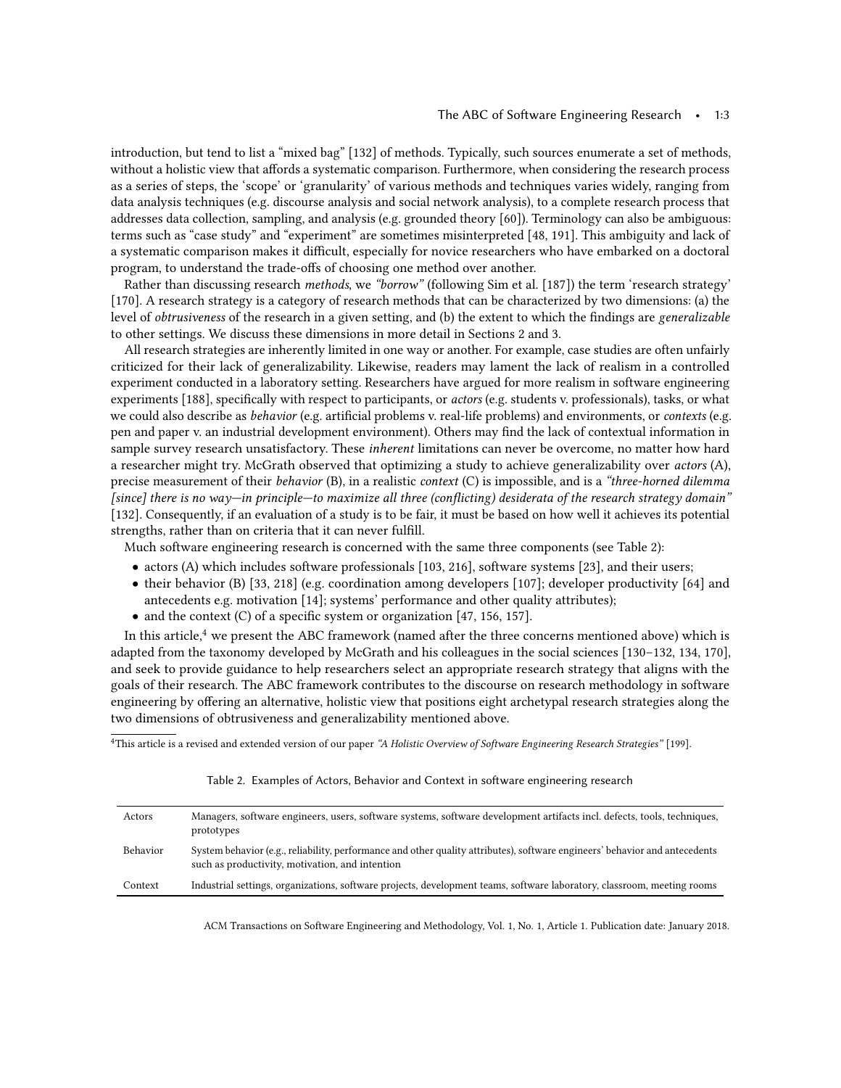introduction, but tend to list a "mixed bag" [\[132\]](#page-47-2) of methods. Typically, such sources enumerate a set of methods, without a holistic view that affords a systematic comparison. Furthermore, when considering the research process as a series of steps, the 'scope' or 'granularity' of various methods and techniques varies widely, ranging from data analysis techniques (e.g. discourse analysis and social network analysis), to a complete research process that addresses data collection, sampling, and analysis (e.g. grounded theory [\[60\]](#page-44-3)). Terminology can also be ambiguous: terms such as "case study" and "experiment" are sometimes misinterpreted [\[48,](#page-44-0) [191\]](#page-48-2). This ambiguity and lack of a systematic comparison makes it difficult, especially for novice researchers who have embarked on a doctoral program, to understand the trade-offs of choosing one method over another.

Rather than discussing research methods, we "borrow" (following Sim et al. [\[187\]](#page-48-3)) the term 'research strategy' [\[170\]](#page-48-4). A research strategy is a category of research methods that can be characterized by two dimensions: (a) the level of obtrusiveness of the research in a given setting, and (b) the extent to which the findings are generalizable to other settings. We discuss these dimensions in more detail in Sections [2](#page-4-0) and [3.](#page-9-0)

All research strategies are inherently limited in one way or another. For example, case studies are often unfairly criticized for their lack of generalizability. Likewise, readers may lament the lack of realism in a controlled experiment conducted in a laboratory setting. Researchers have argued for more realism in software engineering experiments [\[188\]](#page-48-5), specifically with respect to participants, or actors (e.g. students v. professionals), tasks, or what we could also describe as *behavior* (e.g. artificial problems v. real-life problems) and environments, or *contexts* (e.g. pen and paper v. an industrial development environment). Others may find the lack of contextual information in sample survey research unsatisfactory. These *inherent* limitations can never be overcome, no matter how hard a researcher might try. McGrath observed that optimizing a study to achieve generalizability over actors (A), precise measurement of their *behavior* (B), in a realistic *context* (C) is impossible, and is a "*three-horned dilemma* [since] there is no way—in principle—to maximize all three (conflicting) desiderata of the research strategy domain" [\[132\]](#page-47-2). Consequently, if an evaluation of a study is to be fair, it must be based on how well it achieves its potential strengths, rather than on criteria that it can never fulfill.

Much software engineering research is concerned with the same three components (see Table [2\)](#page-2-0):

- actors (A) which includes software professionals [\[103,](#page-46-2) [216\]](#page-49-2), software systems [\[23\]](#page-43-1), and their users;
- their behavior (B) [\[33,](#page-43-2) [218\]](#page-49-3) (e.g. coordination among developers [\[107\]](#page-46-3); developer productivity [\[64\]](#page-44-4) and antecedents e.g. motivation [\[14\]](#page-43-3); systems' performance and other quality attributes);
- and the context (C) of a specific system or organization [\[47,](#page-44-5) [156,](#page-47-3) [157\]](#page-47-4).

In this article,<sup>[4](#page-2-1)</sup> we present the ABC framework (named after the three concerns mentioned above) which is adapted from the taxonomy developed by McGrath and his colleagues in the social sciences [\[130–](#page-46-4)[132,](#page-47-2) [134,](#page-47-5) [170\]](#page-48-4), and seek to provide guidance to help researchers select an appropriate research strategy that aligns with the goals of their research. The ABC framework contributes to the discourse on research methodology in software engineering by offering an alternative, holistic view that positions eight archetypal research strategies along the two dimensions of obtrusiveness and generalizability mentioned above.

<span id="page-2-1"></span><span id="page-2-0"></span><sup>4</sup>This article is a revised and extended version of our paper "A Holistic Overview of Software Engineering Research Strategies" [\[199\]](#page-49-4).

| Actors          | Managers, software engineers, users, software systems, software development artifacts incl. defects, tools, techniques,<br>prototypes                                          |
|-----------------|--------------------------------------------------------------------------------------------------------------------------------------------------------------------------------|
| <b>Behavior</b> | System behavior (e.g., reliability, performance and other quality attributes), software engineers' behavior and antecedents<br>such as productivity, motivation, and intention |
| Context         | Industrial settings, organizations, software projects, development teams, software laboratory, classroom, meeting rooms                                                        |

|  | Table 2. Examples of Actors, Behavior and Context in software engineering research |  |  |  |  |  |  |  |
|--|------------------------------------------------------------------------------------|--|--|--|--|--|--|--|
|--|------------------------------------------------------------------------------------|--|--|--|--|--|--|--|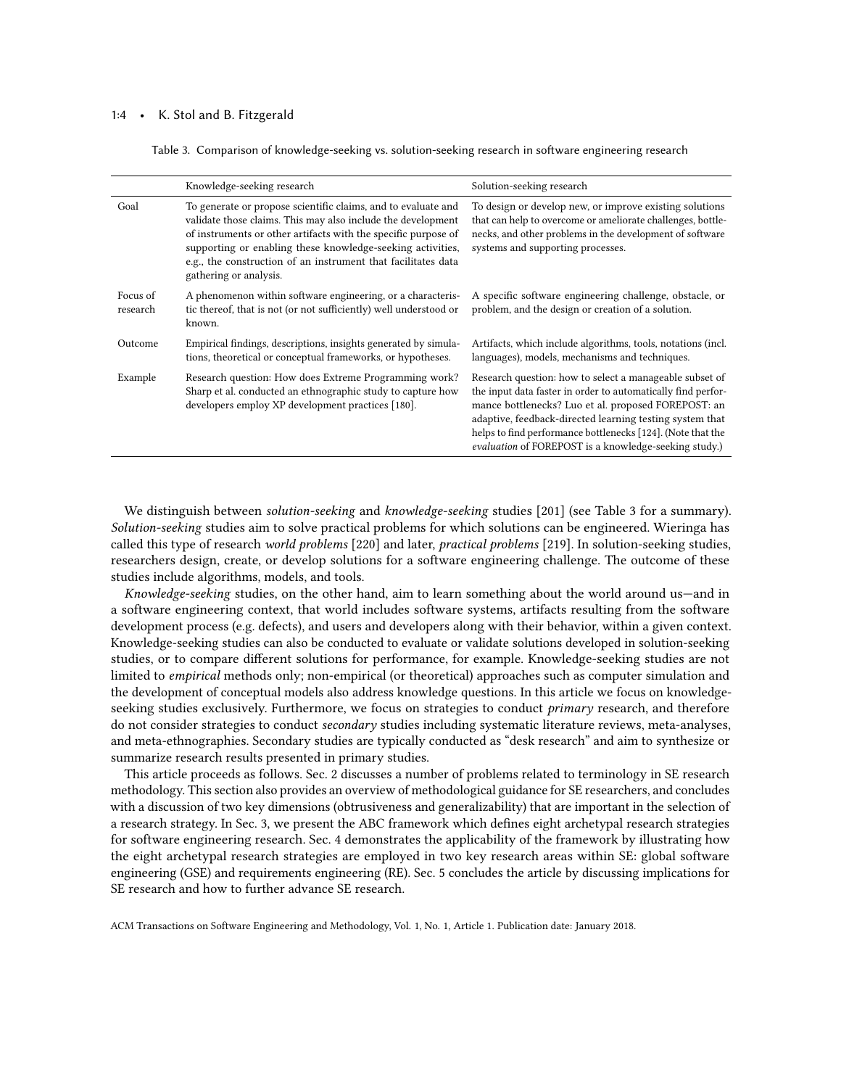#### <span id="page-3-0"></span>1:4 • K. Stol and B. Fitzgerald

Table 3. Comparison of knowledge-seeking vs. solution-seeking research in software engineering research

|                      | Knowledge-seeking research                                                                                                                                                                                                                                                                                                                               | Solution-seeking research                                                                                                                                                                                                                                                                                                                                          |
|----------------------|----------------------------------------------------------------------------------------------------------------------------------------------------------------------------------------------------------------------------------------------------------------------------------------------------------------------------------------------------------|--------------------------------------------------------------------------------------------------------------------------------------------------------------------------------------------------------------------------------------------------------------------------------------------------------------------------------------------------------------------|
| Goal                 | To generate or propose scientific claims, and to evaluate and<br>validate those claims. This may also include the development<br>of instruments or other artifacts with the specific purpose of<br>supporting or enabling these knowledge-seeking activities,<br>e.g., the construction of an instrument that facilitates data<br>gathering or analysis. | To design or develop new, or improve existing solutions<br>that can help to overcome or ameliorate challenges, bottle-<br>necks, and other problems in the development of software<br>systems and supporting processes.                                                                                                                                            |
| Focus of<br>research | A phenomenon within software engineering, or a characteris-<br>tic thereof, that is not (or not sufficiently) well understood or<br>known.                                                                                                                                                                                                               | A specific software engineering challenge, obstacle, or<br>problem, and the design or creation of a solution.                                                                                                                                                                                                                                                      |
| Outcome              | Empirical findings, descriptions, insights generated by simula-<br>tions, theoretical or conceptual frameworks, or hypotheses.                                                                                                                                                                                                                           | Artifacts, which include algorithms, tools, notations (incl.<br>languages), models, mechanisms and techniques.                                                                                                                                                                                                                                                     |
| Example              | Research question: How does Extreme Programming work?<br>Sharp et al. conducted an ethnographic study to capture how<br>developers employ XP development practices [180].                                                                                                                                                                                | Research question: how to select a manageable subset of<br>the input data faster in order to automatically find perfor-<br>mance bottlenecks? Luo et al. proposed FOREPOST: an<br>adaptive, feedback-directed learning testing system that<br>helps to find performance bottlenecks [124]. (Note that the<br>evaluation of FOREPOST is a knowledge-seeking study.) |

We distinguish between solution-seeking and knowledge-seeking studies [\[201\]](#page-49-5) (see Table [3](#page-3-0) for a summary). Solution-seeking studies aim to solve practical problems for which solutions can be engineered. Wieringa has called this type of research world problems [\[220\]](#page-49-6) and later, practical problems [\[219\]](#page-49-7). In solution-seeking studies, researchers design, create, or develop solutions for a software engineering challenge. The outcome of these studies include algorithms, models, and tools.

Knowledge-seeking studies, on the other hand, aim to learn something about the world around us—and in a software engineering context, that world includes software systems, artifacts resulting from the software development process (e.g. defects), and users and developers along with their behavior, within a given context. Knowledge-seeking studies can also be conducted to evaluate or validate solutions developed in solution-seeking studies, or to compare different solutions for performance, for example. Knowledge-seeking studies are not limited to empirical methods only; non-empirical (or theoretical) approaches such as computer simulation and the development of conceptual models also address knowledge questions. In this article we focus on knowledgeseeking studies exclusively. Furthermore, we focus on strategies to conduct primary research, and therefore do not consider strategies to conduct secondary studies including systematic literature reviews, meta-analyses, and meta-ethnographies. Secondary studies are typically conducted as "desk research" and aim to synthesize or summarize research results presented in primary studies.

This article proceeds as follows. Sec. [2](#page-4-0) discusses a number of problems related to terminology in SE research methodology. This section also provides an overview of methodological guidance for SE researchers, and concludes with a discussion of two key dimensions (obtrusiveness and generalizability) that are important in the selection of a research strategy. In Sec. [3,](#page-9-0) we present the ABC framework which defines eight archetypal research strategies for software engineering research. Sec. [4](#page-17-0) demonstrates the applicability of the framework by illustrating how the eight archetypal research strategies are employed in two key research areas within SE: global software engineering (GSE) and requirements engineering (RE). Sec. [5](#page-27-0) concludes the article by discussing implications for SE research and how to further advance SE research.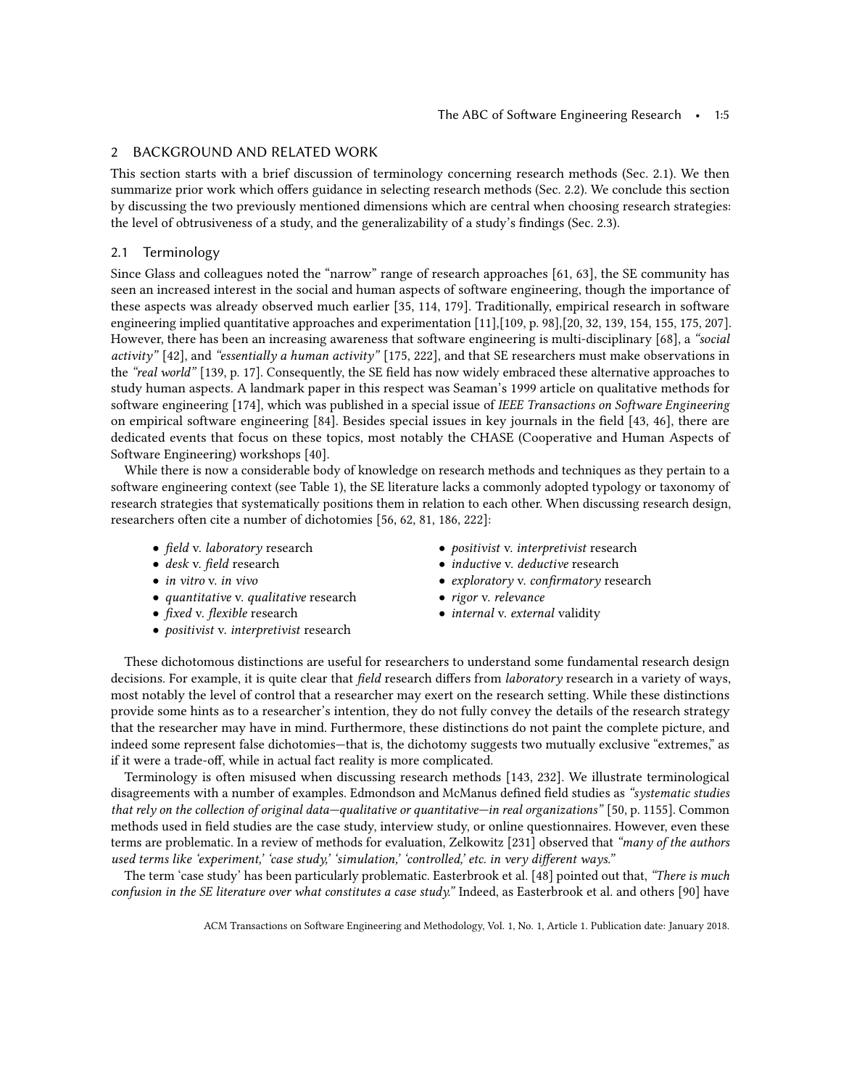## <span id="page-4-0"></span>2 BACKGROUND AND RELATED WORK

This section starts with a brief discussion of terminology concerning research methods (Sec. [2.1\)](#page-4-1). We then summarize prior work which offers guidance in selecting research methods (Sec. [2.2\)](#page-6-0). We conclude this section by discussing the two previously mentioned dimensions which are central when choosing research strategies: the level of obtrusiveness of a study, and the generalizability of a study's findings (Sec. [2.3\)](#page-8-0).

## <span id="page-4-1"></span>2.1 Terminology

Since Glass and colleagues noted the "narrow" range of research approaches [\[61,](#page-44-6) [63\]](#page-44-1), the SE community has seen an increased interest in the social and human aspects of software engineering, though the importance of these aspects was already observed much earlier [\[35,](#page-43-4) [114,](#page-46-6) [179\]](#page-48-1). Traditionally, empirical research in software engineering implied quantitative approaches and experimentation [\[11\]](#page-43-5),[\[109,](#page-46-7) p. 98],[\[20,](#page-43-6) [32,](#page-43-7) [139,](#page-47-6) [154,](#page-47-7) [155,](#page-47-1) [175,](#page-48-7) [207\]](#page-49-8). However, there has been an increasing awareness that software engineering is multi-disciplinary [\[68\]](#page-44-2), a "social activity" [\[42\]](#page-44-7), and "essentially a human activity" [\[175,](#page-48-7) [222\]](#page-49-9), and that SE researchers must make observations in the "real world" [\[139,](#page-47-6) p. 17]. Consequently, the SE field has now widely embraced these alternative approaches to study human aspects. A landmark paper in this respect was Seaman's 1999 article on qualitative methods for software engineering [\[174\]](#page-48-8), which was published in a special issue of IEEE Transactions on Software Engineering on empirical software engineering [\[84\]](#page-45-0). Besides special issues in key journals in the field [\[43,](#page-44-8) [46\]](#page-44-9), there are dedicated events that focus on these topics, most notably the CHASE (Cooperative and Human Aspects of Software Engineering) workshops [\[40\]](#page-43-8).

While there is now a considerable body of knowledge on research methods and techniques as they pertain to a software engineering context (see Table [1\)](#page-1-0), the SE literature lacks a commonly adopted typology or taxonomy of research strategies that systematically positions them in relation to each other. When discussing research design, researchers often cite a number of dichotomies [\[56,](#page-44-10) [62,](#page-44-11) [81,](#page-45-2) [186,](#page-48-9) [222\]](#page-49-9):

- field v. laboratory research
- desk v. field research
- in vitro *v.* in vivo
- quantitative v. qualitative research
- *fixed v. flexible* research
- *positivist* v. *interpretivist* research
- *positivist* v. *interpretivist* research
- inductive v. deductive research
- exploratory v. confirmatory research
- rigor v. relevance
- *internal* v. external validity

These dichotomous distinctions are useful for researchers to understand some fundamental research design decisions. For example, it is quite clear that field research differs from laboratory research in a variety of ways, most notably the level of control that a researcher may exert on the research setting. While these distinctions provide some hints as to a researcher's intention, they do not fully convey the details of the research strategy that the researcher may have in mind. Furthermore, these distinctions do not paint the complete picture, and indeed some represent false dichotomies—that is, the dichotomy suggests two mutually exclusive "extremes," as if it were a trade-off, while in actual fact reality is more complicated.

Terminology is often misused when discussing research methods [\[143,](#page-47-8) [232\]](#page-50-2). We illustrate terminological disagreements with a number of examples. Edmondson and McManus defined field studies as "systematic studies that rely on the collection of original data—qualitative or quantitative—in real organizations" [\[50,](#page-44-12) p. 1155]. Common methods used in field studies are the case study, interview study, or online questionnaires. However, even these terms are problematic. In a review of methods for evaluation, Zelkowitz [\[231\]](#page-50-3) observed that "many of the authors used terms like 'experiment,' 'case study,' 'simulation,' 'controlled,' etc. in very different ways."

The term 'case study' has been particularly problematic. Easterbrook et al. [\[48\]](#page-44-0) pointed out that, "There is much confusion in the SE literature over what constitutes a case study." Indeed, as Easterbrook et al. and others [\[90\]](#page-45-3) have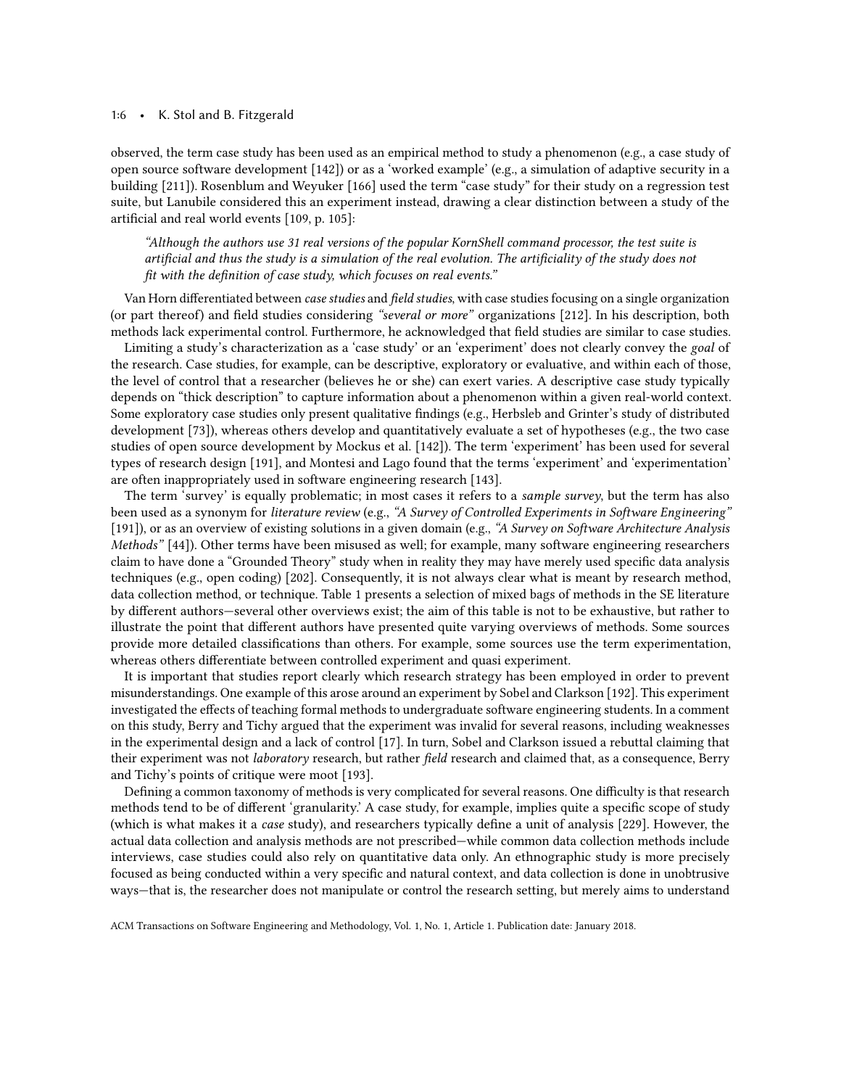#### 1:6 • K. Stol and B. Fitzgerald

observed, the term case study has been used as an empirical method to study a phenomenon (e.g., a case study of open source software development [\[142\]](#page-47-9)) or as a 'worked example' (e.g., a simulation of adaptive security in a building [\[211\]](#page-49-10)). Rosenblum and Weyuker [\[166\]](#page-48-10) used the term "case study" for their study on a regression test suite, but Lanubile considered this an experiment instead, drawing a clear distinction between a study of the artificial and real world events [\[109,](#page-46-7) p. 105]:

"Although the authors use 31 real versions of the popular KornShell command processor, the test suite is artificial and thus the study is a simulation of the real evolution. The artificiality of the study does not fit with the definition of case study, which focuses on real events."

Van Horn differentiated between case studies and field studies, with case studies focusing on a single organization (or part thereof) and field studies considering "several or more" organizations [\[212\]](#page-49-11). In his description, both methods lack experimental control. Furthermore, he acknowledged that field studies are similar to case studies.

Limiting a study's characterization as a 'case study' or an 'experiment' does not clearly convey the goal of the research. Case studies, for example, can be descriptive, exploratory or evaluative, and within each of those, the level of control that a researcher (believes he or she) can exert varies. A descriptive case study typically depends on "thick description" to capture information about a phenomenon within a given real-world context. Some exploratory case studies only present qualitative findings (e.g., Herbsleb and Grinter's study of distributed development [\[73\]](#page-45-4)), whereas others develop and quantitatively evaluate a set of hypotheses (e.g., the two case studies of open source development by Mockus et al. [\[142\]](#page-47-9)). The term 'experiment' has been used for several types of research design [\[191\]](#page-48-2), and Montesi and Lago found that the terms 'experiment' and 'experimentation' are often inappropriately used in software engineering research [\[143\]](#page-47-8).

The term 'survey' is equally problematic; in most cases it refers to a sample survey, but the term has also been used as a synonym for literature review (e.g., "A Survey of Controlled Experiments in Software Engineering" [\[191\]](#page-48-2)), or as an overview of existing solutions in a given domain (e.g., "A Survey on Software Architecture Analysis Methods" [\[44\]](#page-44-13)). Other terms have been misused as well; for example, many software engineering researchers claim to have done a "Grounded Theory" study when in reality they may have merely used specific data analysis techniques (e.g., open coding) [\[202\]](#page-49-1). Consequently, it is not always clear what is meant by research method, data collection method, or technique. Table [1](#page-1-0) presents a selection of mixed bags of methods in the SE literature by different authors—several other overviews exist; the aim of this table is not to be exhaustive, but rather to illustrate the point that different authors have presented quite varying overviews of methods. Some sources provide more detailed classifications than others. For example, some sources use the term experimentation, whereas others differentiate between controlled experiment and quasi experiment.

It is important that studies report clearly which research strategy has been employed in order to prevent misunderstandings. One example of this arose around an experiment by Sobel and Clarkson [\[192\]](#page-49-12). This experiment investigated the effects of teaching formal methods to undergraduate software engineering students. In a comment on this study, Berry and Tichy argued that the experiment was invalid for several reasons, including weaknesses in the experimental design and a lack of control [\[17\]](#page-43-9). In turn, Sobel and Clarkson issued a rebuttal claiming that their experiment was not laboratory research, but rather field research and claimed that, as a consequence, Berry and Tichy's points of critique were moot [\[193\]](#page-49-13).

Defining a common taxonomy of methods is very complicated for several reasons. One difficulty is that research methods tend to be of different 'granularity.' A case study, for example, implies quite a specific scope of study (which is what makes it a case study), and researchers typically define a unit of analysis [\[229\]](#page-50-4). However, the actual data collection and analysis methods are not prescribed—while common data collection methods include interviews, case studies could also rely on quantitative data only. An ethnographic study is more precisely focused as being conducted within a very specific and natural context, and data collection is done in unobtrusive ways—that is, the researcher does not manipulate or control the research setting, but merely aims to understand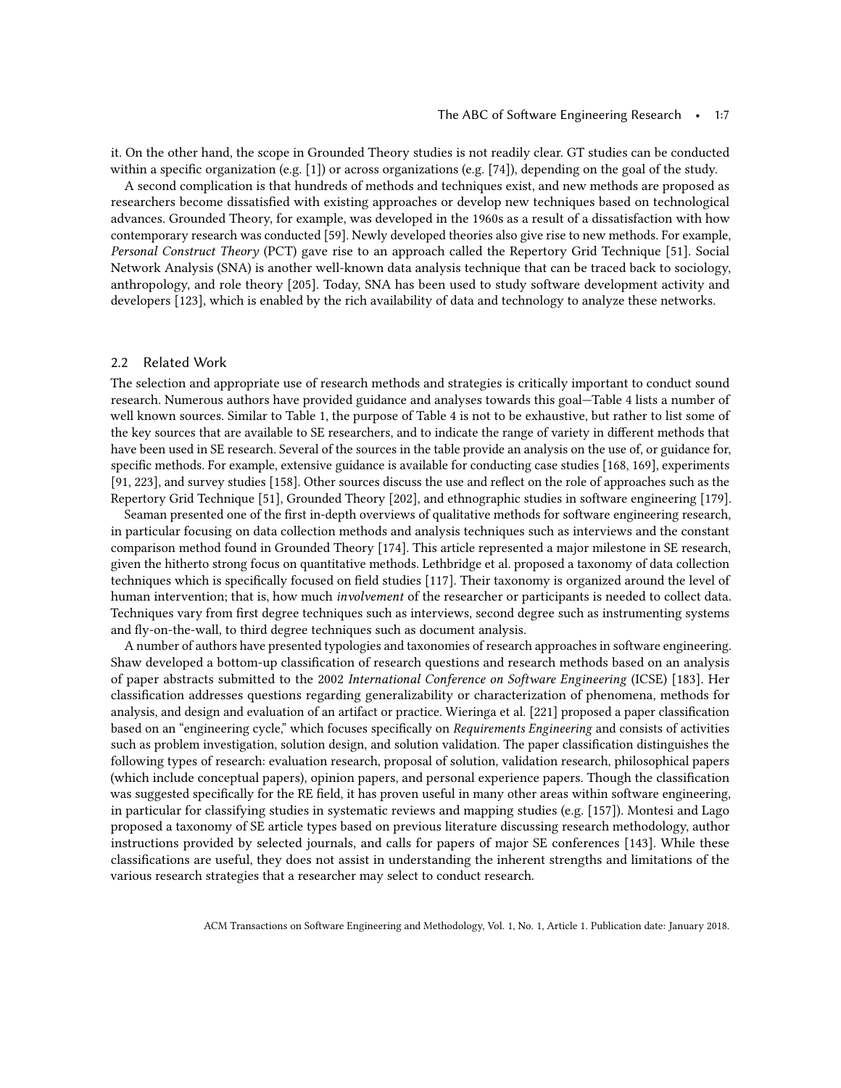it. On the other hand, the scope in Grounded Theory studies is not readily clear. GT studies can be conducted within a specific organization (e.g. [\[1\]](#page-42-0)) or across organizations (e.g. [\[74\]](#page-45-5)), depending on the goal of the study.

A second complication is that hundreds of methods and techniques exist, and new methods are proposed as researchers become dissatisfied with existing approaches or develop new techniques based on technological advances. Grounded Theory, for example, was developed in the 1960s as a result of a dissatisfaction with how contemporary research was conducted [\[59\]](#page-44-14). Newly developed theories also give rise to new methods. For example, Personal Construct Theory (PCT) gave rise to an approach called the Repertory Grid Technique [\[51\]](#page-44-15). Social Network Analysis (SNA) is another well-known data analysis technique that can be traced back to sociology, anthropology, and role theory [\[205\]](#page-49-14). Today, SNA has been used to study software development activity and developers [\[123\]](#page-46-8), which is enabled by the rich availability of data and technology to analyze these networks.

## <span id="page-6-0"></span>2.2 Related Work

The selection and appropriate use of research methods and strategies is critically important to conduct sound research. Numerous authors have provided guidance and analyses towards this goal—Table [4](#page-7-0) lists a number of well known sources. Similar to Table [1,](#page-1-0) the purpose of Table [4](#page-7-0) is not to be exhaustive, but rather to list some of the key sources that are available to SE researchers, and to indicate the range of variety in different methods that have been used in SE research. Several of the sources in the table provide an analysis on the use of, or guidance for, specific methods. For example, extensive guidance is available for conducting case studies [\[168,](#page-48-11) [169\]](#page-48-12), experiments [\[91,](#page-45-6) [223\]](#page-50-5), and survey studies [\[158\]](#page-47-10). Other sources discuss the use and reflect on the role of approaches such as the Repertory Grid Technique [\[51\]](#page-44-15), Grounded Theory [\[202\]](#page-49-1), and ethnographic studies in software engineering [\[179\]](#page-48-1).

Seaman presented one of the first in-depth overviews of qualitative methods for software engineering research, in particular focusing on data collection methods and analysis techniques such as interviews and the constant comparison method found in Grounded Theory [\[174\]](#page-48-8). This article represented a major milestone in SE research, given the hitherto strong focus on quantitative methods. Lethbridge et al. proposed a taxonomy of data collection techniques which is specifically focused on field studies [\[117\]](#page-46-9). Their taxonomy is organized around the level of human intervention; that is, how much involvement of the researcher or participants is needed to collect data. Techniques vary from first degree techniques such as interviews, second degree such as instrumenting systems and fly-on-the-wall, to third degree techniques such as document analysis.

A number of authors have presented typologies and taxonomies of research approaches in software engineering. Shaw developed a bottom-up classification of research questions and research methods based on an analysis of paper abstracts submitted to the 2002 International Conference on Software Engineering (ICSE) [\[183\]](#page-48-13). Her classification addresses questions regarding generalizability or characterization of phenomena, methods for analysis, and design and evaluation of an artifact or practice. Wieringa et al. [\[221\]](#page-49-15) proposed a paper classification based on an "engineering cycle," which focuses specifically on Requirements Engineering and consists of activities such as problem investigation, solution design, and solution validation. The paper classification distinguishes the following types of research: evaluation research, proposal of solution, validation research, philosophical papers (which include conceptual papers), opinion papers, and personal experience papers. Though the classification was suggested specifically for the RE field, it has proven useful in many other areas within software engineering, in particular for classifying studies in systematic reviews and mapping studies (e.g. [\[157\]](#page-47-4)). Montesi and Lago proposed a taxonomy of SE article types based on previous literature discussing research methodology, author instructions provided by selected journals, and calls for papers of major SE conferences [\[143\]](#page-47-8). While these classifications are useful, they does not assist in understanding the inherent strengths and limitations of the various research strategies that a researcher may select to conduct research.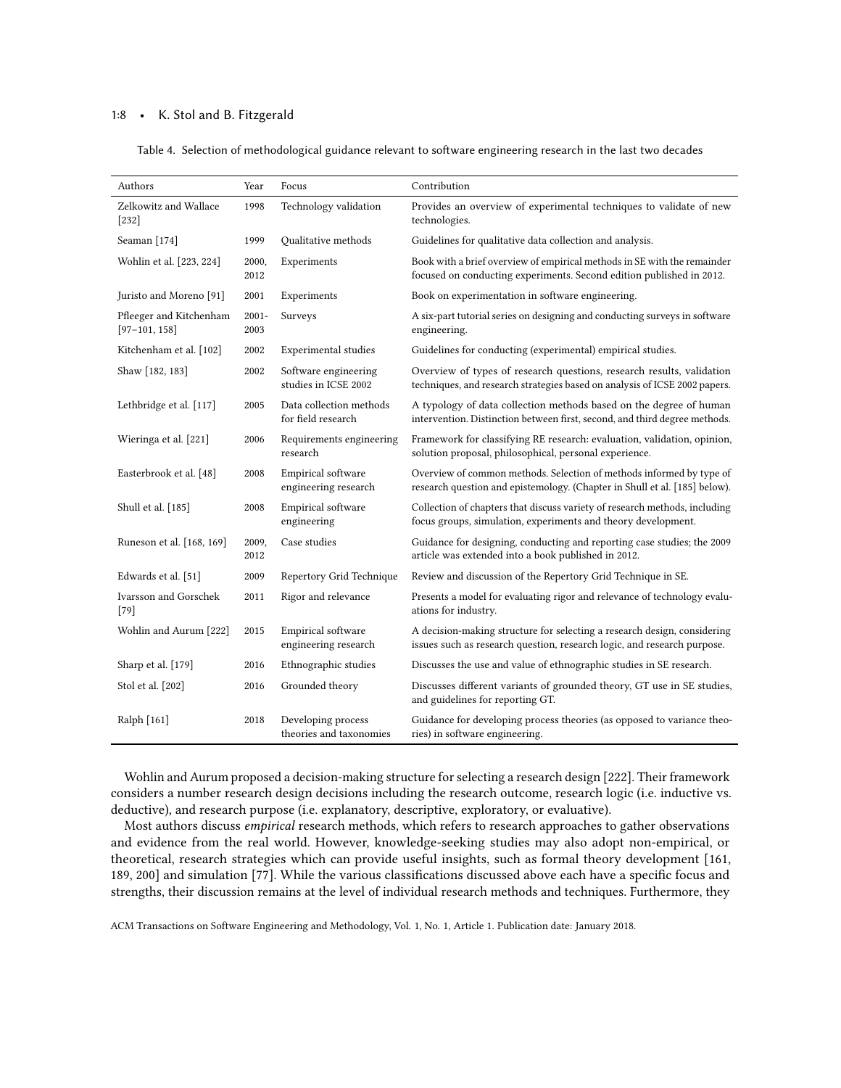### <span id="page-7-0"></span>1:8 • K. Stol and B. Fitzgerald

| Table 4.  Selection of methodological guidance relevant to software engineering research in the last two decades |  |  |  |  |  |  |  |
|------------------------------------------------------------------------------------------------------------------|--|--|--|--|--|--|--|
|------------------------------------------------------------------------------------------------------------------|--|--|--|--|--|--|--|

| Authors                                    | Year             | Focus                                         | Contribution                                                                                                                                        |
|--------------------------------------------|------------------|-----------------------------------------------|-----------------------------------------------------------------------------------------------------------------------------------------------------|
| Zelkowitz and Wallace<br>$[232]$           | 1998             | Technology validation                         | Provides an overview of experimental techniques to validate of new<br>technologies.                                                                 |
| Seaman [174]                               | 1999             | Qualitative methods                           | Guidelines for qualitative data collection and analysis.                                                                                            |
| Wohlin et al. [223, 224]                   | 2000,<br>2012    | Experiments                                   | Book with a brief overview of empirical methods in SE with the remainder<br>focused on conducting experiments. Second edition published in 2012.    |
| Juristo and Moreno [91]                    | 2001             | Experiments                                   | Book on experimentation in software engineering.                                                                                                    |
| Pfleeger and Kitchenham<br>$[97-101, 158]$ | $2001 -$<br>2003 | Surveys                                       | A six-part tutorial series on designing and conducting surveys in software<br>engineering.                                                          |
| Kitchenham et al. [102]                    | 2002             | <b>Experimental</b> studies                   | Guidelines for conducting (experimental) empirical studies.                                                                                         |
| Shaw [182, 183]                            | 2002             | Software engineering<br>studies in ICSE 2002  | Overview of types of research questions, research results, validation<br>techniques, and research strategies based on analysis of ICSE 2002 papers. |
| Lethbridge et al. [117]                    | 2005             | Data collection methods<br>for field research | A typology of data collection methods based on the degree of human<br>intervention. Distinction between first, second, and third degree methods.    |
| Wieringa et al. [221]                      | 2006             | Requirements engineering<br>research          | Framework for classifying RE research: evaluation, validation, opinion,<br>solution proposal, philosophical, personal experience.                   |
| Easterbrook et al. [48]                    | 2008             | Empirical software<br>engineering research    | Overview of common methods. Selection of methods informed by type of<br>research question and epistemology. (Chapter in Shull et al. [185] below).  |
| Shull et al. [185]                         | 2008             | Empirical software<br>engineering             | Collection of chapters that discuss variety of research methods, including<br>focus groups, simulation, experiments and theory development.         |
| Runeson et al. [168, 169]                  | 2009,<br>2012    | Case studies                                  | Guidance for designing, conducting and reporting case studies; the 2009<br>article was extended into a book published in 2012.                      |
| Edwards et al. [51]                        | 2009             | Repertory Grid Technique                      | Review and discussion of the Repertory Grid Technique in SE.                                                                                        |
| Ivarsson and Gorschek<br>$[79]$            | 2011             | Rigor and relevance                           | Presents a model for evaluating rigor and relevance of technology evalu-<br>ations for industry.                                                    |
| Wohlin and Aurum [222]                     | 2015             | Empirical software<br>engineering research    | A decision-making structure for selecting a research design, considering<br>issues such as research question, research logic, and research purpose. |
| Sharp et al. [179]                         | 2016             | Ethnographic studies                          | Discusses the use and value of ethnographic studies in SE research.                                                                                 |
| Stol et al. [202]                          | 2016             | Grounded theory                               | Discusses different variants of grounded theory, GT use in SE studies,<br>and guidelines for reporting GT.                                          |
| Ralph [161]                                | 2018             | Developing process<br>theories and taxonomies | Guidance for developing process theories (as opposed to variance theo-<br>ries) in software engineering.                                            |

Wohlin and Aurum proposed a decision-making structure for selecting a research design [\[222\]](#page-49-9). Their framework considers a number research design decisions including the research outcome, research logic (i.e. inductive vs. deductive), and research purpose (i.e. explanatory, descriptive, exploratory, or evaluative).

Most authors discuss empirical research methods, which refers to research approaches to gather observations and evidence from the real world. However, knowledge-seeking studies may also adopt non-empirical, or theoretical, research strategies which can provide useful insights, such as formal theory development [\[161,](#page-48-16) [189,](#page-48-17) [200\]](#page-49-16) and simulation [\[77\]](#page-45-9). While the various classifications discussed above each have a specific focus and strengths, their discussion remains at the level of individual research methods and techniques. Furthermore, they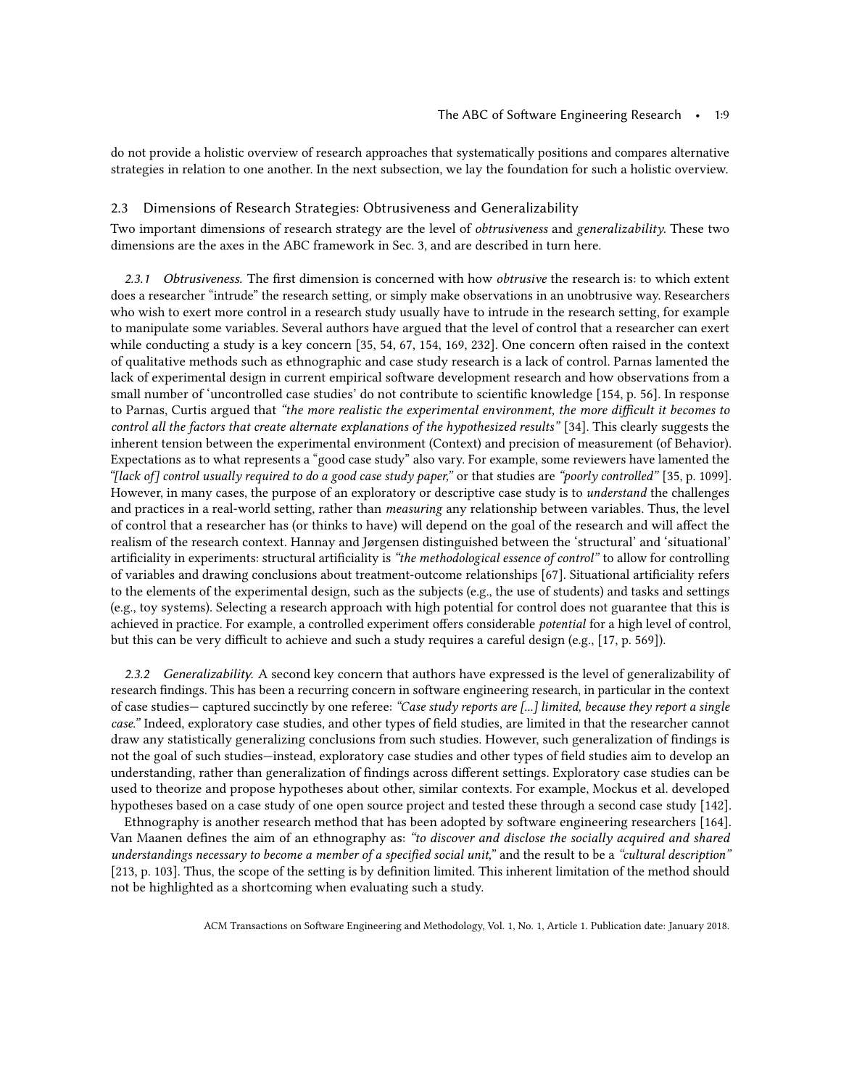do not provide a holistic overview of research approaches that systematically positions and compares alternative strategies in relation to one another. In the next subsection, we lay the foundation for such a holistic overview.

#### <span id="page-8-0"></span>2.3 Dimensions of Research Strategies: Obtrusiveness and Generalizability

Two important dimensions of research strategy are the level of obtrusiveness and generalizability. These two dimensions are the axes in the ABC framework in Sec. 3, and are described in turn here.

2.3.1 Obtrusiveness. The first dimension is concerned with how *obtrusive* the research is: to which extent does a researcher "intrude" the research setting, or simply make observations in an unobtrusive way. Researchers who wish to exert more control in a research study usually have to intrude in the research setting, for example to manipulate some variables. Several authors have argued that the level of control that a researcher can exert while conducting a study is a key concern [\[35,](#page-43-4) [54,](#page-44-16) [67,](#page-44-17) [154,](#page-47-7) [169,](#page-48-12) [232\]](#page-50-2). One concern often raised in the context of qualitative methods such as ethnographic and case study research is a lack of control. Parnas lamented the lack of experimental design in current empirical software development research and how observations from a small number of 'uncontrolled case studies' do not contribute to scientific knowledge [\[154,](#page-47-7) p. 56]. In response to Parnas, Curtis argued that "the more realistic the experimental environment, the more difficult it becomes to control all the factors that create alternate explanations of the hypothesized results" [\[34\]](#page-43-10). This clearly suggests the inherent tension between the experimental environment (Context) and precision of measurement (of Behavior). Expectations as to what represents a "good case study" also vary. For example, some reviewers have lamented the "[lack of] control usually required to do a good case study paper," or that studies are "poorly controlled" [\[35,](#page-43-4) p. 1099]. However, in many cases, the purpose of an exploratory or descriptive case study is to understand the challenges and practices in a real-world setting, rather than measuring any relationship between variables. Thus, the level of control that a researcher has (or thinks to have) will depend on the goal of the research and will affect the realism of the research context. Hannay and Jørgensen distinguished between the 'structural' and 'situational' artificiality in experiments: structural artificiality is "the methodological essence of control" to allow for controlling of variables and drawing conclusions about treatment-outcome relationships [\[67\]](#page-44-17). Situational artificiality refers to the elements of the experimental design, such as the subjects (e.g., the use of students) and tasks and settings (e.g., toy systems). Selecting a research approach with high potential for control does not guarantee that this is achieved in practice. For example, a controlled experiment offers considerable potential for a high level of control, but this can be very difficult to achieve and such a study requires a careful design (e.g., [\[17,](#page-43-9) p. 569]).

2.3.2 Generalizability. A second key concern that authors have expressed is the level of generalizability of research findings. This has been a recurring concern in software engineering research, in particular in the context of case studies— captured succinctly by one referee: "Case study reports are [...] limited, because they report a single case." Indeed, exploratory case studies, and other types of field studies, are limited in that the researcher cannot draw any statistically generalizing conclusions from such studies. However, such generalization of findings is not the goal of such studies—instead, exploratory case studies and other types of field studies aim to develop an understanding, rather than generalization of findings across different settings. Exploratory case studies can be used to theorize and propose hypotheses about other, similar contexts. For example, Mockus et al. developed hypotheses based on a case study of one open source project and tested these through a second case study [\[142\]](#page-47-9).

Ethnography is another research method that has been adopted by software engineering researchers [\[164\]](#page-48-18). Van Maanen defines the aim of an ethnography as: "to discover and disclose the socially acquired and shared understandings necessary to become a member of a specified social unit," and the result to be a "cultural description" [\[213,](#page-49-17) p. 103]. Thus, the scope of the setting is by definition limited. This inherent limitation of the method should not be highlighted as a shortcoming when evaluating such a study.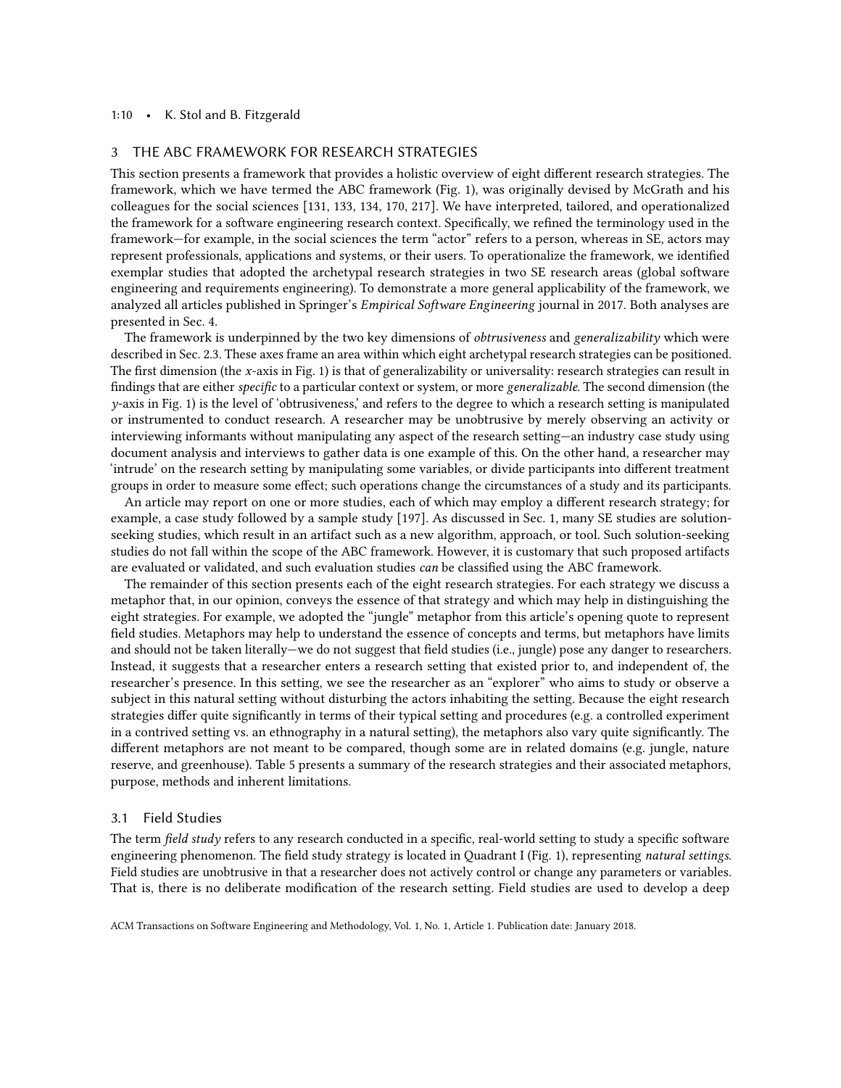#### 1:10 • K. Stol and B. Fitzgerald

## <span id="page-9-0"></span>3 THE ABC FRAMEWORK FOR RESEARCH STRATEGIES

This section presents a framework that provides a holistic overview of eight different research strategies. The framework, which we have termed the ABC framework (Fig. [1\)](#page-10-0), was originally devised by McGrath and his colleagues for the social sciences [\[131,](#page-47-11) [133,](#page-47-12) [134,](#page-47-5) [170,](#page-48-4) [217\]](#page-49-18). We have interpreted, tailored, and operationalized the framework for a software engineering research context. Specifically, we refined the terminology used in the framework—for example, in the social sciences the term "actor" refers to a person, whereas in SE, actors may represent professionals, applications and systems, or their users. To operationalize the framework, we identified exemplar studies that adopted the archetypal research strategies in two SE research areas (global software engineering and requirements engineering). To demonstrate a more general applicability of the framework, we analyzed all articles published in Springer's Empirical Software Engineering journal in 2017. Both analyses are presented in Sec. [4.](#page-17-0)

The framework is underpinned by the two key dimensions of *obtrusiveness* and *generalizability* which were described in Sec. [2.3.](#page-8-0) These axes frame an area within which eight archetypal research strategies can be positioned. The first dimension (the x-axis in Fig. [1\)](#page-10-0) is that of generalizability or universality: research strategies can result in findings that are either specific to a particular context or system, or more generalizable. The second dimension (the  $y$ -axis in Fig. [1\)](#page-10-0) is the level of 'obtrusiveness,' and refers to the degree to which a research setting is manipulated or instrumented to conduct research. A researcher may be unobtrusive by merely observing an activity or interviewing informants without manipulating any aspect of the research setting—an industry case study using document analysis and interviews to gather data is one example of this. On the other hand, a researcher may 'intrude' on the research setting by manipulating some variables, or divide participants into different treatment groups in order to measure some effect; such operations change the circumstances of a study and its participants.

An article may report on one or more studies, each of which may employ a different research strategy; for example, a case study followed by a sample study [\[197\]](#page-49-19). As discussed in Sec. 1, many SE studies are solutionseeking studies, which result in an artifact such as a new algorithm, approach, or tool. Such solution-seeking studies do not fall within the scope of the ABC framework. However, it is customary that such proposed artifacts are evaluated or validated, and such evaluation studies can be classified using the ABC framework.

The remainder of this section presents each of the eight research strategies. For each strategy we discuss a metaphor that, in our opinion, conveys the essence of that strategy and which may help in distinguishing the eight strategies. For example, we adopted the "jungle" metaphor from this article's opening quote to represent field studies. Metaphors may help to understand the essence of concepts and terms, but metaphors have limits and should not be taken literally—we do not suggest that field studies (i.e., jungle) pose any danger to researchers. Instead, it suggests that a researcher enters a research setting that existed prior to, and independent of, the researcher's presence. In this setting, we see the researcher as an "explorer" who aims to study or observe a subject in this natural setting without disturbing the actors inhabiting the setting. Because the eight research strategies differ quite significantly in terms of their typical setting and procedures (e.g. a controlled experiment in a contrived setting vs. an ethnography in a natural setting), the metaphors also vary quite significantly. The different metaphors are not meant to be compared, though some are in related domains (e.g. jungle, nature reserve, and greenhouse). Table [5](#page-14-0) presents a summary of the research strategies and their associated metaphors, purpose, methods and inherent limitations.

### 3.1 Field Studies

The term field study refers to any research conducted in a specific, real-world setting to study a specific software engineering phenomenon. The field study strategy is located in Quadrant I (Fig. [1\)](#page-10-0), representing natural settings. Field studies are unobtrusive in that a researcher does not actively control or change any parameters or variables. That is, there is no deliberate modification of the research setting. Field studies are used to develop a deep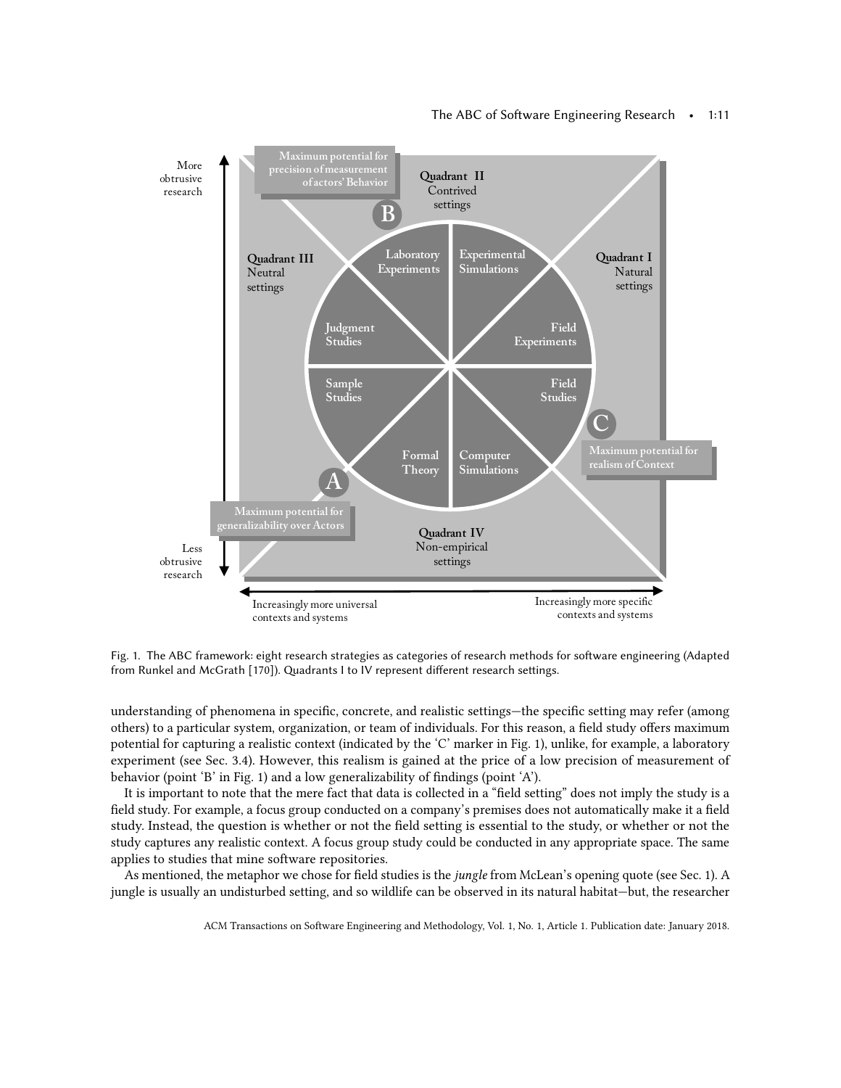<span id="page-10-0"></span>

## The ABC of Software Engineering Research • 1:11

Fig. 1. The ABC framework: eight research strategies as categories of research methods for software engineering (Adapted from Runkel and McGrath [\[170\]](#page-48-4)). Quadrants I to IV represent different research settings.

understanding of phenomena in specific, concrete, and realistic settings—the specific setting may refer (among others) to a particular system, organization, or team of individuals. For this reason, a field study offers maximum potential for capturing a realistic context (indicated by the 'C' marker in Fig. [1\)](#page-10-0), unlike, for example, a laboratory experiment (see Sec. [3.4\)](#page-12-0). However, this realism is gained at the price of a low precision of measurement of behavior (point 'B' in Fig. [1\)](#page-10-0) and a low generalizability of findings (point 'A').

It is important to note that the mere fact that data is collected in a "field setting" does not imply the study is a field study. For example, a focus group conducted on a company's premises does not automatically make it a field study. Instead, the question is whether or not the field setting is essential to the study, or whether or not the study captures any realistic context. A focus group study could be conducted in any appropriate space. The same applies to studies that mine software repositories.

As mentioned, the metaphor we chose for field studies is the jungle from McLean's opening quote (see Sec. 1). A jungle is usually an undisturbed setting, and so wildlife can be observed in its natural habitat—but, the researcher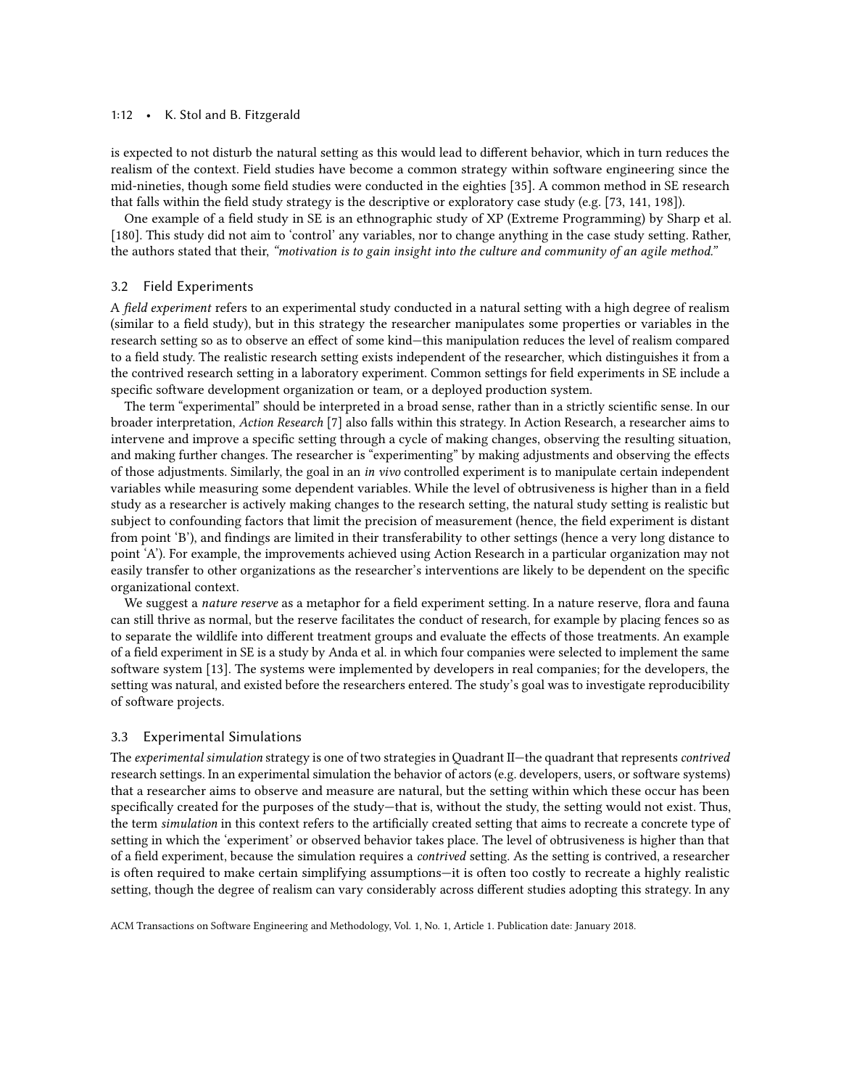#### 1:12 • K. Stol and B. Fitzgerald

is expected to not disturb the natural setting as this would lead to different behavior, which in turn reduces the realism of the context. Field studies have become a common strategy within software engineering since the mid-nineties, though some field studies were conducted in the eighties [\[35\]](#page-43-4). A common method in SE research that falls within the field study strategy is the descriptive or exploratory case study (e.g. [\[73,](#page-45-4) [141,](#page-47-13) [198\]](#page-49-20)).

One example of a field study in SE is an ethnographic study of XP (Extreme Programming) by Sharp et al. [\[180\]](#page-48-6). This study did not aim to 'control' any variables, nor to change anything in the case study setting. Rather, the authors stated that their, "motivation is to gain insight into the culture and community of an agile method."

## 3.2 Field Experiments

A field experiment refers to an experimental study conducted in a natural setting with a high degree of realism (similar to a field study), but in this strategy the researcher manipulates some properties or variables in the research setting so as to observe an effect of some kind—this manipulation reduces the level of realism compared to a field study. The realistic research setting exists independent of the researcher, which distinguishes it from a the contrived research setting in a laboratory experiment. Common settings for field experiments in SE include a specific software development organization or team, or a deployed production system.

The term "experimental" should be interpreted in a broad sense, rather than in a strictly scientific sense. In our broader interpretation, Action Research [\[7\]](#page-42-1) also falls within this strategy. In Action Research, a researcher aims to intervene and improve a specific setting through a cycle of making changes, observing the resulting situation, and making further changes. The researcher is "experimenting" by making adjustments and observing the effects of those adjustments. Similarly, the goal in an in vivo controlled experiment is to manipulate certain independent variables while measuring some dependent variables. While the level of obtrusiveness is higher than in a field study as a researcher is actively making changes to the research setting, the natural study setting is realistic but subject to confounding factors that limit the precision of measurement (hence, the field experiment is distant from point 'B'), and findings are limited in their transferability to other settings (hence a very long distance to point 'A'). For example, the improvements achieved using Action Research in a particular organization may not easily transfer to other organizations as the researcher's interventions are likely to be dependent on the specific organizational context.

We suggest a *nature reserve* as a metaphor for a field experiment setting. In a nature reserve, flora and fauna can still thrive as normal, but the reserve facilitates the conduct of research, for example by placing fences so as to separate the wildlife into different treatment groups and evaluate the effects of those treatments. An example of a field experiment in SE is a study by Anda et al. in which four companies were selected to implement the same software system [\[13\]](#page-43-11). The systems were implemented by developers in real companies; for the developers, the setting was natural, and existed before the researchers entered. The study's goal was to investigate reproducibility of software projects.

### 3.3 Experimental Simulations

The *experimental simulation* strategy is one of two strategies in Quadrant II—the quadrant that represents contrived research settings. In an experimental simulation the behavior of actors (e.g. developers, users, or software systems) that a researcher aims to observe and measure are natural, but the setting within which these occur has been specifically created for the purposes of the study—that is, without the study, the setting would not exist. Thus, the term simulation in this context refers to the artificially created setting that aims to recreate a concrete type of setting in which the 'experiment' or observed behavior takes place. The level of obtrusiveness is higher than that of a field experiment, because the simulation requires a contrived setting. As the setting is contrived, a researcher is often required to make certain simplifying assumptions—it is often too costly to recreate a highly realistic setting, though the degree of realism can vary considerably across different studies adopting this strategy. In any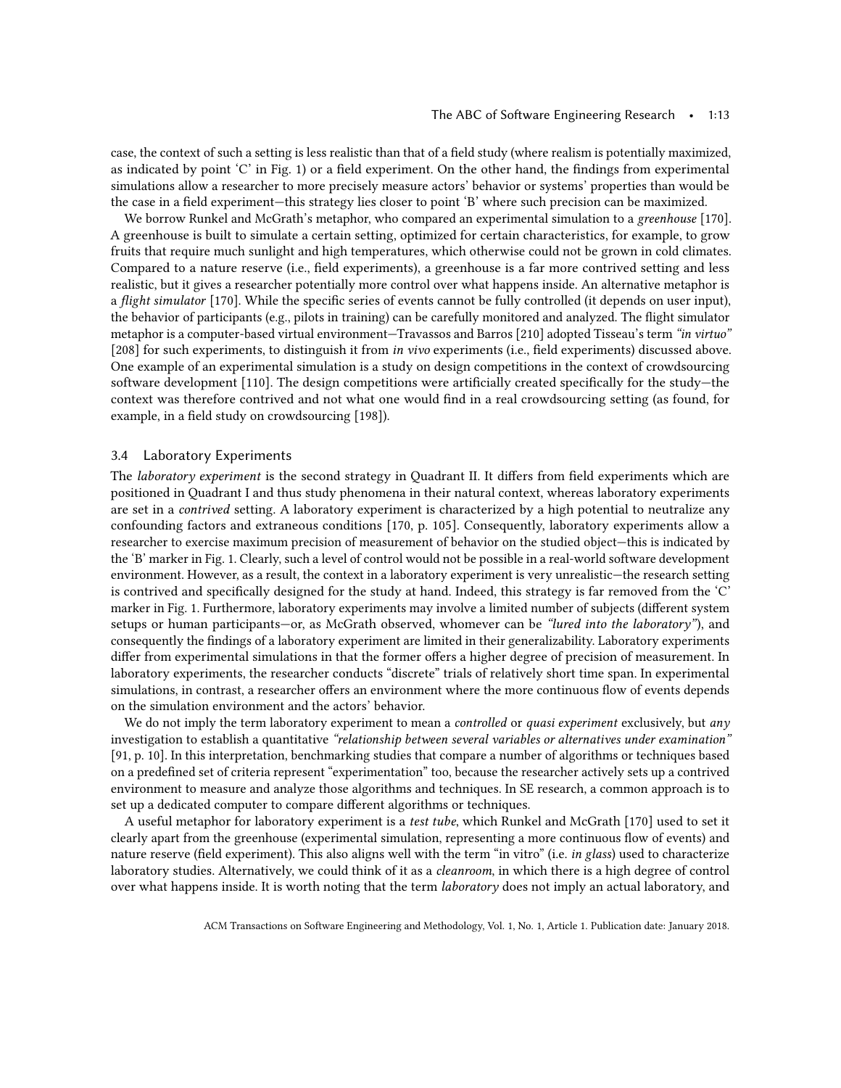case, the context of such a setting is less realistic than that of a field study (where realism is potentially maximized, as indicated by point 'C' in Fig. [1\)](#page-10-0) or a field experiment. On the other hand, the findings from experimental simulations allow a researcher to more precisely measure actors' behavior or systems' properties than would be the case in a field experiment—this strategy lies closer to point 'B' where such precision can be maximized.

We borrow Runkel and McGrath's metaphor, who compared an experimental simulation to a greenhouse [\[170\]](#page-48-4). A greenhouse is built to simulate a certain setting, optimized for certain characteristics, for example, to grow fruits that require much sunlight and high temperatures, which otherwise could not be grown in cold climates. Compared to a nature reserve (i.e., field experiments), a greenhouse is a far more contrived setting and less realistic, but it gives a researcher potentially more control over what happens inside. An alternative metaphor is a flight simulator [\[170\]](#page-48-4). While the specific series of events cannot be fully controlled (it depends on user input), the behavior of participants (e.g., pilots in training) can be carefully monitored and analyzed. The flight simulator metaphor is a computer-based virtual environment—Travassos and Barros [\[210\]](#page-49-21) adopted Tisseau's term "in virtuo" [\[208\]](#page-49-22) for such experiments, to distinguish it from in vivo experiments (i.e., field experiments) discussed above. One example of an experimental simulation is a study on design competitions in the context of crowdsourcing software development [\[110\]](#page-46-11). The design competitions were artificially created specifically for the study—the context was therefore contrived and not what one would find in a real crowdsourcing setting (as found, for example, in a field study on crowdsourcing [\[198\]](#page-49-20)).

## <span id="page-12-0"></span>3.4 Laboratory Experiments

The laboratory experiment is the second strategy in Quadrant II. It differs from field experiments which are positioned in Quadrant I and thus study phenomena in their natural context, whereas laboratory experiments are set in a contrived setting. A laboratory experiment is characterized by a high potential to neutralize any confounding factors and extraneous conditions [\[170,](#page-48-4) p. 105]. Consequently, laboratory experiments allow a researcher to exercise maximum precision of measurement of behavior on the studied object—this is indicated by the 'B' marker in Fig. [1.](#page-10-0) Clearly, such a level of control would not be possible in a real-world software development environment. However, as a result, the context in a laboratory experiment is very unrealistic—the research setting is contrived and specifically designed for the study at hand. Indeed, this strategy is far removed from the 'C' marker in Fig. [1.](#page-10-0) Furthermore, laboratory experiments may involve a limited number of subjects (different system setups or human participants—or, as McGrath observed, whomever can be "lured into the laboratory"), and consequently the findings of a laboratory experiment are limited in their generalizability. Laboratory experiments differ from experimental simulations in that the former offers a higher degree of precision of measurement. In laboratory experiments, the researcher conducts "discrete" trials of relatively short time span. In experimental simulations, in contrast, a researcher offers an environment where the more continuous flow of events depends on the simulation environment and the actors' behavior.

We do not imply the term laboratory experiment to mean a controlled or quasi experiment exclusively, but any investigation to establish a quantitative "relationship between several variables or alternatives under examination" [\[91,](#page-45-6) p. 10]. In this interpretation, benchmarking studies that compare a number of algorithms or techniques based on a predefined set of criteria represent "experimentation" too, because the researcher actively sets up a contrived environment to measure and analyze those algorithms and techniques. In SE research, a common approach is to set up a dedicated computer to compare different algorithms or techniques.

A useful metaphor for laboratory experiment is a test tube, which Runkel and McGrath [\[170\]](#page-48-4) used to set it clearly apart from the greenhouse (experimental simulation, representing a more continuous flow of events) and nature reserve (field experiment). This also aligns well with the term "in vitro" (i.e. in glass) used to characterize laboratory studies. Alternatively, we could think of it as a *cleanroom*, in which there is a high degree of control over what happens inside. It is worth noting that the term laboratory does not imply an actual laboratory, and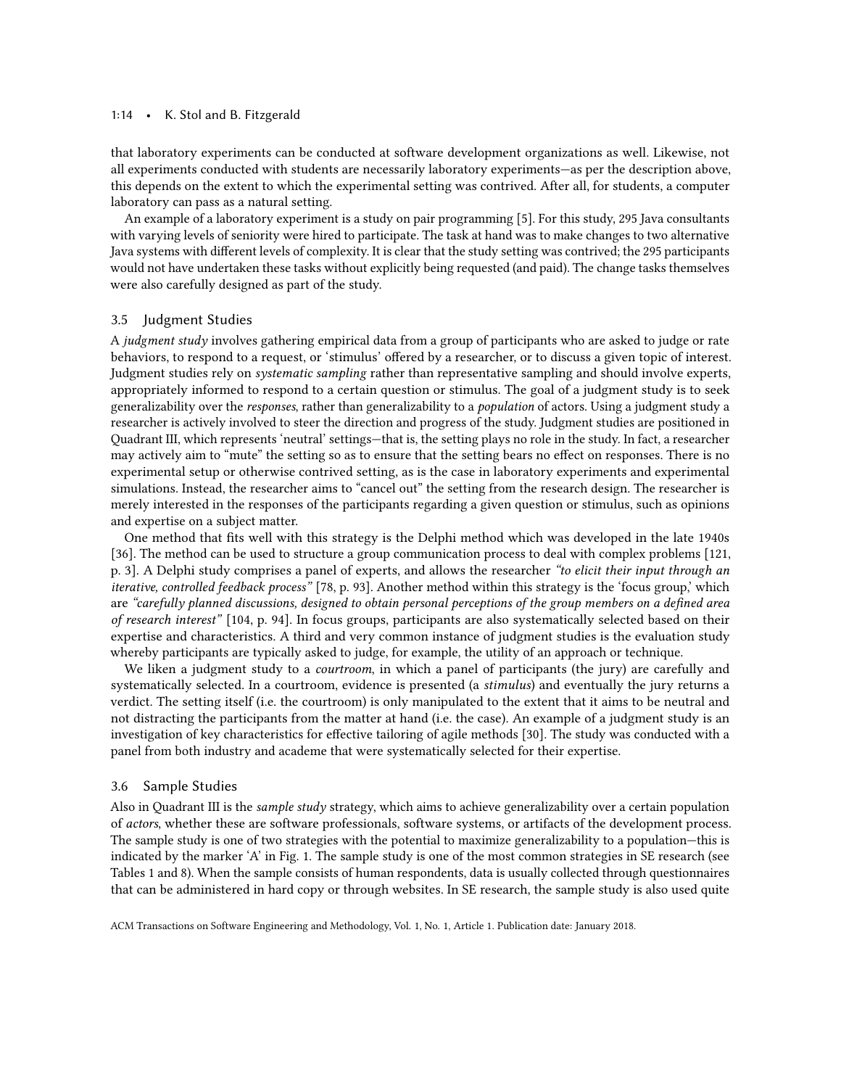#### 1:14 • K. Stol and B. Fitzgerald

that laboratory experiments can be conducted at software development organizations as well. Likewise, not all experiments conducted with students are necessarily laboratory experiments—as per the description above, this depends on the extent to which the experimental setting was contrived. After all, for students, a computer laboratory can pass as a natural setting.

An example of a laboratory experiment is a study on pair programming [\[5\]](#page-42-2). For this study, 295 Java consultants with varying levels of seniority were hired to participate. The task at hand was to make changes to two alternative Java systems with different levels of complexity. It is clear that the study setting was contrived; the 295 participants would not have undertaken these tasks without explicitly being requested (and paid). The change tasks themselves were also carefully designed as part of the study.

## 3.5 Judgment Studies

A judgment study involves gathering empirical data from a group of participants who are asked to judge or rate behaviors, to respond to a request, or 'stimulus' offered by a researcher, or to discuss a given topic of interest. Judgment studies rely on systematic sampling rather than representative sampling and should involve experts, appropriately informed to respond to a certain question or stimulus. The goal of a judgment study is to seek generalizability over the responses, rather than generalizability to a population of actors. Using a judgment study a researcher is actively involved to steer the direction and progress of the study. Judgment studies are positioned in Quadrant III, which represents 'neutral' settings—that is, the setting plays no role in the study. In fact, a researcher may actively aim to "mute" the setting so as to ensure that the setting bears no effect on responses. There is no experimental setup or otherwise contrived setting, as is the case in laboratory experiments and experimental simulations. Instead, the researcher aims to "cancel out" the setting from the research design. The researcher is merely interested in the responses of the participants regarding a given question or stimulus, such as opinions and expertise on a subject matter.

One method that fits well with this strategy is the Delphi method which was developed in the late 1940s [\[36\]](#page-43-12). The method can be used to structure a group communication process to deal with complex problems [\[121,](#page-46-12) p. 3]. A Delphi study comprises a panel of experts, and allows the researcher "to elicit their input through an iterative, controlled feedback process" [\[78,](#page-45-10) p. 93]. Another method within this strategy is the 'focus group,' which are "carefully planned discussions, designed to obtain personal perceptions of the group members on a defined area of research interest" [\[104,](#page-46-13) p. 94]. In focus groups, participants are also systematically selected based on their expertise and characteristics. A third and very common instance of judgment studies is the evaluation study whereby participants are typically asked to judge, for example, the utility of an approach or technique.

We liken a judgment study to a *courtroom*, in which a panel of participants (the jury) are carefully and systematically selected. In a courtroom, evidence is presented (a *stimulus*) and eventually the jury returns a verdict. The setting itself (i.e. the courtroom) is only manipulated to the extent that it aims to be neutral and not distracting the participants from the matter at hand (i.e. the case). An example of a judgment study is an investigation of key characteristics for effective tailoring of agile methods [\[30\]](#page-43-13). The study was conducted with a panel from both industry and academe that were systematically selected for their expertise.

### 3.6 Sample Studies

Also in Quadrant III is the sample study strategy, which aims to achieve generalizability over a certain population of actors, whether these are software professionals, software systems, or artifacts of the development process. The sample study is one of two strategies with the potential to maximize generalizability to a population—this is indicated by the marker 'A' in Fig. [1.](#page-10-0) The sample study is one of the most common strategies in SE research (see Tables [1](#page-1-0) and [8\)](#page-26-0). When the sample consists of human respondents, data is usually collected through questionnaires that can be administered in hard copy or through websites. In SE research, the sample study is also used quite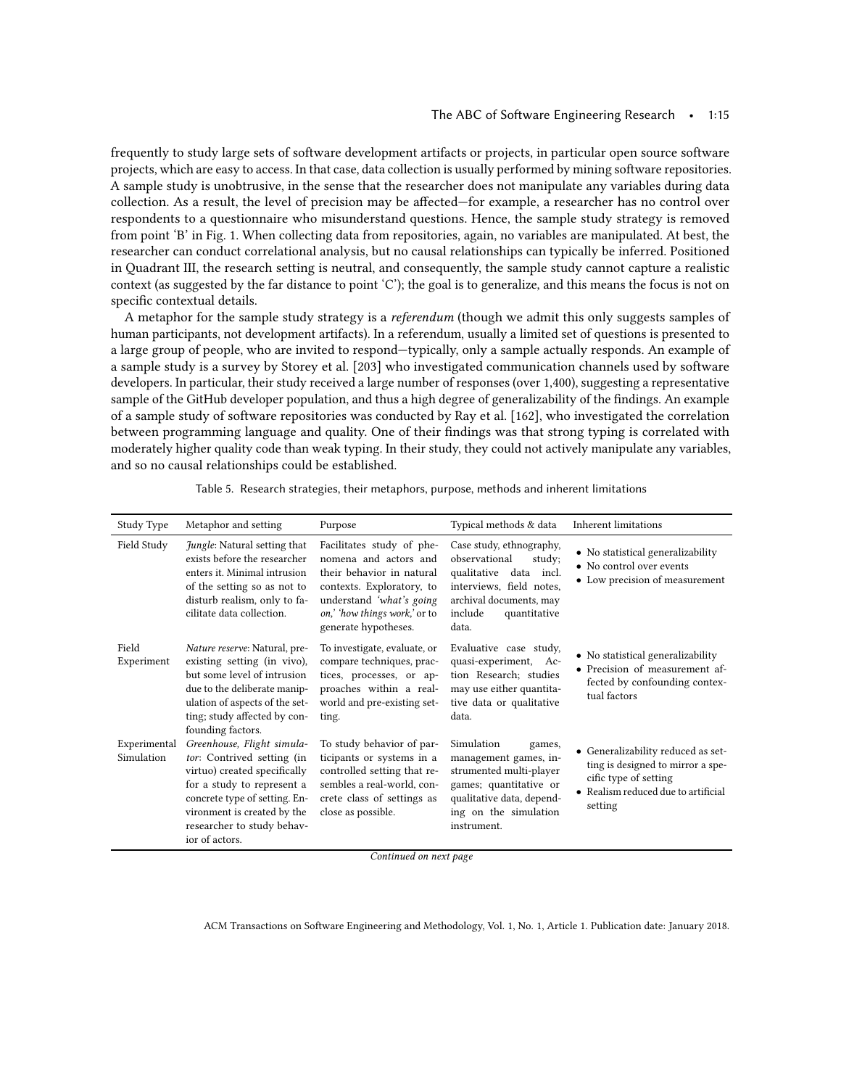frequently to study large sets of software development artifacts or projects, in particular open source software projects, which are easy to access. In that case, data collection is usually performed by mining software repositories. A sample study is unobtrusive, in the sense that the researcher does not manipulate any variables during data collection. As a result, the level of precision may be affected—for example, a researcher has no control over respondents to a questionnaire who misunderstand questions. Hence, the sample study strategy is removed from point 'B' in Fig. [1.](#page-10-0) When collecting data from repositories, again, no variables are manipulated. At best, the researcher can conduct correlational analysis, but no causal relationships can typically be inferred. Positioned in Quadrant III, the research setting is neutral, and consequently, the sample study cannot capture a realistic context (as suggested by the far distance to point 'C'); the goal is to generalize, and this means the focus is not on specific contextual details.

A metaphor for the sample study strategy is a referendum (though we admit this only suggests samples of human participants, not development artifacts). In a referendum, usually a limited set of questions is presented to a large group of people, who are invited to respond—typically, only a sample actually responds. An example of a sample study is a survey by Storey et al. [\[203\]](#page-49-23) who investigated communication channels used by software developers. In particular, their study received a large number of responses (over 1,400), suggesting a representative sample of the GitHub developer population, and thus a high degree of generalizability of the findings. An example of a sample study of software repositories was conducted by Ray et al. [\[162\]](#page-48-19), who investigated the correlation between programming language and quality. One of their findings was that strong typing is correlated with moderately higher quality code than weak typing. In their study, they could not actively manipulate any variables, and so no causal relationships could be established.

<span id="page-14-0"></span>

|                            |                                                                                                                                                                                                                                        |                                                                                                                                                                                                  |                                                                                                                                                                          | <b>Inherent limitations</b>                                                                                                                        |
|----------------------------|----------------------------------------------------------------------------------------------------------------------------------------------------------------------------------------------------------------------------------------|--------------------------------------------------------------------------------------------------------------------------------------------------------------------------------------------------|--------------------------------------------------------------------------------------------------------------------------------------------------------------------------|----------------------------------------------------------------------------------------------------------------------------------------------------|
| Study Type                 | Metaphor and setting                                                                                                                                                                                                                   | Purpose                                                                                                                                                                                          | Typical methods & data                                                                                                                                                   |                                                                                                                                                    |
| Field Study                | Jungle: Natural setting that<br>exists before the researcher<br>enters it. Minimal intrusion<br>of the setting so as not to<br>disturb realism, only to fa-<br>cilitate data collection.                                               | Facilitates study of phe-<br>nomena and actors and<br>their behavior in natural<br>contexts. Exploratory, to<br>understand 'what's going<br>on,' how things work,' or to<br>generate hypotheses. | Case study, ethnography,<br>observational<br>study;<br>qualitative data incl.<br>interviews, field notes,<br>archival documents, may<br>include<br>quantitative<br>data. | • No statistical generalizability<br>• No control over events<br>• Low precision of measurement                                                    |
| Field<br>Experiment        | Nature reserve: Natural, pre-<br>existing setting (in vivo),<br>but some level of intrusion<br>due to the deliberate manip-<br>ulation of aspects of the set-<br>ting; study affected by con-<br>founding factors.                     | To investigate, evaluate, or<br>compare techniques, prac-<br>tices, processes, or ap-<br>proaches within a real-<br>world and pre-existing set-<br>ting.                                         | Evaluative case study,<br>quasi-experiment, Ac-<br>tion Research; studies<br>may use either quantita-<br>tive data or qualitative<br>data.                               | • No statistical generalizability<br>• Precision of measurement af-<br>fected by confounding contex-<br>tual factors                               |
| Experimental<br>Simulation | Greenhouse, Flight simula-<br>tor: Contrived setting (in<br>virtuo) created specifically<br>for a study to represent a<br>concrete type of setting. En-<br>vironment is created by the<br>researcher to study behav-<br>ior of actors. | To study behavior of par-<br>ticipants or systems in a<br>controlled setting that re-<br>sembles a real-world, con-<br>crete class of settings as<br>close as possible.                          | Simulation<br>games,<br>management games, in-<br>strumented multi-player<br>games; quantitative or<br>qualitative data, depend-<br>ing on the simulation<br>instrument.  | • Generalizability reduced as set-<br>ting is designed to mirror a spe-<br>cific type of setting<br>• Realism reduced due to artificial<br>setting |

Table 5. Research strategies, their metaphors, purpose, methods and inherent limitations

Continued on next page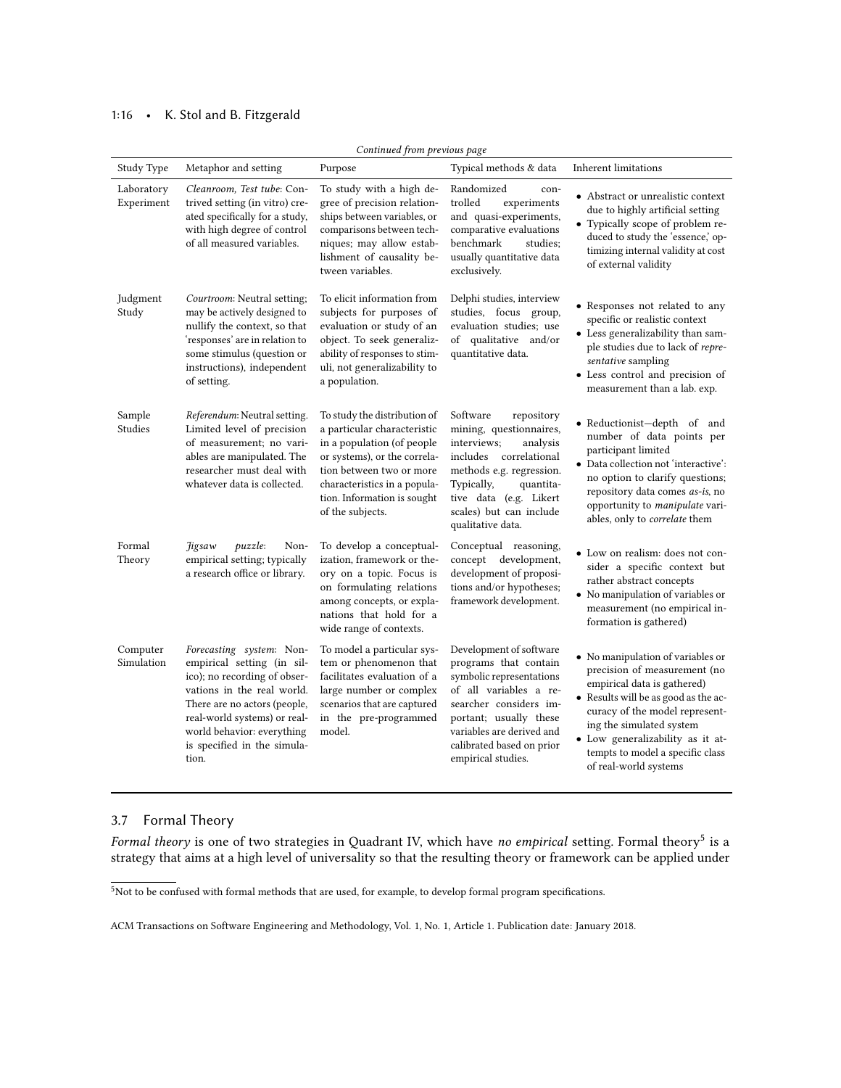## 1:16 • K. Stol and B. Fitzgerald

| Continued from previous page |                                                                                                                                                                                                                                                            |                                                                                                                                                                                                                                          |                                                                                                                                                                                                                                            |                                                                                                                                                                                                                                                                                                         |  |
|------------------------------|------------------------------------------------------------------------------------------------------------------------------------------------------------------------------------------------------------------------------------------------------------|------------------------------------------------------------------------------------------------------------------------------------------------------------------------------------------------------------------------------------------|--------------------------------------------------------------------------------------------------------------------------------------------------------------------------------------------------------------------------------------------|---------------------------------------------------------------------------------------------------------------------------------------------------------------------------------------------------------------------------------------------------------------------------------------------------------|--|
| Study Type                   | Metaphor and setting                                                                                                                                                                                                                                       | Purpose                                                                                                                                                                                                                                  | Typical methods & data                                                                                                                                                                                                                     | <b>Inherent limitations</b>                                                                                                                                                                                                                                                                             |  |
| Laboratory<br>Experiment     | Cleanroom, Test tube: Con-<br>trived setting (in vitro) cre-<br>ated specifically for a study,<br>with high degree of control<br>of all measured variables.                                                                                                | To study with a high de-<br>gree of precision relation-<br>ships between variables, or<br>comparisons between tech-<br>niques; may allow estab-<br>lishment of causality be-<br>tween variables.                                         | Randomized<br>con-<br>experiments<br>trolled<br>and quasi-experiments,<br>comparative evaluations<br>benchmark<br>studies;<br>usually quantitative data<br>exclusively.                                                                    | • Abstract or unrealistic context<br>due to highly artificial setting<br>• Typically scope of problem re-<br>duced to study the 'essence,' op-<br>timizing internal validity at cost<br>of external validity                                                                                            |  |
| Judgment<br>Study            | Courtroom: Neutral setting;<br>may be actively designed to<br>nullify the context, so that<br>'responses' are in relation to<br>some stimulus (question or<br>instructions), independent<br>of setting.                                                    | To elicit information from<br>subjects for purposes of<br>evaluation or study of an<br>object. To seek generaliz-<br>ability of responses to stim-<br>uli, not generalizability to<br>a population.                                      | Delphi studies, interview<br>studies, focus group,<br>evaluation studies; use<br>of qualitative and/or<br>quantitative data.                                                                                                               | • Responses not related to any<br>specific or realistic context<br>• Less generalizability than sam-<br>ple studies due to lack of repre-<br>sentative sampling<br>· Less control and precision of<br>measurement than a lab. exp.                                                                      |  |
| Sample<br>Studies            | Referendum: Neutral setting.<br>Limited level of precision<br>of measurement; no vari-<br>ables are manipulated. The<br>researcher must deal with<br>whatever data is collected.                                                                           | To study the distribution of<br>a particular characteristic<br>in a population (of people<br>or systems), or the correla-<br>tion between two or more<br>characteristics in a popula-<br>tion. Information is sought<br>of the subjects. | Software<br>repository<br>mining, questionnaires,<br>interviews;<br>analysis<br>includes<br>correlational<br>methods e.g. regression.<br>Typically,<br>quantita-<br>tive data (e.g. Likert<br>scales) but can include<br>qualitative data. | • Reductionist-depth of and<br>number of data points per<br>participant limited<br>• Data collection not 'interactive':<br>no option to clarify questions;<br>repository data comes as-is, no<br>opportunity to manipulate vari-<br>ables, only to correlate them                                       |  |
| Formal<br>Theory             | <i>Higsaw</i><br>puzzle:<br>Non-<br>empirical setting; typically<br>a research office or library.                                                                                                                                                          | To develop a conceptual-<br>ization, framework or the-<br>ory on a topic. Focus is<br>on formulating relations<br>among concepts, or expla-<br>nations that hold for a<br>wide range of contexts.                                        | Conceptual reasoning,<br>concept development,<br>development of proposi-<br>tions and/or hypotheses;<br>framework development.                                                                                                             | • Low on realism: does not con-<br>sider a specific context but<br>rather abstract concepts<br>• No manipulation of variables or<br>measurement (no empirical in-<br>formation is gathered)                                                                                                             |  |
| Computer<br>Simulation       | Forecasting system: Non-<br>empirical setting (in sil-<br>ico); no recording of obser-<br>vations in the real world.<br>There are no actors (people,<br>real-world systems) or real-<br>world behavior: everything<br>is specified in the simula-<br>tion. | To model a particular sys-<br>tem or phenomenon that<br>facilitates evaluation of a<br>large number or complex<br>scenarios that are captured<br>in the pre-programmed<br>model.                                                         | Development of software<br>programs that contain<br>symbolic representations<br>of all variables a re-<br>searcher considers im-<br>portant; usually these<br>variables are derived and<br>calibrated based on prior<br>empirical studies. | • No manipulation of variables or<br>precision of measurement (no<br>empirical data is gathered)<br>• Results will be as good as the ac-<br>curacy of the model represent-<br>ing the simulated system<br>· Low generalizability as it at-<br>tempts to model a specific class<br>of real-world systems |  |

# 3.7 Formal Theory

Formal theory is one of two strategies in Quadrant IV, which have no empirical setting. Formal theory<sup>[5](#page-15-0)</sup> is a strategy that aims at a high level of universality so that the resulting theory or framework can be applied under

<span id="page-15-0"></span> $5$ Not to be confused with formal methods that are used, for example, to develop formal program specifications.

ACM Transactions on Software Engineering and Methodology, Vol. 1, No. 1, Article 1. Publication date: January 2018.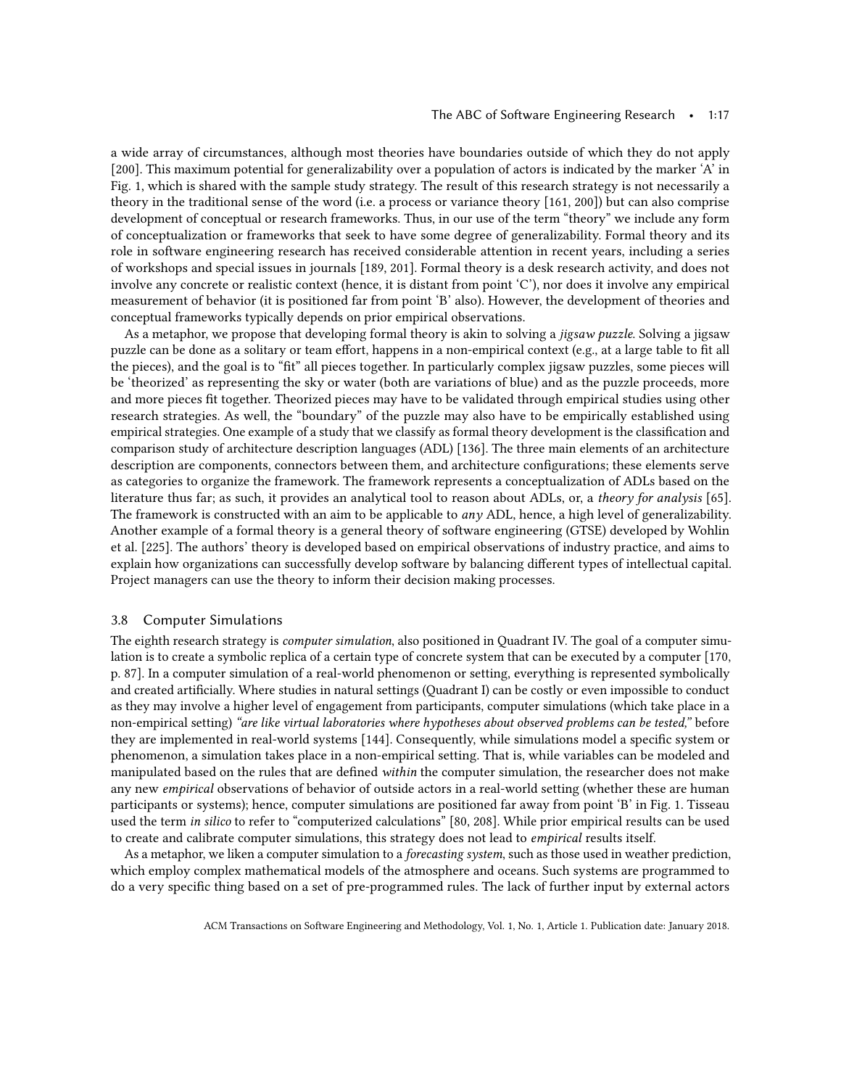a wide array of circumstances, although most theories have boundaries outside of which they do not apply [\[200\]](#page-49-16). This maximum potential for generalizability over a population of actors is indicated by the marker 'A' in Fig. [1,](#page-10-0) which is shared with the sample study strategy. The result of this research strategy is not necessarily a theory in the traditional sense of the word (i.e. a process or variance theory [\[161,](#page-48-16) [200\]](#page-49-16)) but can also comprise development of conceptual or research frameworks. Thus, in our use of the term "theory" we include any form of conceptualization or frameworks that seek to have some degree of generalizability. Formal theory and its role in software engineering research has received considerable attention in recent years, including a series of workshops and special issues in journals [\[189,](#page-48-17) [201\]](#page-49-5). Formal theory is a desk research activity, and does not involve any concrete or realistic context (hence, it is distant from point 'C'), nor does it involve any empirical measurement of behavior (it is positioned far from point 'B' also). However, the development of theories and conceptual frameworks typically depends on prior empirical observations.

As a metaphor, we propose that developing formal theory is akin to solving a jigsaw puzzle. Solving a jigsaw puzzle can be done as a solitary or team effort, happens in a non-empirical context (e.g., at a large table to fit all the pieces), and the goal is to "fit" all pieces together. In particularly complex jigsaw puzzles, some pieces will be 'theorized' as representing the sky or water (both are variations of blue) and as the puzzle proceeds, more and more pieces fit together. Theorized pieces may have to be validated through empirical studies using other research strategies. As well, the "boundary" of the puzzle may also have to be empirically established using empirical strategies. One example of a study that we classify as formal theory development is the classification and comparison study of architecture description languages (ADL) [\[136\]](#page-47-14). The three main elements of an architecture description are components, connectors between them, and architecture configurations; these elements serve as categories to organize the framework. The framework represents a conceptualization of ADLs based on the literature thus far; as such, it provides an analytical tool to reason about ADLs, or, a theory for analysis [\[65\]](#page-44-18). The framework is constructed with an aim to be applicable to *any* ADL, hence, a high level of generalizability. Another example of a formal theory is a general theory of software engineering (GTSE) developed by Wohlin et al. [\[225\]](#page-50-7). The authors' theory is developed based on empirical observations of industry practice, and aims to explain how organizations can successfully develop software by balancing different types of intellectual capital. Project managers can use the theory to inform their decision making processes.

## 3.8 Computer Simulations

The eighth research strategy is computer simulation, also positioned in Quadrant IV. The goal of a computer simulation is to create a symbolic replica of a certain type of concrete system that can be executed by a computer [\[170,](#page-48-4) p. 87]. In a computer simulation of a real-world phenomenon or setting, everything is represented symbolically and created artificially. Where studies in natural settings (Quadrant I) can be costly or even impossible to conduct as they may involve a higher level of engagement from participants, computer simulations (which take place in a non-empirical setting) "are like virtual laboratories where hypotheses about observed problems can be tested," before they are implemented in real-world systems [\[144\]](#page-47-15). Consequently, while simulations model a specific system or phenomenon, a simulation takes place in a non-empirical setting. That is, while variables can be modeled and manipulated based on the rules that are defined within the computer simulation, the researcher does not make any new empirical observations of behavior of outside actors in a real-world setting (whether these are human participants or systems); hence, computer simulations are positioned far away from point 'B' in Fig. [1.](#page-10-0) Tisseau used the term in silico to refer to "computerized calculations" [\[80,](#page-45-11) [208\]](#page-49-22). While prior empirical results can be used to create and calibrate computer simulations, this strategy does not lead to *empirical* results itself.

As a metaphor, we liken a computer simulation to a forecasting system, such as those used in weather prediction, which employ complex mathematical models of the atmosphere and oceans. Such systems are programmed to do a very specific thing based on a set of pre-programmed rules. The lack of further input by external actors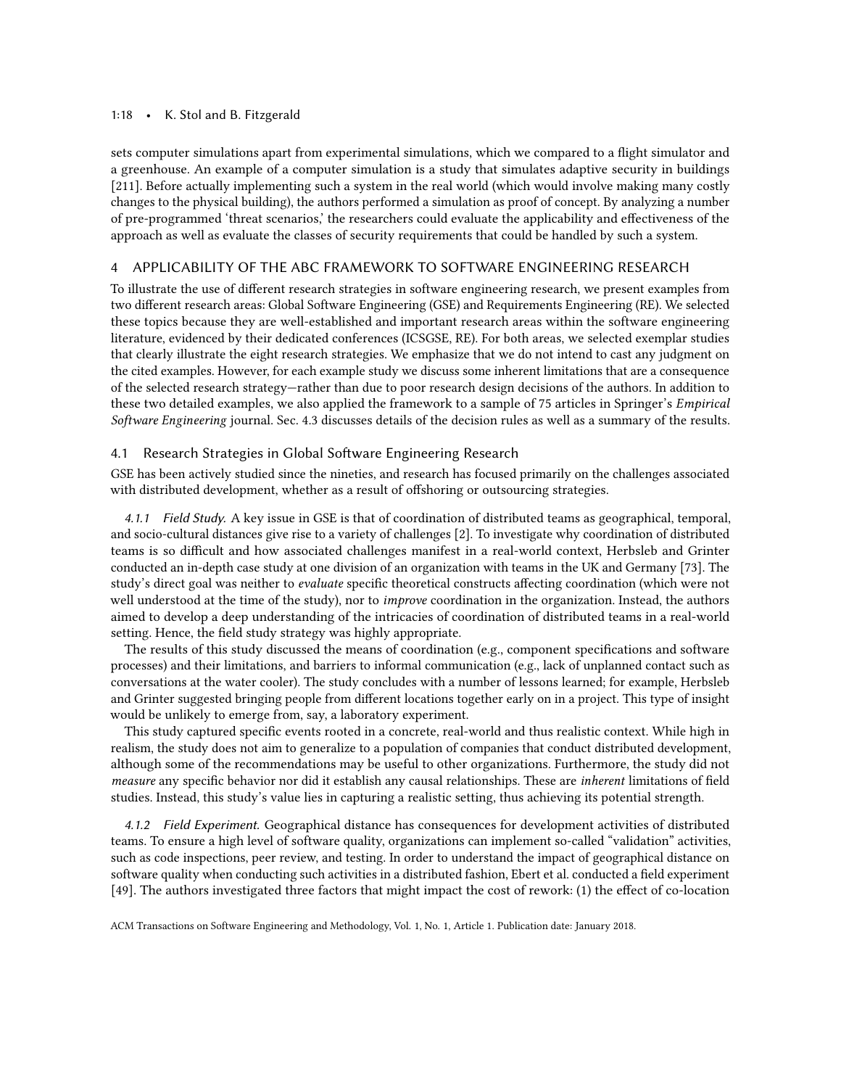## 1:18 • K. Stol and B. Fitzgerald

sets computer simulations apart from experimental simulations, which we compared to a flight simulator and a greenhouse. An example of a computer simulation is a study that simulates adaptive security in buildings [\[211\]](#page-49-10). Before actually implementing such a system in the real world (which would involve making many costly changes to the physical building), the authors performed a simulation as proof of concept. By analyzing a number of pre-programmed 'threat scenarios,' the researchers could evaluate the applicability and effectiveness of the approach as well as evaluate the classes of security requirements that could be handled by such a system.

## <span id="page-17-0"></span>4 APPLICABILITY OF THE ABC FRAMEWORK TO SOFTWARE ENGINEERING RESEARCH

To illustrate the use of different research strategies in software engineering research, we present examples from two different research areas: Global Software Engineering (GSE) and Requirements Engineering (RE). We selected these topics because they are well-established and important research areas within the software engineering literature, evidenced by their dedicated conferences (ICSGSE, RE). For both areas, we selected exemplar studies that clearly illustrate the eight research strategies. We emphasize that we do not intend to cast any judgment on the cited examples. However, for each example study we discuss some inherent limitations that are a consequence of the selected research strategy—rather than due to poor research design decisions of the authors. In addition to these two detailed examples, we also applied the framework to a sample of 75 articles in Springer's Empirical Software Engineering journal. Sec. 4.3 discusses details of the decision rules as well as a summary of the results.

## <span id="page-17-1"></span>Research Strategies in Global Software Engineering Research

GSE has been actively studied since the nineties, and research has focused primarily on the challenges associated with distributed development, whether as a result of offshoring or outsourcing strategies.

4.1.1 Field Study. A key issue in GSE is that of coordination of distributed teams as geographical, temporal, and socio-cultural distances give rise to a variety of challenges [\[2\]](#page-42-3). To investigate why coordination of distributed teams is so difficult and how associated challenges manifest in a real-world context, Herbsleb and Grinter conducted an in-depth case study at one division of an organization with teams in the UK and Germany [\[73\]](#page-45-4). The study's direct goal was neither to evaluate specific theoretical constructs affecting coordination (which were not well understood at the time of the study), nor to *improve* coordination in the organization. Instead, the authors aimed to develop a deep understanding of the intricacies of coordination of distributed teams in a real-world setting. Hence, the field study strategy was highly appropriate.

The results of this study discussed the means of coordination (e.g., component specifications and software processes) and their limitations, and barriers to informal communication (e.g., lack of unplanned contact such as conversations at the water cooler). The study concludes with a number of lessons learned; for example, Herbsleb and Grinter suggested bringing people from different locations together early on in a project. This type of insight would be unlikely to emerge from, say, a laboratory experiment.

This study captured specific events rooted in a concrete, real-world and thus realistic context. While high in realism, the study does not aim to generalize to a population of companies that conduct distributed development, although some of the recommendations may be useful to other organizations. Furthermore, the study did not measure any specific behavior nor did it establish any causal relationships. These are inherent limitations of field studies. Instead, this study's value lies in capturing a realistic setting, thus achieving its potential strength.

4.1.2 Field Experiment. Geographical distance has consequences for development activities of distributed teams. To ensure a high level of software quality, organizations can implement so-called "validation" activities, such as code inspections, peer review, and testing. In order to understand the impact of geographical distance on software quality when conducting such activities in a distributed fashion, Ebert et al. conducted a field experiment [\[49\]](#page-44-19). The authors investigated three factors that might impact the cost of rework: (1) the effect of co-location

ACM Transactions on Software Engineering and Methodology, Vol. 1, No. 1, Article 1. Publication date: January 2018.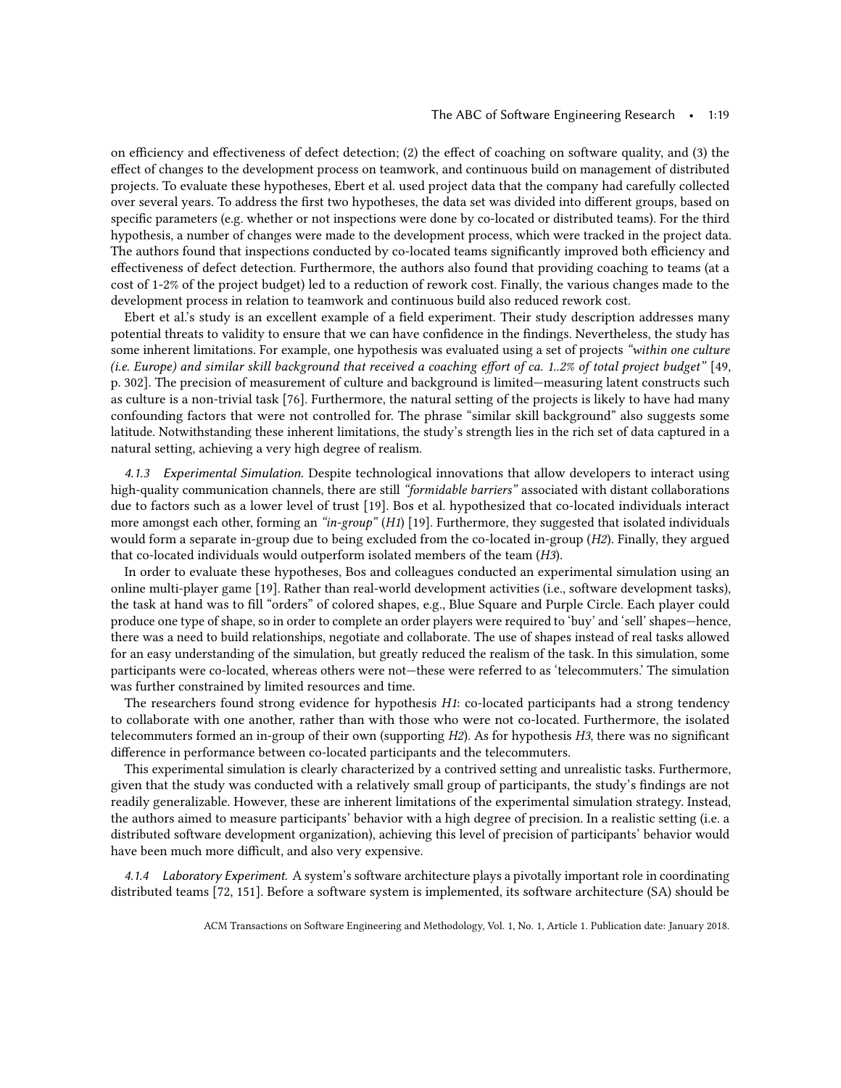on efficiency and effectiveness of defect detection; (2) the effect of coaching on software quality, and (3) the effect of changes to the development process on teamwork, and continuous build on management of distributed projects. To evaluate these hypotheses, Ebert et al. used project data that the company had carefully collected over several years. To address the first two hypotheses, the data set was divided into different groups, based on specific parameters (e.g. whether or not inspections were done by co-located or distributed teams). For the third hypothesis, a number of changes were made to the development process, which were tracked in the project data. The authors found that inspections conducted by co-located teams significantly improved both efficiency and effectiveness of defect detection. Furthermore, the authors also found that providing coaching to teams (at a cost of 1-2% of the project budget) led to a reduction of rework cost. Finally, the various changes made to the development process in relation to teamwork and continuous build also reduced rework cost.

Ebert et al.'s study is an excellent example of a field experiment. Their study description addresses many potential threats to validity to ensure that we can have confidence in the findings. Nevertheless, the study has some inherent limitations. For example, one hypothesis was evaluated using a set of projects "within one culture (i.e. Europe) and similar skill background that received a coaching effort of ca. 1..2% of total project budget" [\[49,](#page-44-19) p. 302]. The precision of measurement of culture and background is limited—measuring latent constructs such as culture is a non-trivial task [\[76\]](#page-45-12). Furthermore, the natural setting of the projects is likely to have had many confounding factors that were not controlled for. The phrase "similar skill background" also suggests some latitude. Notwithstanding these inherent limitations, the study's strength lies in the rich set of data captured in a natural setting, achieving a very high degree of realism.

4.1.3 Experimental Simulation. Despite technological innovations that allow developers to interact using high-quality communication channels, there are still "formidable barriers" associated with distant collaborations due to factors such as a lower level of trust [\[19\]](#page-43-14). Bos et al. hypothesized that co-located individuals interact more amongst each other, forming an "in-group" (H1) [\[19\]](#page-43-14). Furthermore, they suggested that isolated individuals would form a separate in-group due to being excluded from the co-located in-group (H2). Finally, they argued that co-located individuals would outperform isolated members of the team (H3).

In order to evaluate these hypotheses, Bos and colleagues conducted an experimental simulation using an online multi-player game [\[19\]](#page-43-14). Rather than real-world development activities (i.e., software development tasks), the task at hand was to fill "orders" of colored shapes, e.g., Blue Square and Purple Circle. Each player could produce one type of shape, so in order to complete an order players were required to 'buy' and 'sell' shapes—hence, there was a need to build relationships, negotiate and collaborate. The use of shapes instead of real tasks allowed for an easy understanding of the simulation, but greatly reduced the realism of the task. In this simulation, some participants were co-located, whereas others were not—these were referred to as 'telecommuters.' The simulation was further constrained by limited resources and time.

The researchers found strong evidence for hypothesis H1: co-located participants had a strong tendency to collaborate with one another, rather than with those who were not co-located. Furthermore, the isolated telecommuters formed an in-group of their own (supporting  $H2$ ). As for hypothesis  $H3$ , there was no significant difference in performance between co-located participants and the telecommuters.

This experimental simulation is clearly characterized by a contrived setting and unrealistic tasks. Furthermore, given that the study was conducted with a relatively small group of participants, the study's findings are not readily generalizable. However, these are inherent limitations of the experimental simulation strategy. Instead, the authors aimed to measure participants' behavior with a high degree of precision. In a realistic setting (i.e. a distributed software development organization), achieving this level of precision of participants' behavior would have been much more difficult, and also very expensive.

4.1.4 Laboratory Experiment. A system's software architecture plays a pivotally important role in coordinating distributed teams [\[72,](#page-45-13) [151\]](#page-47-16). Before a software system is implemented, its software architecture (SA) should be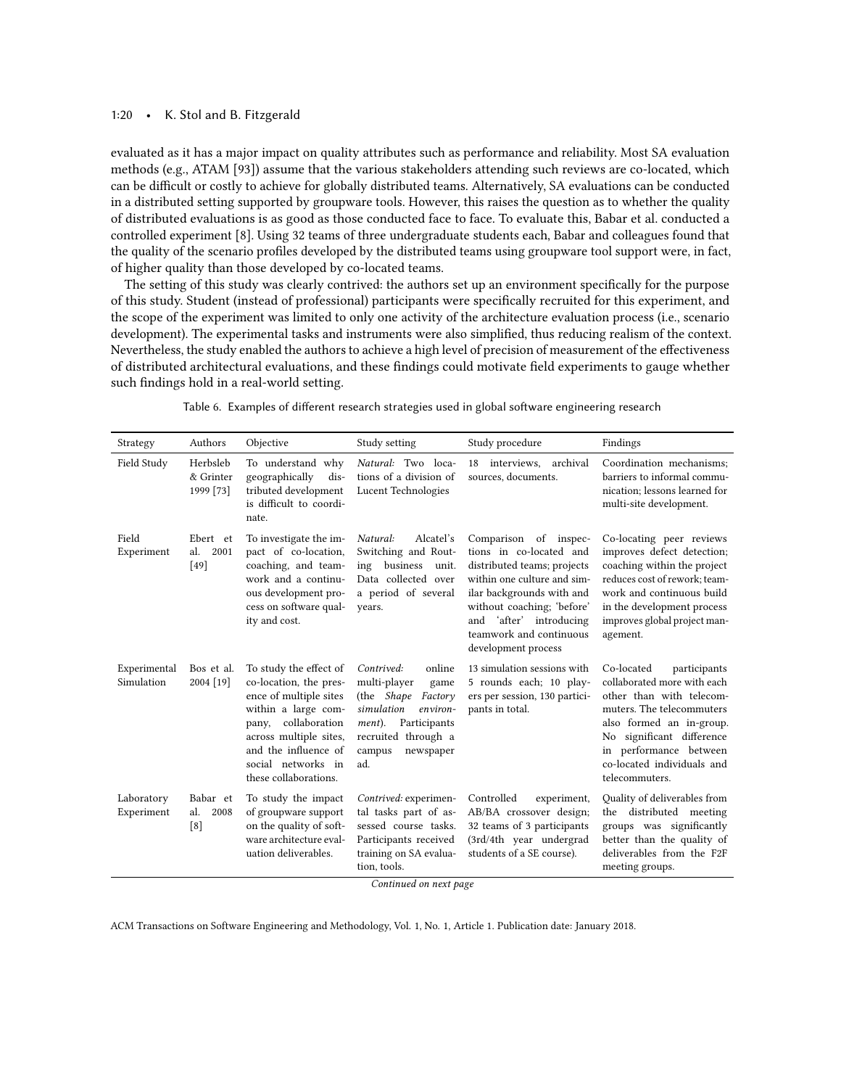#### 1:20 • K. Stol and B. Fitzgerald

evaluated as it has a major impact on quality attributes such as performance and reliability. Most SA evaluation methods (e.g., ATAM [\[93\]](#page-45-14)) assume that the various stakeholders attending such reviews are co-located, which can be difficult or costly to achieve for globally distributed teams. Alternatively, SA evaluations can be conducted in a distributed setting supported by groupware tools. However, this raises the question as to whether the quality of distributed evaluations is as good as those conducted face to face. To evaluate this, Babar et al. conducted a controlled experiment [\[8\]](#page-42-4). Using 32 teams of three undergraduate students each, Babar and colleagues found that the quality of the scenario profiles developed by the distributed teams using groupware tool support were, in fact, of higher quality than those developed by co-located teams.

The setting of this study was clearly contrived: the authors set up an environment specifically for the purpose of this study. Student (instead of professional) participants were specifically recruited for this experiment, and the scope of the experiment was limited to only one activity of the architecture evaluation process (i.e., scenario development). The experimental tasks and instruments were also simplified, thus reducing realism of the context. Nevertheless, the study enabled the authors to achieve a high level of precision of measurement of the effectiveness of distributed architectural evaluations, and these findings could motivate field experiments to gauge whether such findings hold in a real-world setting.

<span id="page-19-0"></span>

| Strategy                   | Authors                            | Objective                                                                                                                                                                                                                    | Study setting                                                                                                                                                                  | Study procedure                                                                                                                                                                                                                                           | Findings                                                                                                                                                                                                                                              |
|----------------------------|------------------------------------|------------------------------------------------------------------------------------------------------------------------------------------------------------------------------------------------------------------------------|--------------------------------------------------------------------------------------------------------------------------------------------------------------------------------|-----------------------------------------------------------------------------------------------------------------------------------------------------------------------------------------------------------------------------------------------------------|-------------------------------------------------------------------------------------------------------------------------------------------------------------------------------------------------------------------------------------------------------|
| Field Study                | Herbsleb<br>& Grinter<br>1999 [73] | To understand why<br>geographically<br>dis-<br>tributed development<br>is difficult to coordi-<br>nate.                                                                                                                      | Natural: Two loca-<br>tions of a division of<br>Lucent Technologies                                                                                                            | archival<br>interviews,<br>18<br>sources, documents.                                                                                                                                                                                                      | Coordination mechanisms;<br>barriers to informal commu-<br>nication; lessons learned for<br>multi-site development.                                                                                                                                   |
| Field<br>Experiment        | Ebert et<br>al.<br>2001<br>[49]    | To investigate the im-<br>pact of co-location,<br>coaching, and team-<br>work and a continu-<br>ous development pro-<br>cess on software qual-<br>ity and cost.                                                              | Natural:<br>Alcatel's<br>Switching and Rout-<br>business<br>unit.<br>ing<br>Data collected over<br>a period of several<br>years.                                               | Comparison of inspec-<br>tions in co-located and<br>distributed teams; projects<br>within one culture and sim-<br>ilar backgrounds with and<br>without coaching; 'before'<br>'after' introducing<br>and<br>teamwork and continuous<br>development process | Co-locating peer reviews<br>improves defect detection;<br>coaching within the project<br>reduces cost of rework; team-<br>work and continuous build<br>in the development process<br>improves global project man-<br>agement.                         |
| Experimental<br>Simulation | Bos et al.<br>2004 [19]            | To study the effect of<br>co-location, the pres-<br>ence of multiple sites<br>within a large com-<br>collaboration<br>pany,<br>across multiple sites,<br>and the influence of<br>social networks in<br>these collaborations. | online<br>Contrived:<br>multi-player<br>game<br>(the Shape<br>Factory<br>simulation<br>environ-<br>Participants<br>ment).<br>recruited through a<br>campus<br>newspaper<br>ad. | 13 simulation sessions with<br>5 rounds each; 10 play-<br>ers per session, 130 partici-<br>pants in total.                                                                                                                                                | Co-located<br>participants<br>collaborated more with each<br>other than with telecom-<br>muters. The telecommuters<br>also formed an in-group.<br>No significant difference<br>in performance between<br>co-located individuals and<br>telecommuters. |
| Laboratory<br>Experiment   | Babar et<br>al.<br>2008<br>[8]     | To study the impact<br>of groupware support<br>on the quality of soft-<br>ware architecture eval-<br>uation deliverables.                                                                                                    | Contrived: experimen-<br>tal tasks part of as-<br>sessed course tasks.<br>Participants received<br>training on SA evalua-<br>tion, tools.<br>Continued on next page            | Controlled<br>experiment,<br>AB/BA crossover design;<br>32 teams of 3 participants<br>(3rd/4th year undergrad<br>students of a SE course).                                                                                                                | Quality of deliverables from<br>the distributed meeting<br>groups was significantly<br>better than the quality of<br>deliverables from the F2F<br>meeting groups.                                                                                     |

Table 6. Examples of different research strategies used in global software engineering research

Continued on next page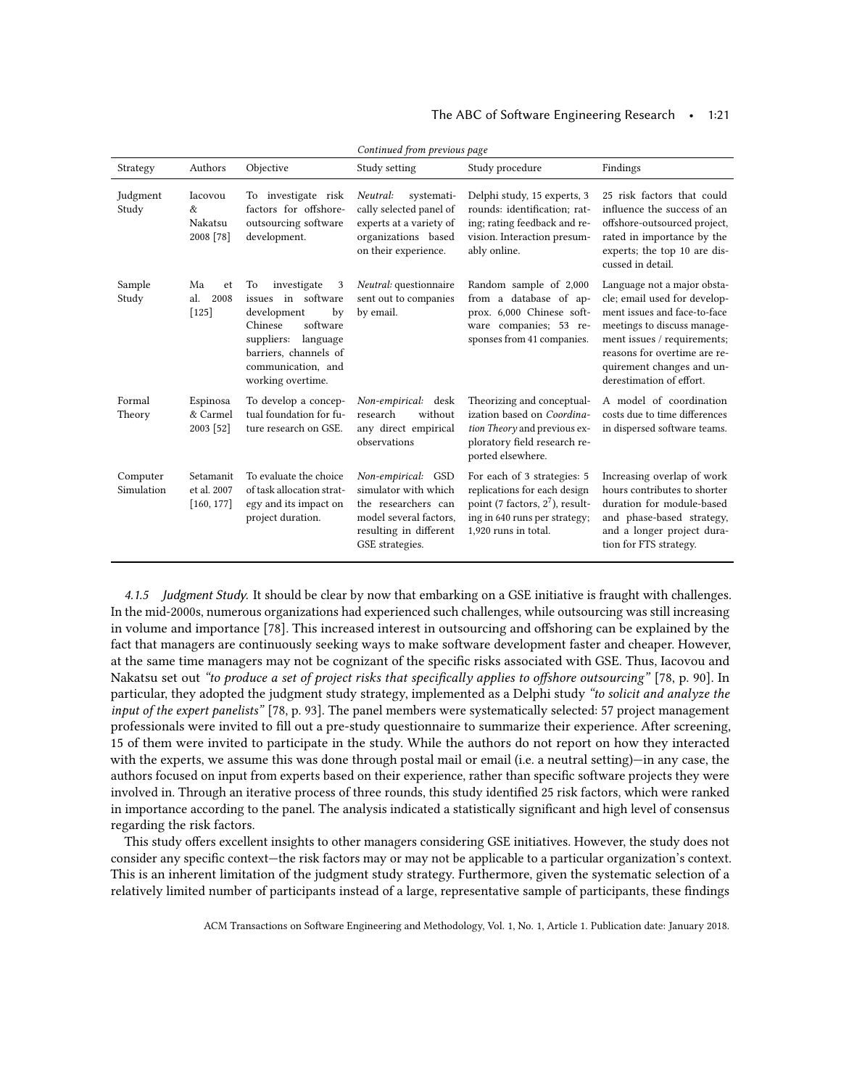## The ABC of Software Engineering Research • 1:21

| Strategy               | Authors                                | Objective                                                                                                                                                                                 | Study setting                                                                                                                            | Study procedure                                                                                                                                            | Findings                                                                                                                                                                                                                                           |
|------------------------|----------------------------------------|-------------------------------------------------------------------------------------------------------------------------------------------------------------------------------------------|------------------------------------------------------------------------------------------------------------------------------------------|------------------------------------------------------------------------------------------------------------------------------------------------------------|----------------------------------------------------------------------------------------------------------------------------------------------------------------------------------------------------------------------------------------------------|
| Judgment<br>Study      | Iacovou<br>&<br>Nakatsu<br>2008 [78]   | To investigate risk<br>factors for offshore-<br>outsourcing software<br>development.                                                                                                      | Neutral:<br>systemati-<br>cally selected panel of<br>experts at a variety of<br>organizations based<br>on their experience.              | Delphi study, 15 experts, 3<br>rounds: identification; rat-<br>ing; rating feedback and re-<br>vision. Interaction presum-<br>ably online.                 | 25 risk factors that could<br>influence the success of an<br>offshore-outsourced project,<br>rated in importance by the<br>experts; the top 10 are dis-<br>cussed in detail.                                                                       |
| Sample<br>Study        | Ma<br>et<br>al.<br>2008<br>$[125]$     | investigate<br>3<br>To<br>in software<br>issues<br>development<br>by<br>software<br>Chinese<br>suppliers:<br>language<br>barriers, channels of<br>communication, and<br>working overtime. | Neutral: questionnaire<br>sent out to companies<br>by email.                                                                             | Random sample of 2,000<br>from a database of ap-<br>prox. 6,000 Chinese soft-<br>ware companies; 53 re-<br>sponses from 41 companies.                      | Language not a major obsta-<br>cle; email used for develop-<br>ment issues and face-to-face<br>meetings to discuss manage-<br>ment issues / requirements;<br>reasons for overtime are re-<br>quirement changes and un-<br>derestimation of effort. |
| Formal<br>Theory       | Espinosa<br>& Carmel<br>2003 [52]      | To develop a concep-<br>tual foundation for fu-<br>ture research on GSE.                                                                                                                  | Non-empirical: desk<br>research<br>without<br>any direct empirical<br>observations                                                       | Theorizing and conceptual-<br>ization based on Coordina-<br>tion Theory and previous ex-<br>ploratory field research re-<br>ported elsewhere.              | A model of coordination<br>costs due to time differences<br>in dispersed software teams.                                                                                                                                                           |
| Computer<br>Simulation | Setamanit<br>et al. 2007<br>[160, 177] | To evaluate the choice<br>of task allocation strat-<br>egy and its impact on<br>project duration.                                                                                         | Non-empirical: GSD<br>simulator with which<br>the researchers can<br>model several factors,<br>resulting in different<br>GSE strategies. | For each of 3 strategies: 5<br>replications for each design<br>point (7 factors, $2^7$ ), result-<br>ing in 640 runs per strategy;<br>1,920 runs in total. | Increasing overlap of work<br>hours contributes to shorter<br>duration for module-based<br>and phase-based strategy,<br>and a longer project dura-<br>tion for FTS strategy.                                                                       |

Continued from previous page

4.1.5 Judgment Study. It should be clear by now that embarking on a GSE initiative is fraught with challenges. In the mid-2000s, numerous organizations had experienced such challenges, while outsourcing was still increasing in volume and importance [\[78\]](#page-45-10). This increased interest in outsourcing and offshoring can be explained by the fact that managers are continuously seeking ways to make software development faster and cheaper. However, at the same time managers may not be cognizant of the specific risks associated with GSE. Thus, Iacovou and Nakatsu set out "to produce a set of project risks that specifically applies to offshore outsourcing" [\[78,](#page-45-10) p. 90]. In particular, they adopted the judgment study strategy, implemented as a Delphi study "to solicit and analyze the input of the expert panelists" [\[78,](#page-45-10) p. 93]. The panel members were systematically selected: 57 project management professionals were invited to fill out a pre-study questionnaire to summarize their experience. After screening, 15 of them were invited to participate in the study. While the authors do not report on how they interacted with the experts, we assume this was done through postal mail or email (i.e. a neutral setting)—in any case, the authors focused on input from experts based on their experience, rather than specific software projects they were involved in. Through an iterative process of three rounds, this study identified 25 risk factors, which were ranked in importance according to the panel. The analysis indicated a statistically significant and high level of consensus regarding the risk factors.

This study offers excellent insights to other managers considering GSE initiatives. However, the study does not consider any specific context—the risk factors may or may not be applicable to a particular organization's context. This is an inherent limitation of the judgment study strategy. Furthermore, given the systematic selection of a relatively limited number of participants instead of a large, representative sample of participants, these findings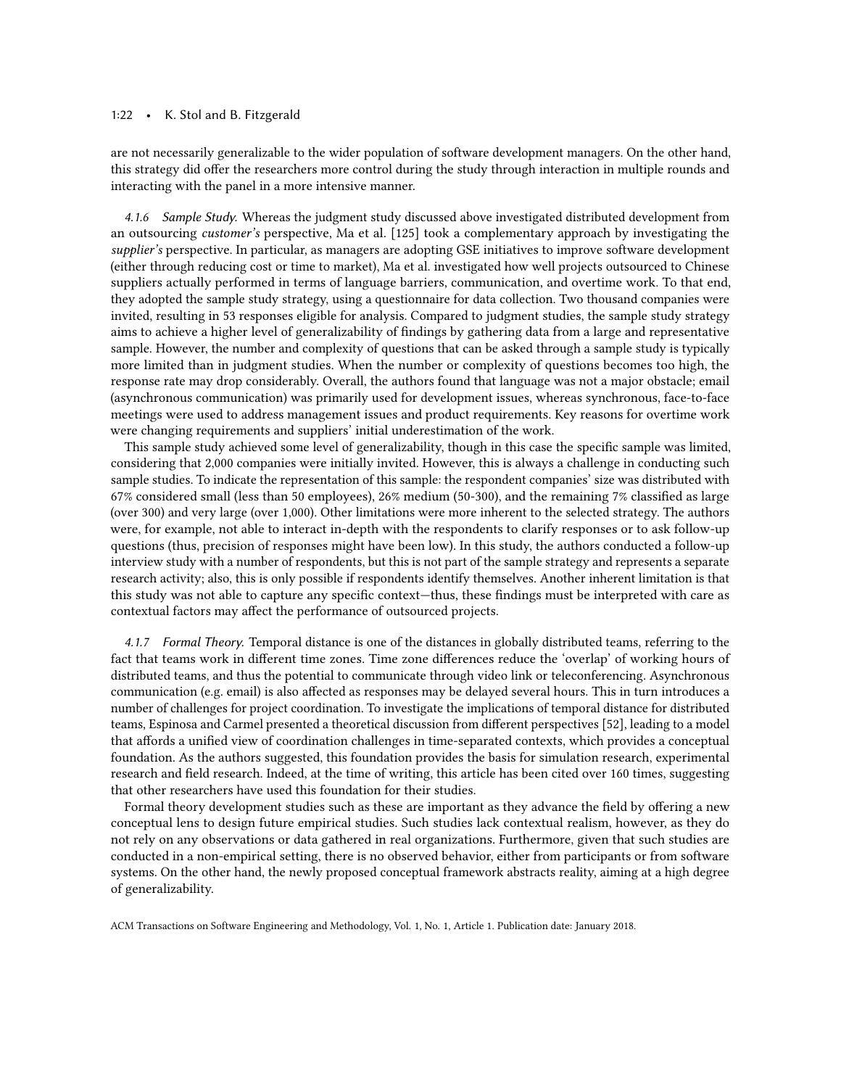### 1:22 • K. Stol and B. Fitzgerald

are not necessarily generalizable to the wider population of software development managers. On the other hand, this strategy did offer the researchers more control during the study through interaction in multiple rounds and interacting with the panel in a more intensive manner.

4.1.6 Sample Study. Whereas the judgment study discussed above investigated distributed development from an outsourcing customer's perspective, Ma et al. [\[125\]](#page-46-14) took a complementary approach by investigating the supplier's perspective. In particular, as managers are adopting GSE initiatives to improve software development (either through reducing cost or time to market), Ma et al. investigated how well projects outsourced to Chinese suppliers actually performed in terms of language barriers, communication, and overtime work. To that end, they adopted the sample study strategy, using a questionnaire for data collection. Two thousand companies were invited, resulting in 53 responses eligible for analysis. Compared to judgment studies, the sample study strategy aims to achieve a higher level of generalizability of findings by gathering data from a large and representative sample. However, the number and complexity of questions that can be asked through a sample study is typically more limited than in judgment studies. When the number or complexity of questions becomes too high, the response rate may drop considerably. Overall, the authors found that language was not a major obstacle; email (asynchronous communication) was primarily used for development issues, whereas synchronous, face-to-face meetings were used to address management issues and product requirements. Key reasons for overtime work were changing requirements and suppliers' initial underestimation of the work.

This sample study achieved some level of generalizability, though in this case the specific sample was limited, considering that 2,000 companies were initially invited. However, this is always a challenge in conducting such sample studies. To indicate the representation of this sample: the respondent companies' size was distributed with 67% considered small (less than 50 employees), 26% medium (50-300), and the remaining 7% classified as large (over 300) and very large (over 1,000). Other limitations were more inherent to the selected strategy. The authors were, for example, not able to interact in-depth with the respondents to clarify responses or to ask follow-up questions (thus, precision of responses might have been low). In this study, the authors conducted a follow-up interview study with a number of respondents, but this is not part of the sample strategy and represents a separate research activity; also, this is only possible if respondents identify themselves. Another inherent limitation is that this study was not able to capture any specific context—thus, these findings must be interpreted with care as contextual factors may affect the performance of outsourced projects.

4.1.7 Formal Theory. Temporal distance is one of the distances in globally distributed teams, referring to the fact that teams work in different time zones. Time zone differences reduce the 'overlap' of working hours of distributed teams, and thus the potential to communicate through video link or teleconferencing. Asynchronous communication (e.g. email) is also affected as responses may be delayed several hours. This in turn introduces a number of challenges for project coordination. To investigate the implications of temporal distance for distributed teams, Espinosa and Carmel presented a theoretical discussion from different perspectives [\[52\]](#page-44-20), leading to a model that affords a unified view of coordination challenges in time-separated contexts, which provides a conceptual foundation. As the authors suggested, this foundation provides the basis for simulation research, experimental research and field research. Indeed, at the time of writing, this article has been cited over 160 times, suggesting that other researchers have used this foundation for their studies.

Formal theory development studies such as these are important as they advance the field by offering a new conceptual lens to design future empirical studies. Such studies lack contextual realism, however, as they do not rely on any observations or data gathered in real organizations. Furthermore, given that such studies are conducted in a non-empirical setting, there is no observed behavior, either from participants or from software systems. On the other hand, the newly proposed conceptual framework abstracts reality, aiming at a high degree of generalizability.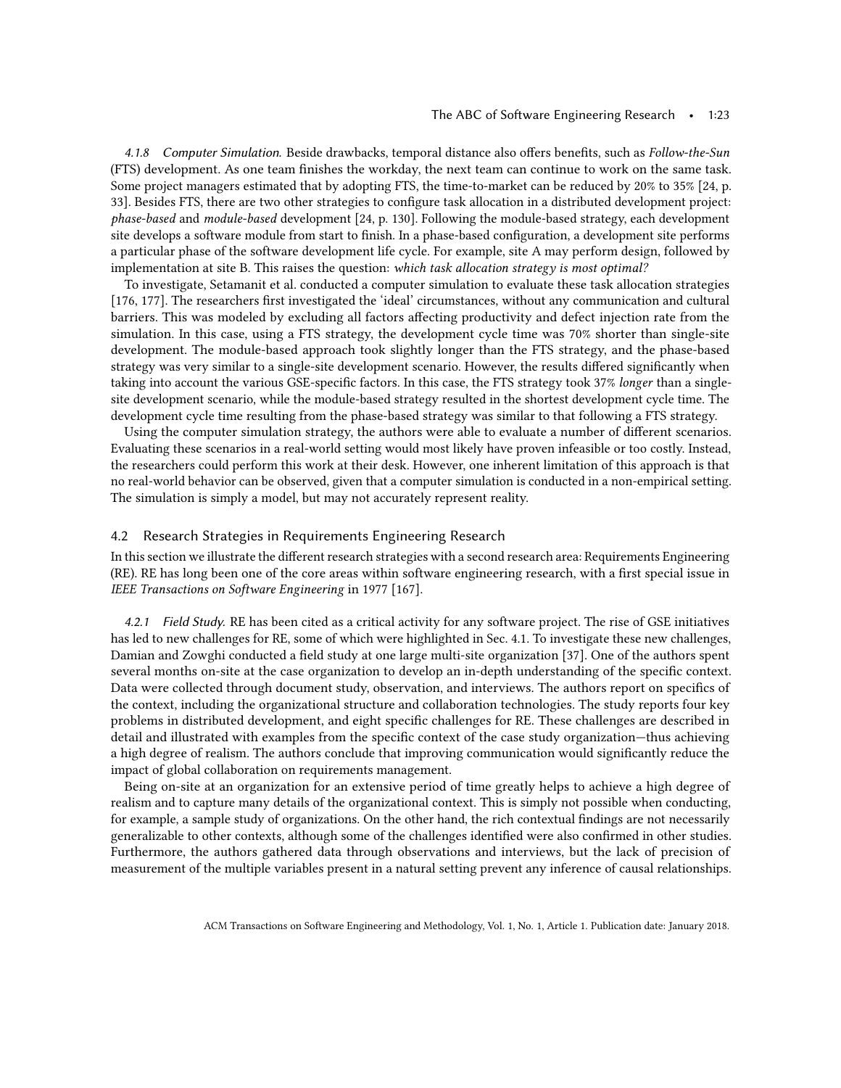#### The ABC of Software Engineering Research • 1:23

4.1.8 Computer Simulation. Beside drawbacks, temporal distance also offers benefits, such as Follow-the-Sun (FTS) development. As one team finishes the workday, the next team can continue to work on the same task. Some project managers estimated that by adopting FTS, the time-to-market can be reduced by 20% to 35% [\[24,](#page-43-15) p. 33]. Besides FTS, there are two other strategies to configure task allocation in a distributed development project: phase-based and module-based development [\[24,](#page-43-15) p. 130]. Following the module-based strategy, each development site develops a software module from start to finish. In a phase-based configuration, a development site performs a particular phase of the software development life cycle. For example, site A may perform design, followed by implementation at site B. This raises the question: which task allocation strategy is most optimal?

To investigate, Setamanit et al. conducted a computer simulation to evaluate these task allocation strategies [\[176,](#page-48-21) [177\]](#page-48-20). The researchers first investigated the 'ideal' circumstances, without any communication and cultural barriers. This was modeled by excluding all factors affecting productivity and defect injection rate from the simulation. In this case, using a FTS strategy, the development cycle time was 70% shorter than single-site development. The module-based approach took slightly longer than the FTS strategy, and the phase-based strategy was very similar to a single-site development scenario. However, the results differed significantly when taking into account the various GSE-specific factors. In this case, the FTS strategy took 37% longer than a singlesite development scenario, while the module-based strategy resulted in the shortest development cycle time. The development cycle time resulting from the phase-based strategy was similar to that following a FTS strategy.

Using the computer simulation strategy, the authors were able to evaluate a number of different scenarios. Evaluating these scenarios in a real-world setting would most likely have proven infeasible or too costly. Instead, the researchers could perform this work at their desk. However, one inherent limitation of this approach is that no real-world behavior can be observed, given that a computer simulation is conducted in a non-empirical setting. The simulation is simply a model, but may not accurately represent reality.

## 4.2 Research Strategies in Requirements Engineering Research

In this section we illustrate the different research strategies with a second research area: Requirements Engineering (RE). RE has long been one of the core areas within software engineering research, with a first special issue in IEEE Transactions on Software Engineering in 1977 [\[167\]](#page-48-22).

4.2.1 Field Study. RE has been cited as a critical activity for any software project. The rise of GSE initiatives has led to new challenges for RE, some of which were highlighted in Sec. [4.1.](#page-17-1) To investigate these new challenges, Damian and Zowghi conducted a field study at one large multi-site organization [\[37\]](#page-43-16). One of the authors spent several months on-site at the case organization to develop an in-depth understanding of the specific context. Data were collected through document study, observation, and interviews. The authors report on specifics of the context, including the organizational structure and collaboration technologies. The study reports four key problems in distributed development, and eight specific challenges for RE. These challenges are described in detail and illustrated with examples from the specific context of the case study organization—thus achieving a high degree of realism. The authors conclude that improving communication would significantly reduce the impact of global collaboration on requirements management.

<span id="page-22-0"></span>Being on-site at an organization for an extensive period of time greatly helps to achieve a high degree of realism and to capture many details of the organizational context. This is simply not possible when conducting, for example, a sample study of organizations. On the other hand, the rich contextual findings are not necessarily generalizable to other contexts, although some of the challenges identified were also confirmed in other studies. Furthermore, the authors gathered data through observations and interviews, but the lack of precision of measurement of the multiple variables present in a natural setting prevent any inference of causal relationships.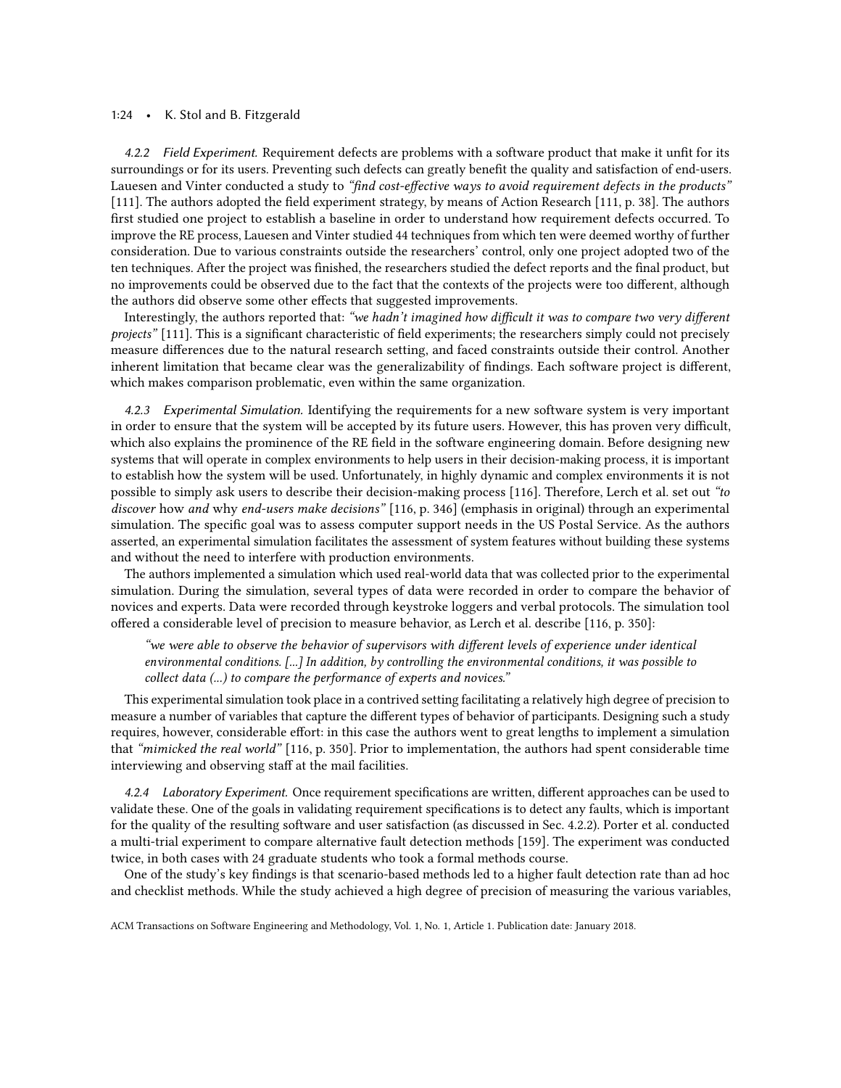#### 1:24 • K. Stol and B. Fitzgerald

4.2.2 Field Experiment. Requirement defects are problems with a software product that make it unfit for its surroundings or for its users. Preventing such defects can greatly benefit the quality and satisfaction of end-users. Lauesen and Vinter conducted a study to "find cost-effective ways to avoid requirement defects in the products" [\[111\]](#page-46-15). The authors adopted the field experiment strategy, by means of Action Research [\[111,](#page-46-15) p. 38]. The authors first studied one project to establish a baseline in order to understand how requirement defects occurred. To improve the RE process, Lauesen and Vinter studied 44 techniques from which ten were deemed worthy of further consideration. Due to various constraints outside the researchers' control, only one project adopted two of the ten techniques. After the project was finished, the researchers studied the defect reports and the final product, but no improvements could be observed due to the fact that the contexts of the projects were too different, although the authors did observe some other effects that suggested improvements.

Interestingly, the authors reported that: "we hadn't imagined how difficult it was to compare two very different projects" [\[111\]](#page-46-15). This is a significant characteristic of field experiments; the researchers simply could not precisely measure differences due to the natural research setting, and faced constraints outside their control. Another inherent limitation that became clear was the generalizability of findings. Each software project is different, which makes comparison problematic, even within the same organization.

4.2.3 Experimental Simulation. Identifying the requirements for a new software system is very important in order to ensure that the system will be accepted by its future users. However, this has proven very difficult, which also explains the prominence of the RE field in the software engineering domain. Before designing new systems that will operate in complex environments to help users in their decision-making process, it is important to establish how the system will be used. Unfortunately, in highly dynamic and complex environments it is not possible to simply ask users to describe their decision-making process [\[116\]](#page-46-16). Therefore, Lerch et al. set out "to discover how and why end-users make decisions" [\[116,](#page-46-16) p. 346] (emphasis in original) through an experimental simulation. The specific goal was to assess computer support needs in the US Postal Service. As the authors asserted, an experimental simulation facilitates the assessment of system features without building these systems and without the need to interfere with production environments.

The authors implemented a simulation which used real-world data that was collected prior to the experimental simulation. During the simulation, several types of data were recorded in order to compare the behavior of novices and experts. Data were recorded through keystroke loggers and verbal protocols. The simulation tool offered a considerable level of precision to measure behavior, as Lerch et al. describe [\[116,](#page-46-16) p. 350]:

"we were able to observe the behavior of supervisors with different levels of experience under identical environmental conditions. [...] In addition, by controlling the environmental conditions, it was possible to collect data (...) to compare the performance of experts and novices."

This experimental simulation took place in a contrived setting facilitating a relatively high degree of precision to measure a number of variables that capture the different types of behavior of participants. Designing such a study requires, however, considerable effort: in this case the authors went to great lengths to implement a simulation that "mimicked the real world" [\[116,](#page-46-16) p. 350]. Prior to implementation, the authors had spent considerable time interviewing and observing staff at the mail facilities.

4.2.4 Laboratory Experiment. Once requirement specifications are written, different approaches can be used to validate these. One of the goals in validating requirement specifications is to detect any faults, which is important for the quality of the resulting software and user satisfaction (as discussed in Sec. [4.2.2\)](#page-22-0). Porter et al. conducted a multi-trial experiment to compare alternative fault detection methods [\[159\]](#page-47-18). The experiment was conducted twice, in both cases with 24 graduate students who took a formal methods course.

One of the study's key findings is that scenario-based methods led to a higher fault detection rate than ad hoc and checklist methods. While the study achieved a high degree of precision of measuring the various variables,

ACM Transactions on Software Engineering and Methodology, Vol. 1, No. 1, Article 1. Publication date: January 2018.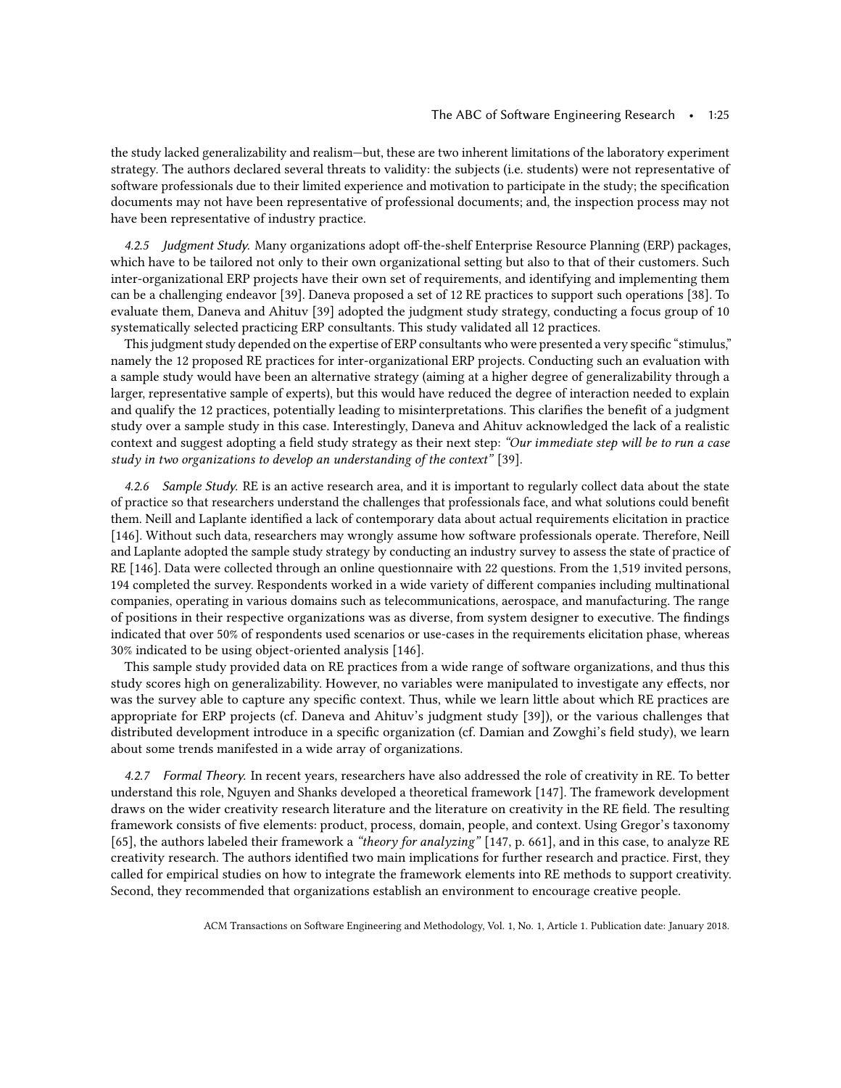the study lacked generalizability and realism—but, these are two inherent limitations of the laboratory experiment strategy. The authors declared several threats to validity: the subjects (i.e. students) were not representative of software professionals due to their limited experience and motivation to participate in the study; the specification documents may not have been representative of professional documents; and, the inspection process may not have been representative of industry practice.

4.2.5 Judgment Study. Many organizations adopt off-the-shelf Enterprise Resource Planning (ERP) packages, which have to be tailored not only to their own organizational setting but also to that of their customers. Such inter-organizational ERP projects have their own set of requirements, and identifying and implementing them can be a challenging endeavor [\[39\]](#page-43-17). Daneva proposed a set of 12 RE practices to support such operations [\[38\]](#page-43-18). To evaluate them, Daneva and Ahituv [\[39\]](#page-43-17) adopted the judgment study strategy, conducting a focus group of 10 systematically selected practicing ERP consultants. This study validated all 12 practices.

This judgment study depended on the expertise of ERP consultants who were presented a very specific "stimulus," namely the 12 proposed RE practices for inter-organizational ERP projects. Conducting such an evaluation with a sample study would have been an alternative strategy (aiming at a higher degree of generalizability through a larger, representative sample of experts), but this would have reduced the degree of interaction needed to explain and qualify the 12 practices, potentially leading to misinterpretations. This clarifies the benefit of a judgment study over a sample study in this case. Interestingly, Daneva and Ahituv acknowledged the lack of a realistic context and suggest adopting a field study strategy as their next step: "Our immediate step will be to run a case study in two organizations to develop an understanding of the context" [\[39\]](#page-43-17).

4.2.6 Sample Study. RE is an active research area, and it is important to regularly collect data about the state of practice so that researchers understand the challenges that professionals face, and what solutions could benefit them. Neill and Laplante identified a lack of contemporary data about actual requirements elicitation in practice [\[146\]](#page-47-19). Without such data, researchers may wrongly assume how software professionals operate. Therefore, Neill and Laplante adopted the sample study strategy by conducting an industry survey to assess the state of practice of RE [\[146\]](#page-47-19). Data were collected through an online questionnaire with 22 questions. From the 1,519 invited persons, 194 completed the survey. Respondents worked in a wide variety of different companies including multinational companies, operating in various domains such as telecommunications, aerospace, and manufacturing. The range of positions in their respective organizations was as diverse, from system designer to executive. The findings indicated that over 50% of respondents used scenarios or use-cases in the requirements elicitation phase, whereas 30% indicated to be using object-oriented analysis [\[146\]](#page-47-19).

This sample study provided data on RE practices from a wide range of software organizations, and thus this study scores high on generalizability. However, no variables were manipulated to investigate any effects, nor was the survey able to capture any specific context. Thus, while we learn little about which RE practices are appropriate for ERP projects (cf. Daneva and Ahituv's judgment study [\[39\]](#page-43-17)), or the various challenges that distributed development introduce in a specific organization (cf. Damian and Zowghi's field study), we learn about some trends manifested in a wide array of organizations.

4.2.7 Formal Theory. In recent years, researchers have also addressed the role of creativity in RE. To better understand this role, Nguyen and Shanks developed a theoretical framework [\[147\]](#page-47-20). The framework development draws on the wider creativity research literature and the literature on creativity in the RE field. The resulting framework consists of five elements: product, process, domain, people, and context. Using Gregor's taxonomy [\[65\]](#page-44-18), the authors labeled their framework a "theory for analyzing" [\[147,](#page-47-20) p. 661], and in this case, to analyze RE creativity research. The authors identified two main implications for further research and practice. First, they called for empirical studies on how to integrate the framework elements into RE methods to support creativity. Second, they recommended that organizations establish an environment to encourage creative people.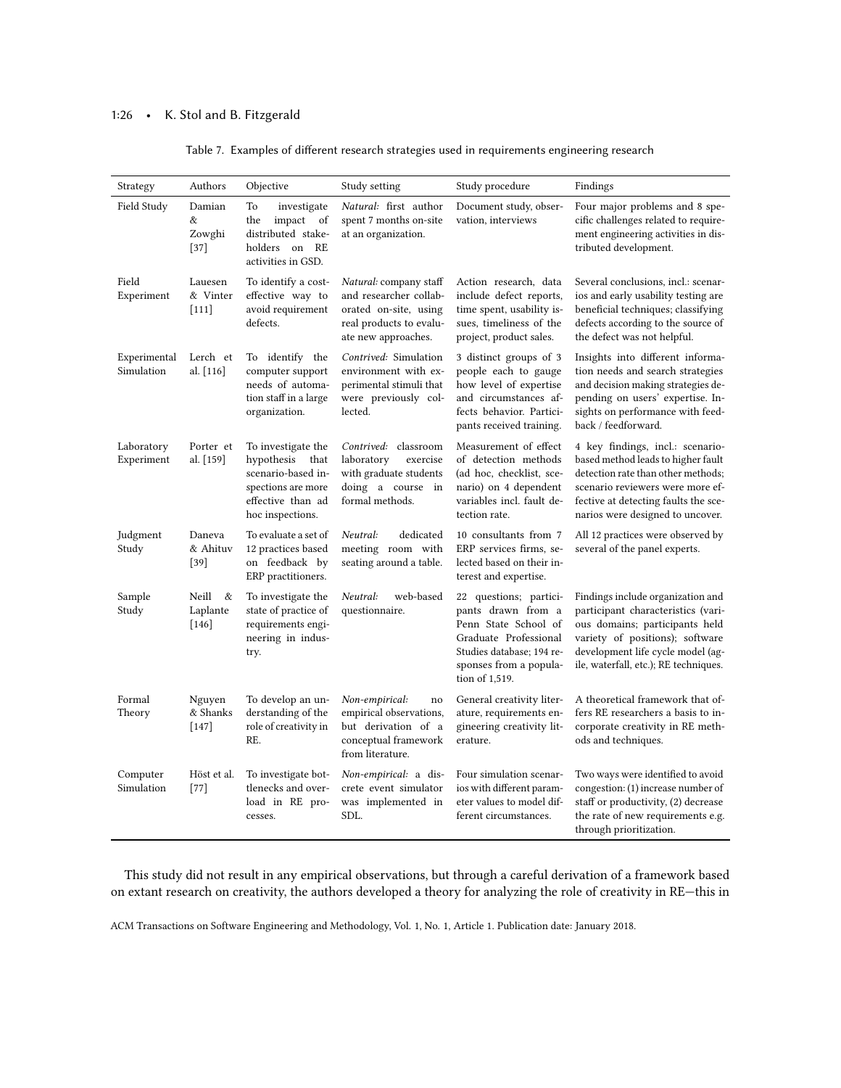# 1:26 • K. Stol and B. Fitzgerald

| Strategy                   | Authors                           | Objective                                                                                                                     | Study setting                                                                                                               | Study procedure                                                                                                                                                        | Findings                                                                                                                                                                                                                     |
|----------------------------|-----------------------------------|-------------------------------------------------------------------------------------------------------------------------------|-----------------------------------------------------------------------------------------------------------------------------|------------------------------------------------------------------------------------------------------------------------------------------------------------------------|------------------------------------------------------------------------------------------------------------------------------------------------------------------------------------------------------------------------------|
| Field Study                | Damian<br>&<br>Zowghi<br>$[37]$   | To<br>investigate<br>impact of<br>the<br>distributed stake-<br>holders on RE<br>activities in GSD.                            | Natural: first author<br>spent 7 months on-site<br>at an organization.                                                      | Document study, obser-<br>vation, interviews                                                                                                                           | Four major problems and 8 spe-<br>cific challenges related to require-<br>ment engineering activities in dis-<br>tributed development.                                                                                       |
| Field<br>Experiment        | Lauesen<br>& Vinter<br>$[111]$    | To identify a cost-<br>effective way to<br>avoid requirement<br>defects.                                                      | Natural: company staff<br>and researcher collab-<br>orated on-site, using<br>real products to evalu-<br>ate new approaches. | Action research, data<br>include defect reports,<br>time spent, usability is-<br>sues, timeliness of the<br>project, product sales.                                    | Several conclusions, incl.: scenar-<br>ios and early usability testing are<br>beneficial techniques; classifying<br>defects according to the source of<br>the defect was not helpful.                                        |
| Experimental<br>Simulation | Lerch et<br>al. [116]             | To identify the<br>computer support<br>needs of automa-<br>tion staff in a large<br>organization.                             | Contrived: Simulation<br>environment with ex-<br>perimental stimuli that<br>were previously col-<br>lected.                 | 3 distinct groups of 3<br>people each to gauge<br>how level of expertise<br>and circumstances af-<br>fects behavior. Partici-<br>pants received training.              | Insights into different informa-<br>tion needs and search strategies<br>and decision making strategies de-<br>pending on users' expertise. In-<br>sights on performance with feed-<br>back / feedforward.                    |
| Laboratory<br>Experiment   | Porter et<br>al. [159]            | To investigate the<br>hypothesis<br>that<br>scenario-based in-<br>spections are more<br>effective than ad<br>hoc inspections. | Contrived: classroom<br>laboratory<br>exercise<br>with graduate students<br>doing a course in<br>formal methods.            | Measurement of effect<br>of detection methods<br>(ad hoc, checklist, sce-<br>nario) on 4 dependent<br>variables incl. fault de-<br>tection rate.                       | 4 key findings, incl.: scenario-<br>based method leads to higher fault<br>detection rate than other methods;<br>scenario reviewers were more ef-<br>fective at detecting faults the sce-<br>narios were designed to uncover. |
| Judgment<br>Study          | Daneva<br>& Ahituv<br>$[39]$      | To evaluate a set of<br>12 practices based<br>on feedback by<br>ERP practitioners.                                            | dedicated<br>Neutral:<br>meeting room with<br>seating around a table.                                                       | 10 consultants from 7<br>ERP services firms, se-<br>lected based on their in-<br>terest and expertise.                                                                 | All 12 practices were observed by<br>several of the panel experts.                                                                                                                                                           |
| Sample<br>Study            | Neill<br>&<br>Laplante<br>$[146]$ | To investigate the<br>state of practice of<br>requirements engi-<br>neering in indus-<br>try.                                 | Neutral:<br>web-based<br>questionnaire.                                                                                     | 22 questions; partici-<br>pants drawn from a<br>Penn State School of<br>Graduate Professional<br>Studies database; 194 re-<br>sponses from a popula-<br>tion of 1,519. | Findings include organization and<br>participant characteristics (vari-<br>ous domains; participants held<br>variety of positions); software<br>development life cycle model (ag-<br>ile, waterfall, etc.); RE techniques.   |
| Formal<br>Theory           | Nguyen<br>& Shanks<br>$[147]$     | To develop an un-<br>derstanding of the<br>role of creativity in<br>RE.                                                       | Non-empirical:<br>no<br>empirical observations,<br>but derivation of a<br>conceptual framework<br>from literature.          | General creativity liter-<br>ature, requirements en-<br>gineering creativity lit-<br>erature.                                                                          | A theoretical framework that of-<br>fers RE researchers a basis to in-<br>corporate creativity in RE meth-<br>ods and techniques.                                                                                            |
| Computer<br>Simulation     | Höst et al.<br>$[77]$             | To investigate bot-<br>tlenecks and over-<br>load in RE pro-<br>cesses.                                                       | Non-empirical: a dis-<br>crete event simulator<br>was implemented in<br>SDL.                                                | Four simulation scenar-<br>ios with different param-<br>eter values to model dif-<br>ferent circumstances.                                                             | Two ways were identified to avoid<br>congestion: (1) increase number of<br>staff or productivity, (2) decrease<br>the rate of new requirements e.g.<br>through prioritization.                                               |

Table 7. Examples of different research strategies used in requirements engineering research

This study did not result in any empirical observations, but through a careful derivation of a framework based on extant research on creativity, the authors developed a theory for analyzing the role of creativity in RE—this in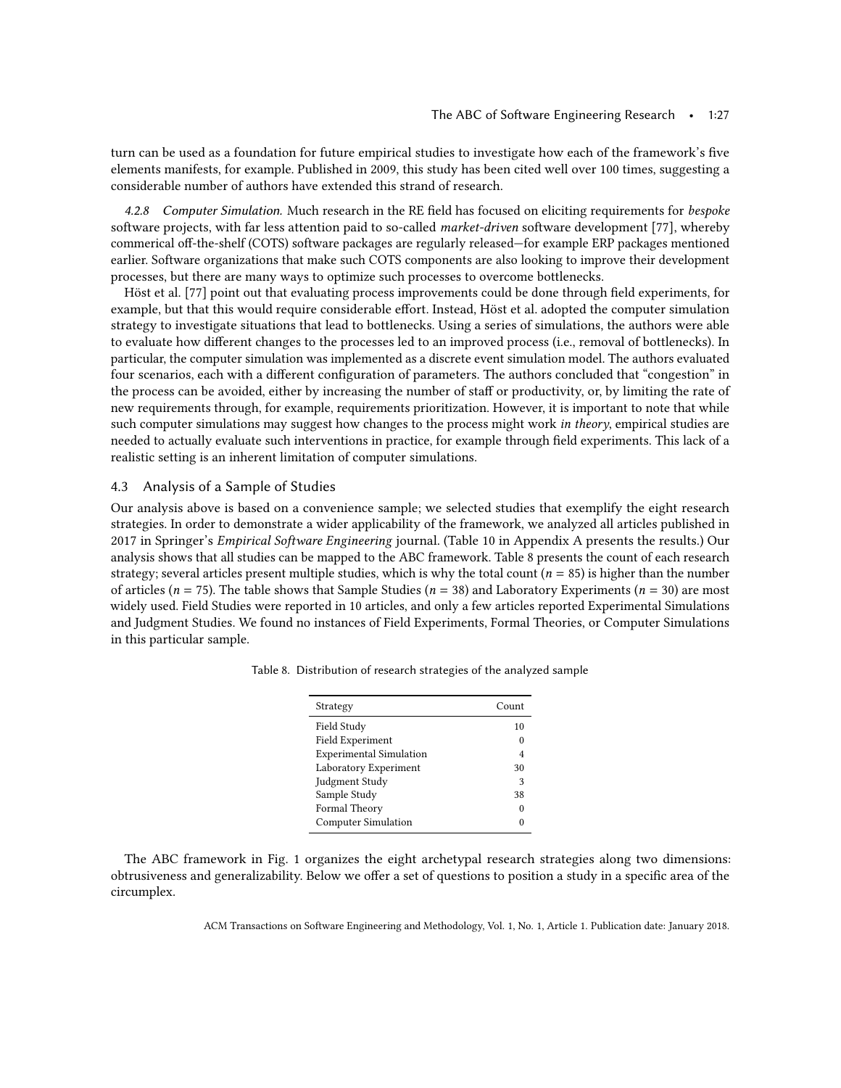turn can be used as a foundation for future empirical studies to investigate how each of the framework's five elements manifests, for example. Published in 2009, this study has been cited well over 100 times, suggesting a considerable number of authors have extended this strand of research.

4.2.8 Computer Simulation. Much research in the RE field has focused on eliciting requirements for bespoke software projects, with far less attention paid to so-called market-driven software development [\[77\]](#page-45-9), whereby commerical off-the-shelf (COTS) software packages are regularly released—for example ERP packages mentioned earlier. Software organizations that make such COTS components are also looking to improve their development processes, but there are many ways to optimize such processes to overcome bottlenecks.

Höst et al. [\[77\]](#page-45-9) point out that evaluating process improvements could be done through field experiments, for example, but that this would require considerable effort. Instead, Höst et al. adopted the computer simulation strategy to investigate situations that lead to bottlenecks. Using a series of simulations, the authors were able to evaluate how different changes to the processes led to an improved process (i.e., removal of bottlenecks). In particular, the computer simulation was implemented as a discrete event simulation model. The authors evaluated four scenarios, each with a different configuration of parameters. The authors concluded that "congestion" in the process can be avoided, either by increasing the number of staff or productivity, or, by limiting the rate of new requirements through, for example, requirements prioritization. However, it is important to note that while such computer simulations may suggest how changes to the process might work in theory, empirical studies are needed to actually evaluate such interventions in practice, for example through field experiments. This lack of a realistic setting is an inherent limitation of computer simulations.

### 4.3 Analysis of a Sample of Studies

Our analysis above is based on a convenience sample; we selected studies that exemplify the eight research strategies. In order to demonstrate a wider applicability of the framework, we analyzed all articles published in 2017 in Springer's Empirical Software Engineering journal. (Table [10](#page-33-0) in Appendix A presents the results.) Our analysis shows that all studies can be mapped to the ABC framework. Table [8](#page-26-0) presents the count of each research strategy; several articles present multiple studies, which is why the total count ( $n = 85$ ) is higher than the number of articles ( $n = 75$ ). The table shows that Sample Studies ( $n = 38$ ) and Laboratory Experiments ( $n = 30$ ) are most widely used. Field Studies were reported in 10 articles, and only a few articles reported Experimental Simulations and Judgment Studies. We found no instances of Field Experiments, Formal Theories, or Computer Simulations in this particular sample.

| Strategy                       | Count |
|--------------------------------|-------|
| Field Study                    | 10    |
| Field Experiment               |       |
| <b>Experimental Simulation</b> |       |
| Laboratory Experiment          | 30    |
| Judgment Study                 | 3     |
| Sample Study                   | 38    |
| Formal Theory                  |       |
| <b>Computer Simulation</b>     |       |

<span id="page-26-0"></span>Table 8. Distribution of research strategies of the analyzed sample

The ABC framework in Fig. [1](#page-10-0) organizes the eight archetypal research strategies along two dimensions: obtrusiveness and generalizability. Below we offer a set of questions to position a study in a specific area of the circumplex.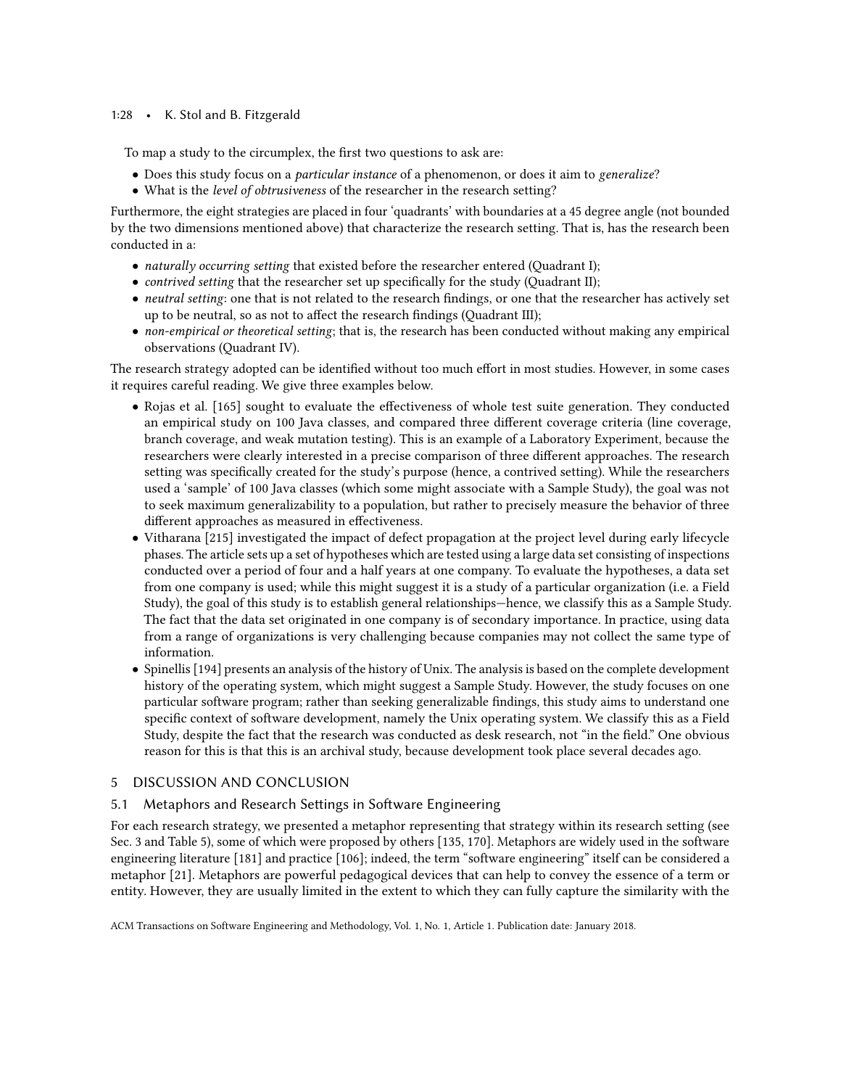## 1:28 • K. Stol and B. Fitzgerald

To map a study to the circumplex, the first two questions to ask are:

- Does this study focus on a particular instance of a phenomenon, or does it aim to generalize?
- What is the level of obtrusiveness of the researcher in the research setting?

Furthermore, the eight strategies are placed in four 'quadrants' with boundaries at a 45 degree angle (not bounded by the two dimensions mentioned above) that characterize the research setting. That is, has the research been conducted in a:

- naturally occurring setting that existed before the researcher entered (Quadrant I);
- *contrived setting that the researcher set up specifically for the study (Quadrant II)*;
- neutral setting: one that is not related to the research findings, or one that the researcher has actively set up to be neutral, so as not to affect the research findings (Quadrant III);
- non-empirical or theoretical setting; that is, the research has been conducted without making any empirical observations (Quadrant IV).

The research strategy adopted can be identified without too much effort in most studies. However, in some cases it requires careful reading. We give three examples below.

- Rojas et al. [\[165\]](#page-48-23) sought to evaluate the effectiveness of whole test suite generation. They conducted an empirical study on 100 Java classes, and compared three different coverage criteria (line coverage, branch coverage, and weak mutation testing). This is an example of a Laboratory Experiment, because the researchers were clearly interested in a precise comparison of three different approaches. The research setting was specifically created for the study's purpose (hence, a contrived setting). While the researchers used a 'sample' of 100 Java classes (which some might associate with a Sample Study), the goal was not to seek maximum generalizability to a population, but rather to precisely measure the behavior of three different approaches as measured in effectiveness.
- Vitharana [\[215\]](#page-49-24) investigated the impact of defect propagation at the project level during early lifecycle phases. The article sets up a set of hypotheses which are tested using a large data set consisting of inspections conducted over a period of four and a half years at one company. To evaluate the hypotheses, a data set from one company is used; while this might suggest it is a study of a particular organization (i.e. a Field Study), the goal of this study is to establish general relationships—hence, we classify this as a Sample Study. The fact that the data set originated in one company is of secondary importance. In practice, using data from a range of organizations is very challenging because companies may not collect the same type of information.
- Spinellis [\[194\]](#page-49-25) presents an analysis of the history of Unix. The analysis is based on the complete development history of the operating system, which might suggest a Sample Study. However, the study focuses on one particular software program; rather than seeking generalizable findings, this study aims to understand one specific context of software development, namely the Unix operating system. We classify this as a Field Study, despite the fact that the research was conducted as desk research, not "in the field." One obvious reason for this is that this is an archival study, because development took place several decades ago.

## <span id="page-27-0"></span>5 DISCUSSION AND CONCLUSION

## 5.1 Metaphors and Research Settings in Software Engineering

For each research strategy, we presented a metaphor representing that strategy within its research setting (see Sec. [3](#page-9-0) and Table [5\)](#page-14-0), some of which were proposed by others [\[135,](#page-47-0) [170\]](#page-48-4). Metaphors are widely used in the software engineering literature [\[181\]](#page-48-24) and practice [\[106\]](#page-46-17); indeed, the term "software engineering" itself can be considered a metaphor [\[21\]](#page-43-19). Metaphors are powerful pedagogical devices that can help to convey the essence of a term or entity. However, they are usually limited in the extent to which they can fully capture the similarity with the

ACM Transactions on Software Engineering and Methodology, Vol. 1, No. 1, Article 1. Publication date: January 2018.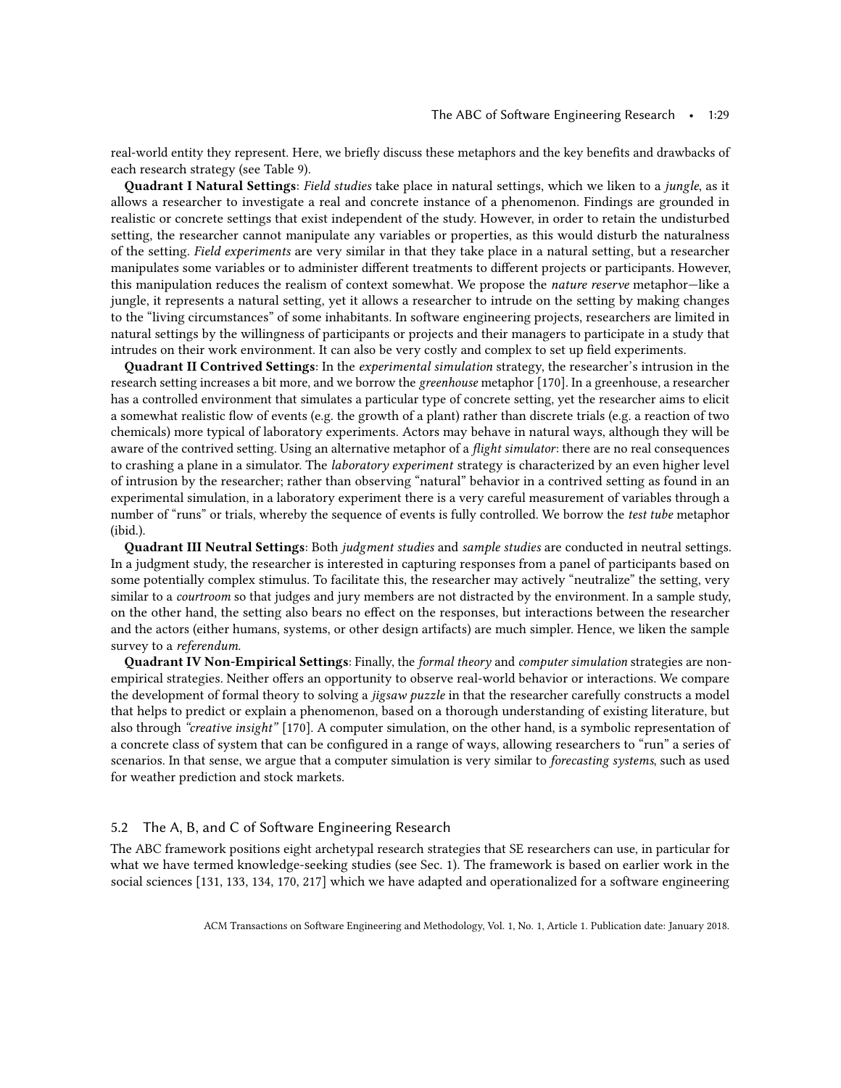real-world entity they represent. Here, we briefly discuss these metaphors and the key benefits and drawbacks of each research strategy (see Table [9\)](#page-29-0).

Quadrant I Natural Settings: Field studies take place in natural settings, which we liken to a jungle, as it allows a researcher to investigate a real and concrete instance of a phenomenon. Findings are grounded in realistic or concrete settings that exist independent of the study. However, in order to retain the undisturbed setting, the researcher cannot manipulate any variables or properties, as this would disturb the naturalness of the setting. Field experiments are very similar in that they take place in a natural setting, but a researcher manipulates some variables or to administer different treatments to different projects or participants. However, this manipulation reduces the realism of context somewhat. We propose the nature reserve metaphor—like a jungle, it represents a natural setting, yet it allows a researcher to intrude on the setting by making changes to the "living circumstances" of some inhabitants. In software engineering projects, researchers are limited in natural settings by the willingness of participants or projects and their managers to participate in a study that intrudes on their work environment. It can also be very costly and complex to set up field experiments.

Quadrant II Contrived Settings: In the experimental simulation strategy, the researcher's intrusion in the research setting increases a bit more, and we borrow the *greenhouse* metaphor [\[170\]](#page-48-4). In a greenhouse, a researcher has a controlled environment that simulates a particular type of concrete setting, yet the researcher aims to elicit a somewhat realistic flow of events (e.g. the growth of a plant) rather than discrete trials (e.g. a reaction of two chemicals) more typical of laboratory experiments. Actors may behave in natural ways, although they will be aware of the contrived setting. Using an alternative metaphor of a *flight simulator*: there are no real consequences to crashing a plane in a simulator. The *laboratory experiment* strategy is characterized by an even higher level of intrusion by the researcher; rather than observing "natural" behavior in a contrived setting as found in an experimental simulation, in a laboratory experiment there is a very careful measurement of variables through a number of "runs" or trials, whereby the sequence of events is fully controlled. We borrow the test tube metaphor (ibid.).

Quadrant III Neutral Settings: Both judgment studies and sample studies are conducted in neutral settings. In a judgment study, the researcher is interested in capturing responses from a panel of participants based on some potentially complex stimulus. To facilitate this, the researcher may actively "neutralize" the setting, very similar to a *courtroom* so that judges and jury members are not distracted by the environment. In a sample study, on the other hand, the setting also bears no effect on the responses, but interactions between the researcher and the actors (either humans, systems, or other design artifacts) are much simpler. Hence, we liken the sample survey to a referendum.

Quadrant IV Non-Empirical Settings: Finally, the formal theory and computer simulation strategies are nonempirical strategies. Neither offers an opportunity to observe real-world behavior or interactions. We compare the development of formal theory to solving a *jigsaw puzzle* in that the researcher carefully constructs a model that helps to predict or explain a phenomenon, based on a thorough understanding of existing literature, but also through "creative insight" [\[170\]](#page-48-4). A computer simulation, on the other hand, is a symbolic representation of a concrete class of system that can be configured in a range of ways, allowing researchers to "run" a series of scenarios. In that sense, we argue that a computer simulation is very similar to *forecasting systems*, such as used for weather prediction and stock markets.

## 5.2 The A, B, and C of Software Engineering Research

The ABC framework positions eight archetypal research strategies that SE researchers can use, in particular for what we have termed knowledge-seeking studies (see Sec. 1). The framework is based on earlier work in the social sciences [\[131,](#page-47-11) [133,](#page-47-12) [134,](#page-47-5) [170,](#page-48-4) [217\]](#page-49-18) which we have adapted and operationalized for a software engineering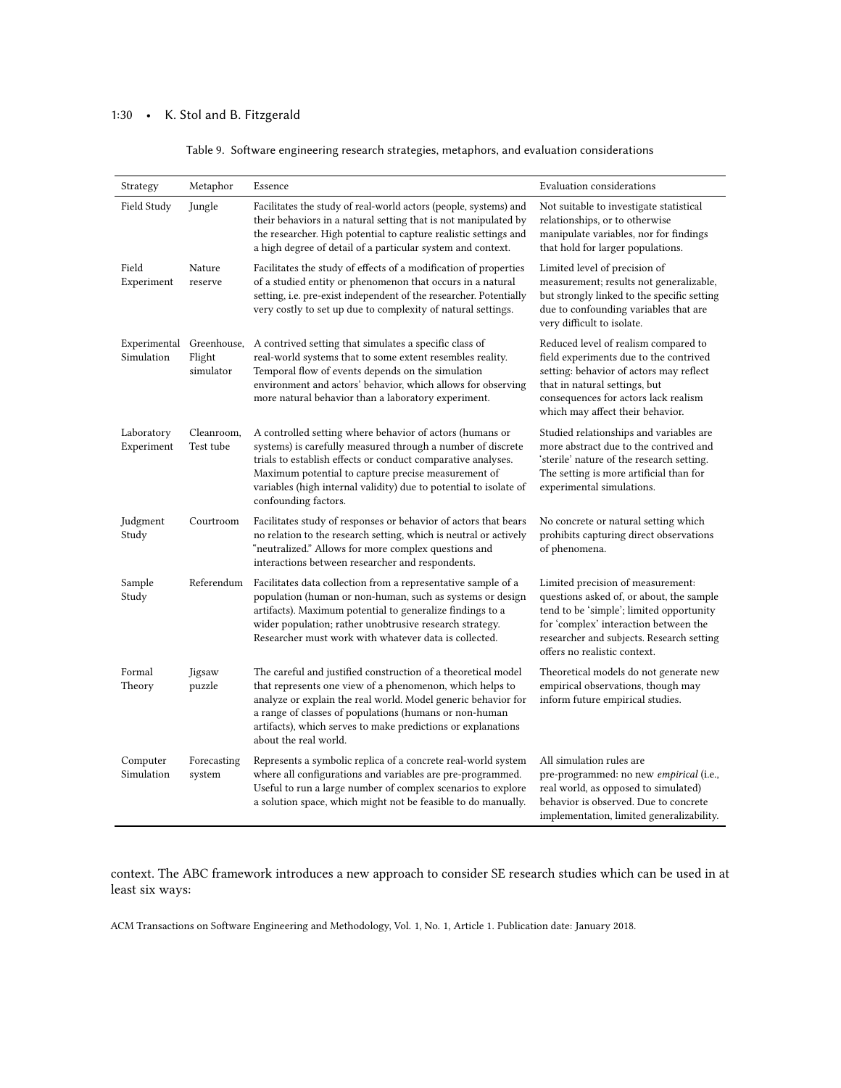# <span id="page-29-0"></span>1:30 • K. Stol and B. Fitzgerald

| Strategy                   | Metaphor                           | Essence                                                                                                                                                                                                                                                                                                                                       | Evaluation considerations                                                                                                                                                                                                                       |
|----------------------------|------------------------------------|-----------------------------------------------------------------------------------------------------------------------------------------------------------------------------------------------------------------------------------------------------------------------------------------------------------------------------------------------|-------------------------------------------------------------------------------------------------------------------------------------------------------------------------------------------------------------------------------------------------|
| Field Study                | Jungle                             | Facilitates the study of real-world actors (people, systems) and<br>their behaviors in a natural setting that is not manipulated by<br>the researcher. High potential to capture realistic settings and<br>a high degree of detail of a particular system and context.                                                                        | Not suitable to investigate statistical<br>relationships, or to otherwise<br>manipulate variables, nor for findings<br>that hold for larger populations.                                                                                        |
| Field<br>Experiment        | Nature<br>reserve                  | Facilitates the study of effects of a modification of properties<br>of a studied entity or phenomenon that occurs in a natural<br>setting, i.e. pre-exist independent of the researcher. Potentially<br>very costly to set up due to complexity of natural settings.                                                                          | Limited level of precision of<br>measurement; results not generalizable,<br>but strongly linked to the specific setting<br>due to confounding variables that are<br>very difficult to isolate.                                                  |
| Experimental<br>Simulation | Greenhouse,<br>Flight<br>simulator | A contrived setting that simulates a specific class of<br>real-world systems that to some extent resembles reality.<br>Temporal flow of events depends on the simulation<br>environment and actors' behavior, which allows for observing<br>more natural behavior than a laboratory experiment.                                               | Reduced level of realism compared to<br>field experiments due to the contrived<br>setting: behavior of actors may reflect<br>that in natural settings, but<br>consequences for actors lack realism<br>which may affect their behavior.          |
| Laboratory<br>Experiment   | Cleanroom,<br>Test tube            | A controlled setting where behavior of actors (humans or<br>systems) is carefully measured through a number of discrete<br>trials to establish effects or conduct comparative analyses.<br>Maximum potential to capture precise measurement of<br>variables (high internal validity) due to potential to isolate of<br>confounding factors.   | Studied relationships and variables are<br>more abstract due to the contrived and<br>'sterile' nature of the research setting.<br>The setting is more artificial than for<br>experimental simulations.                                          |
| Judgment<br>Study          | Courtroom                          | Facilitates study of responses or behavior of actors that bears<br>no relation to the research setting, which is neutral or actively<br>"neutralized." Allows for more complex questions and<br>interactions between researcher and respondents.                                                                                              | No concrete or natural setting which<br>prohibits capturing direct observations<br>of phenomena.                                                                                                                                                |
| Sample<br>Study            | Referendum                         | Facilitates data collection from a representative sample of a<br>population (human or non-human, such as systems or design<br>artifacts). Maximum potential to generalize findings to a<br>wider population; rather unobtrusive research strategy.<br>Researcher must work with whatever data is collected.                                   | Limited precision of measurement:<br>questions asked of, or about, the sample<br>tend to be 'simple'; limited opportunity<br>for 'complex' interaction between the<br>researcher and subjects. Research setting<br>offers no realistic context. |
| Formal<br>Theory           | Jigsaw<br>puzzle                   | The careful and justified construction of a theoretical model<br>that represents one view of a phenomenon, which helps to<br>analyze or explain the real world. Model generic behavior for<br>a range of classes of populations (humans or non-human<br>artifacts), which serves to make predictions or explanations<br>about the real world. | Theoretical models do not generate new<br>empirical observations, though may<br>inform future empirical studies.                                                                                                                                |
| Computer<br>Simulation     | Forecasting<br>system              | Represents a symbolic replica of a concrete real-world system<br>where all configurations and variables are pre-programmed.<br>Useful to run a large number of complex scenarios to explore<br>a solution space, which might not be feasible to do manually.                                                                                  | All simulation rules are<br>pre-programmed: no new empirical (i.e.,<br>real world, as opposed to simulated)<br>behavior is observed. Due to concrete<br>implementation, limited generalizability.                                               |

Table 9. Software engineering research strategies, metaphors, and evaluation considerations

context. The ABC framework introduces a new approach to consider SE research studies which can be used in at least six ways: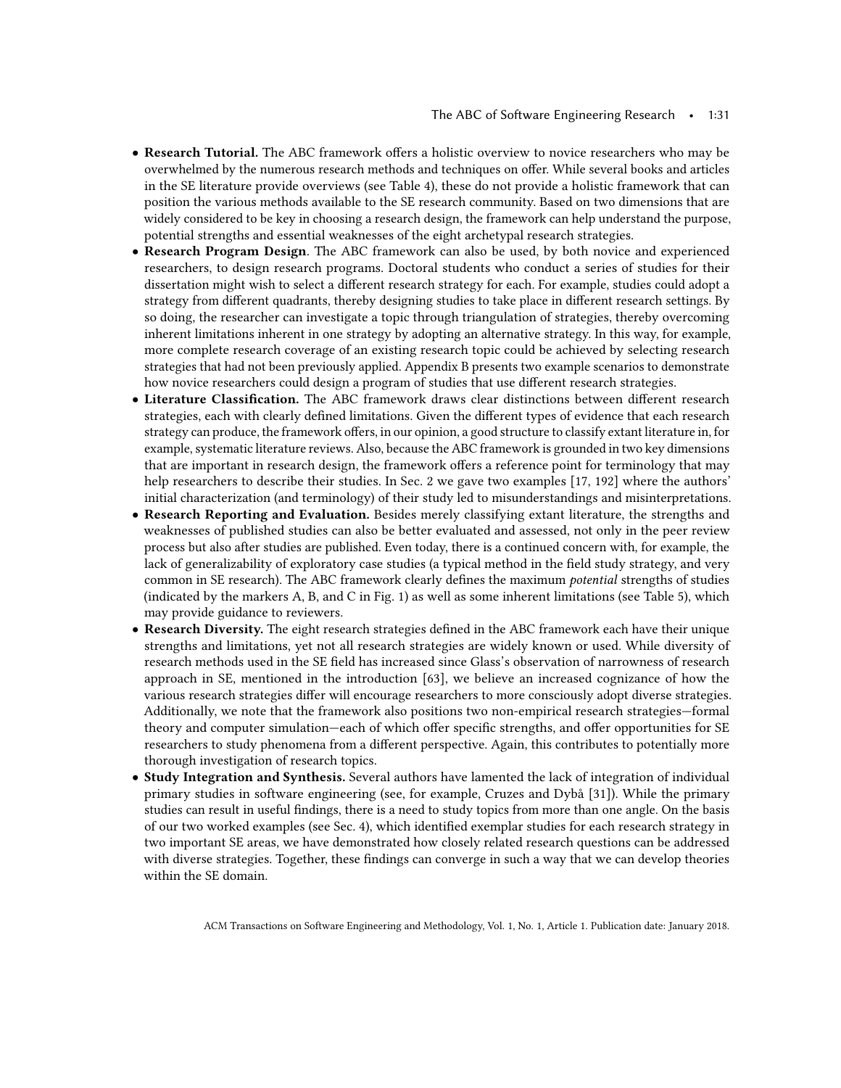- Research Tutorial. The ABC framework offers a holistic overview to novice researchers who may be overwhelmed by the numerous research methods and techniques on offer. While several books and articles in the SE literature provide overviews (see Table [4\)](#page-7-0), these do not provide a holistic framework that can position the various methods available to the SE research community. Based on two dimensions that are widely considered to be key in choosing a research design, the framework can help understand the purpose, potential strengths and essential weaknesses of the eight archetypal research strategies.
- Research Program Design. The ABC framework can also be used, by both novice and experienced researchers, to design research programs. Doctoral students who conduct a series of studies for their dissertation might wish to select a different research strategy for each. For example, studies could adopt a strategy from different quadrants, thereby designing studies to take place in different research settings. By so doing, the researcher can investigate a topic through triangulation of strategies, thereby overcoming inherent limitations inherent in one strategy by adopting an alternative strategy. In this way, for example, more complete research coverage of an existing research topic could be achieved by selecting research strategies that had not been previously applied. Appendix B presents two example scenarios to demonstrate how novice researchers could design a program of studies that use different research strategies.
- Literature Classification. The ABC framework draws clear distinctions between different research strategies, each with clearly defined limitations. Given the different types of evidence that each research strategy can produce, the framework offers, in our opinion, a good structure to classify extant literature in, for example, systematic literature reviews. Also, because the ABC framework is grounded in two key dimensions that are important in research design, the framework offers a reference point for terminology that may help researchers to describe their studies. In Sec. [2](#page-4-0) we gave two examples [\[17,](#page-43-9) [192\]](#page-49-12) where the authors' initial characterization (and terminology) of their study led to misunderstandings and misinterpretations.
- Research Reporting and Evaluation. Besides merely classifying extant literature, the strengths and weaknesses of published studies can also be better evaluated and assessed, not only in the peer review process but also after studies are published. Even today, there is a continued concern with, for example, the lack of generalizability of exploratory case studies (a typical method in the field study strategy, and very common in SE research). The ABC framework clearly defines the maximum potential strengths of studies (indicated by the markers A, B, and C in Fig. [1\)](#page-10-0) as well as some inherent limitations (see Table [5\)](#page-14-0), which may provide guidance to reviewers.
- Research Diversity. The eight research strategies defined in the ABC framework each have their unique strengths and limitations, yet not all research strategies are widely known or used. While diversity of research methods used in the SE field has increased since Glass's observation of narrowness of research approach in SE, mentioned in the introduction [\[63\]](#page-44-1), we believe an increased cognizance of how the various research strategies differ will encourage researchers to more consciously adopt diverse strategies. Additionally, we note that the framework also positions two non-empirical research strategies—formal theory and computer simulation—each of which offer specific strengths, and offer opportunities for SE researchers to study phenomena from a different perspective. Again, this contributes to potentially more thorough investigation of research topics.
- Study Integration and Synthesis. Several authors have lamented the lack of integration of individual primary studies in software engineering (see, for example, Cruzes and Dybå [\[31\]](#page-43-20)). While the primary studies can result in useful findings, there is a need to study topics from more than one angle. On the basis of our two worked examples (see Sec. [4\)](#page-17-0), which identified exemplar studies for each research strategy in two important SE areas, we have demonstrated how closely related research questions can be addressed with diverse strategies. Together, these findings can converge in such a way that we can develop theories within the SE domain.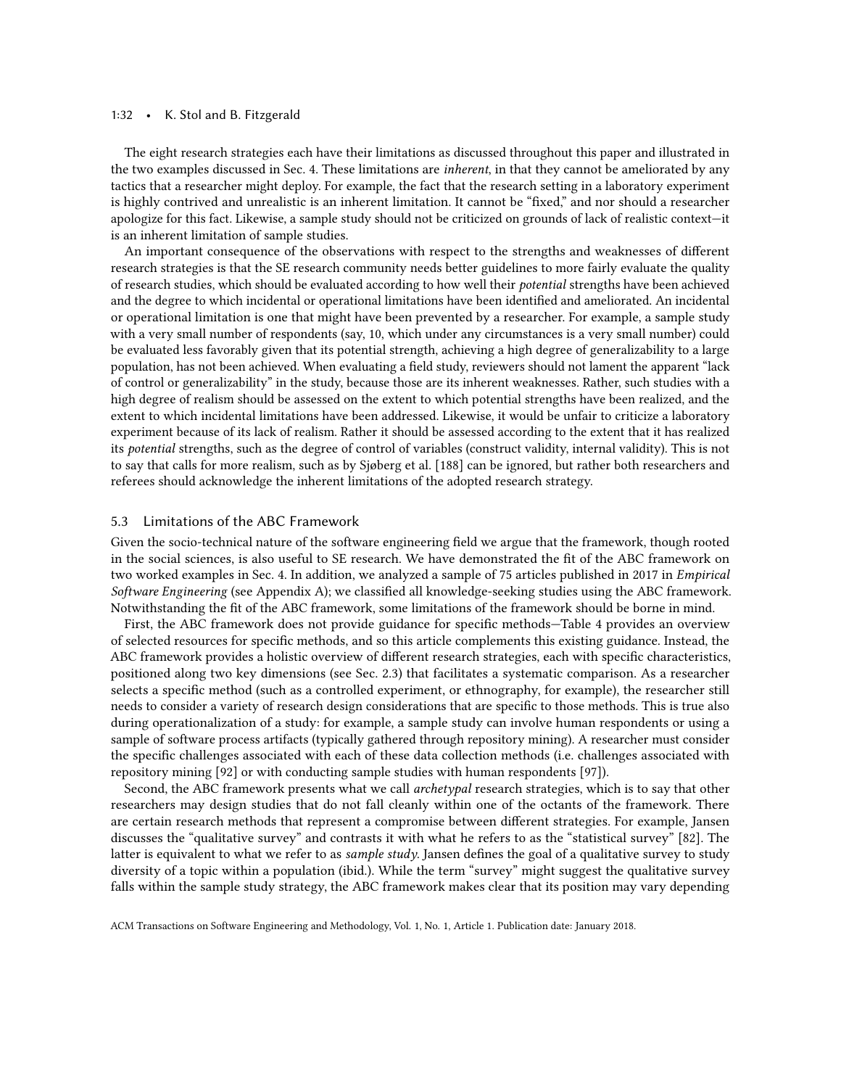#### 1:32 • K. Stol and B. Fitzgerald

The eight research strategies each have their limitations as discussed throughout this paper and illustrated in the two examples discussed in Sec. [4.](#page-17-0) These limitations are inherent, in that they cannot be ameliorated by any tactics that a researcher might deploy. For example, the fact that the research setting in a laboratory experiment is highly contrived and unrealistic is an inherent limitation. It cannot be "fixed," and nor should a researcher apologize for this fact. Likewise, a sample study should not be criticized on grounds of lack of realistic context—it is an inherent limitation of sample studies.

An important consequence of the observations with respect to the strengths and weaknesses of different research strategies is that the SE research community needs better guidelines to more fairly evaluate the quality of research studies, which should be evaluated according to how well their potential strengths have been achieved and the degree to which incidental or operational limitations have been identified and ameliorated. An incidental or operational limitation is one that might have been prevented by a researcher. For example, a sample study with a very small number of respondents (say, 10, which under any circumstances is a very small number) could be evaluated less favorably given that its potential strength, achieving a high degree of generalizability to a large population, has not been achieved. When evaluating a field study, reviewers should not lament the apparent "lack of control or generalizability" in the study, because those are its inherent weaknesses. Rather, such studies with a high degree of realism should be assessed on the extent to which potential strengths have been realized, and the extent to which incidental limitations have been addressed. Likewise, it would be unfair to criticize a laboratory experiment because of its lack of realism. Rather it should be assessed according to the extent that it has realized its potential strengths, such as the degree of control of variables (construct validity, internal validity). This is not to say that calls for more realism, such as by Sjøberg et al. [\[188\]](#page-48-5) can be ignored, but rather both researchers and referees should acknowledge the inherent limitations of the adopted research strategy.

### 5.3 Limitations of the ABC Framework

Given the socio-technical nature of the software engineering field we argue that the framework, though rooted in the social sciences, is also useful to SE research. We have demonstrated the fit of the ABC framework on two worked examples in Sec. 4. In addition, we analyzed a sample of 75 articles published in 2017 in Empirical Software Engineering (see Appendix A); we classified all knowledge-seeking studies using the ABC framework. Notwithstanding the fit of the ABC framework, some limitations of the framework should be borne in mind.

First, the ABC framework does not provide guidance for specific methods—Table [4](#page-7-0) provides an overview of selected resources for specific methods, and so this article complements this existing guidance. Instead, the ABC framework provides a holistic overview of different research strategies, each with specific characteristics, positioned along two key dimensions (see Sec. [2.3\)](#page-8-0) that facilitates a systematic comparison. As a researcher selects a specific method (such as a controlled experiment, or ethnography, for example), the researcher still needs to consider a variety of research design considerations that are specific to those methods. This is true also during operationalization of a study: for example, a sample study can involve human respondents or using a sample of software process artifacts (typically gathered through repository mining). A researcher must consider the specific challenges associated with each of these data collection methods (i.e. challenges associated with repository mining [\[92\]](#page-45-15) or with conducting sample studies with human respondents [\[97\]](#page-45-7)).

Second, the ABC framework presents what we call *archetypal* research strategies, which is to say that other researchers may design studies that do not fall cleanly within one of the octants of the framework. There are certain research methods that represent a compromise between different strategies. For example, Jansen discusses the "qualitative survey" and contrasts it with what he refers to as the "statistical survey" [\[82\]](#page-45-16). The latter is equivalent to what we refer to as *sample study*. Jansen defines the goal of a qualitative survey to study diversity of a topic within a population (ibid.). While the term "survey" might suggest the qualitative survey falls within the sample study strategy, the ABC framework makes clear that its position may vary depending

ACM Transactions on Software Engineering and Methodology, Vol. 1, No. 1, Article 1. Publication date: January 2018.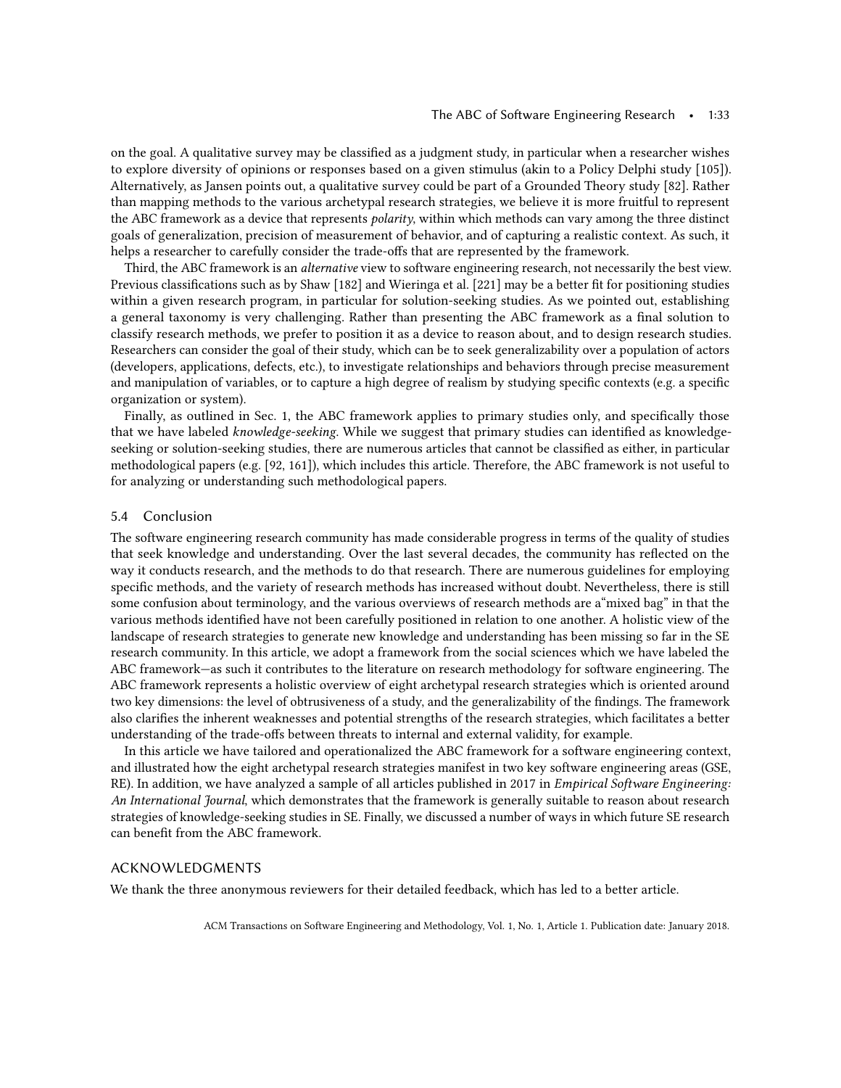on the goal. A qualitative survey may be classified as a judgment study, in particular when a researcher wishes to explore diversity of opinions or responses based on a given stimulus (akin to a Policy Delphi study [\[105\]](#page-46-1)). Alternatively, as Jansen points out, a qualitative survey could be part of a Grounded Theory study [\[82\]](#page-45-16). Rather than mapping methods to the various archetypal research strategies, we believe it is more fruitful to represent the ABC framework as a device that represents *polarity*, within which methods can vary among the three distinct goals of generalization, precision of measurement of behavior, and of capturing a realistic context. As such, it helps a researcher to carefully consider the trade-offs that are represented by the framework.

Third, the ABC framework is an *alternative* view to software engineering research, not necessarily the best view. Previous classifications such as by Shaw [\[182\]](#page-48-14) and Wieringa et al. [\[221\]](#page-49-15) may be a better fit for positioning studies within a given research program, in particular for solution-seeking studies. As we pointed out, establishing a general taxonomy is very challenging. Rather than presenting the ABC framework as a final solution to classify research methods, we prefer to position it as a device to reason about, and to design research studies. Researchers can consider the goal of their study, which can be to seek generalizability over a population of actors (developers, applications, defects, etc.), to investigate relationships and behaviors through precise measurement and manipulation of variables, or to capture a high degree of realism by studying specific contexts (e.g. a specific organization or system).

Finally, as outlined in Sec. [1,](#page-0-2) the ABC framework applies to primary studies only, and specifically those that we have labeled knowledge-seeking. While we suggest that primary studies can identified as knowledgeseeking or solution-seeking studies, there are numerous articles that cannot be classified as either, in particular methodological papers (e.g. [\[92,](#page-45-15) [161\]](#page-48-16)), which includes this article. Therefore, the ABC framework is not useful to for analyzing or understanding such methodological papers.

#### 5.4 Conclusion

The software engineering research community has made considerable progress in terms of the quality of studies that seek knowledge and understanding. Over the last several decades, the community has reflected on the way it conducts research, and the methods to do that research. There are numerous guidelines for employing specific methods, and the variety of research methods has increased without doubt. Nevertheless, there is still some confusion about terminology, and the various overviews of research methods are a"mixed bag" in that the various methods identified have not been carefully positioned in relation to one another. A holistic view of the landscape of research strategies to generate new knowledge and understanding has been missing so far in the SE research community. In this article, we adopt a framework from the social sciences which we have labeled the ABC framework—as such it contributes to the literature on research methodology for software engineering. The ABC framework represents a holistic overview of eight archetypal research strategies which is oriented around two key dimensions: the level of obtrusiveness of a study, and the generalizability of the findings. The framework also clarifies the inherent weaknesses and potential strengths of the research strategies, which facilitates a better understanding of the trade-offs between threats to internal and external validity, for example.

In this article we have tailored and operationalized the ABC framework for a software engineering context, and illustrated how the eight archetypal research strategies manifest in two key software engineering areas (GSE, RE). In addition, we have analyzed a sample of all articles published in 2017 in Empirical Software Engineering: An International Journal, which demonstrates that the framework is generally suitable to reason about research strategies of knowledge-seeking studies in SE. Finally, we discussed a number of ways in which future SE research can benefit from the ABC framework.

## ACKNOWLEDGMENTS

We thank the three anonymous reviewers for their detailed feedback, which has led to a better article.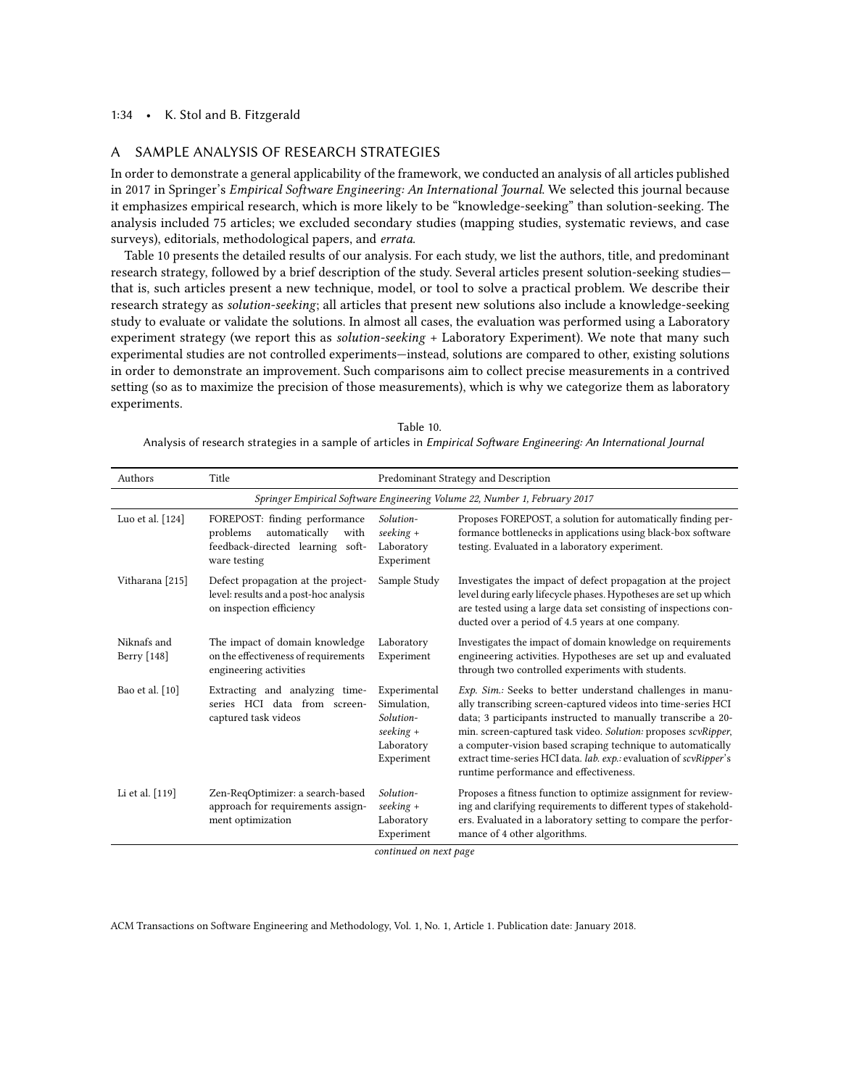## 1:34 • K. Stol and B. Fitzgerald

## A SAMPLE ANALYSIS OF RESEARCH STRATEGIES

In order to demonstrate a general applicability of the framework, we conducted an analysis of all articles published in 2017 in Springer's Empirical Software Engineering: An International Journal. We selected this journal because it emphasizes empirical research, which is more likely to be "knowledge-seeking" than solution-seeking. The analysis included 75 articles; we excluded secondary studies (mapping studies, systematic reviews, and case surveys), editorials, methodological papers, and errata.

Table [10](#page-33-0) presents the detailed results of our analysis. For each study, we list the authors, title, and predominant research strategy, followed by a brief description of the study. Several articles present solution-seeking studies that is, such articles present a new technique, model, or tool to solve a practical problem. We describe their research strategy as solution-seeking; all articles that present new solutions also include a knowledge-seeking study to evaluate or validate the solutions. In almost all cases, the evaluation was performed using a Laboratory experiment strategy (we report this as solution-seeking + Laboratory Experiment). We note that many such experimental studies are not controlled experiments—instead, solutions are compared to other, existing solutions in order to demonstrate an improvement. Such comparisons aim to collect precise measurements in a contrived setting (so as to maximize the precision of those measurements), which is why we categorize them as laboratory experiments.

<span id="page-33-0"></span>

| Table 10.                                                                                                           |
|---------------------------------------------------------------------------------------------------------------------|
| Analysis of research strategies in a sample of articles in Empirical Software Engineering: An International Journal |

| Authors                    | Title                                                                                                                  | Predominant Strategy and Description                                                |                                                                                                                                                                                                                                                                                                                                                                                                                                             |  |
|----------------------------|------------------------------------------------------------------------------------------------------------------------|-------------------------------------------------------------------------------------|---------------------------------------------------------------------------------------------------------------------------------------------------------------------------------------------------------------------------------------------------------------------------------------------------------------------------------------------------------------------------------------------------------------------------------------------|--|
|                            |                                                                                                                        |                                                                                     | Springer Empirical Software Engineering Volume 22, Number 1, February 2017                                                                                                                                                                                                                                                                                                                                                                  |  |
| Luo et al. [124]           | FOREPOST: finding performance<br>automatically<br>problems<br>with<br>feedback-directed learning soft-<br>ware testing | Solution-<br>$seeking +$<br>Laboratory<br>Experiment                                | Proposes FOREPOST, a solution for automatically finding per-<br>formance bottlenecks in applications using black-box software<br>testing. Evaluated in a laboratory experiment.                                                                                                                                                                                                                                                             |  |
| Vitharana [215]            | Defect propagation at the project-<br>level: results and a post-hoc analysis<br>on inspection efficiency               | Sample Study                                                                        | Investigates the impact of defect propagation at the project<br>level during early lifecycle phases. Hypotheses are set up which<br>are tested using a large data set consisting of inspections con-<br>ducted over a period of 4.5 years at one company.                                                                                                                                                                                   |  |
| Niknafs and<br>Berry [148] | The impact of domain knowledge<br>on the effectiveness of requirements<br>engineering activities                       | Laboratory<br>Experiment                                                            | Investigates the impact of domain knowledge on requirements<br>engineering activities. Hypotheses are set up and evaluated<br>through two controlled experiments with students.                                                                                                                                                                                                                                                             |  |
| Bao et al. [10]            | Extracting and analyzing time-<br>series HCI data from screen-<br>captured task videos                                 | Experimental<br>Simulation,<br>Solution-<br>$seeking +$<br>Laboratory<br>Experiment | Exp. Sim.: Seeks to better understand challenges in manu-<br>ally transcribing screen-captured videos into time-series HCI<br>data; 3 participants instructed to manually transcribe a 20-<br>min. screen-captured task video. Solution: proposes scvRipper,<br>a computer-vision based scraping technique to automatically<br>extract time-series HCI data. lab. exp.: evaluation of scvRipper's<br>runtime performance and effectiveness. |  |
| Li et al. [119]            | Zen-ReqOptimizer: a search-based<br>approach for requirements assign-<br>ment optimization                             | Solution-<br>$seeking +$<br>Laboratory<br>Experiment<br>continued on next page      | Proposes a fitness function to optimize assignment for review-<br>ing and clarifying requirements to different types of stakehold-<br>ers. Evaluated in a laboratory setting to compare the perfor-<br>mance of 4 other algorithms.                                                                                                                                                                                                         |  |

uea on next pag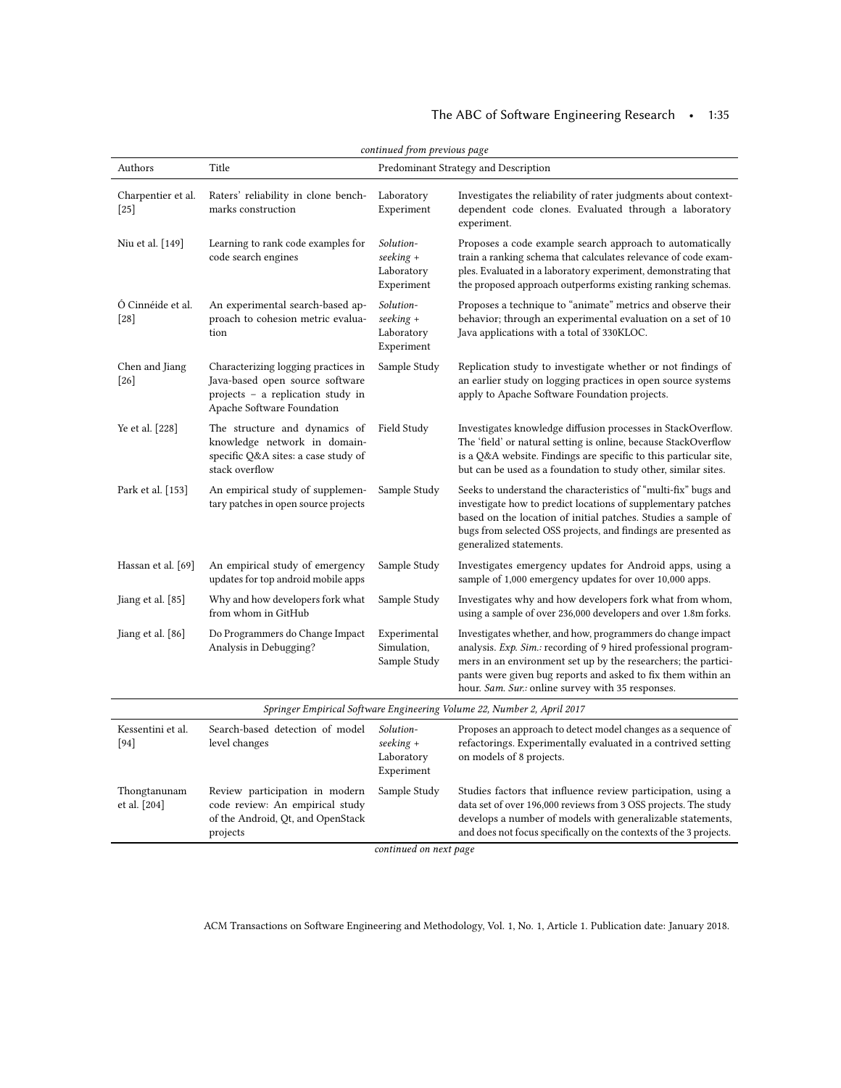# The ABC of Software Engineering Research • 1:35

| Authors                      | Title                                                                                                                                     |                                                      | Predominant Strategy and Description                                                                                                                                                                                                                                                                                  |
|------------------------------|-------------------------------------------------------------------------------------------------------------------------------------------|------------------------------------------------------|-----------------------------------------------------------------------------------------------------------------------------------------------------------------------------------------------------------------------------------------------------------------------------------------------------------------------|
| Charpentier et al.<br>$[25]$ | Raters' reliability in clone bench-<br>marks construction                                                                                 | Laboratory<br>Experiment                             | Investigates the reliability of rater judgments about context-<br>dependent code clones. Evaluated through a laboratory<br>experiment.                                                                                                                                                                                |
| Niu et al. [149]             | Learning to rank code examples for<br>code search engines                                                                                 | Solution-<br>seeking +<br>Laboratory<br>Experiment   | Proposes a code example search approach to automatically<br>train a ranking schema that calculates relevance of code exam-<br>ples. Evaluated in a laboratory experiment, demonstrating that<br>the proposed approach outperforms existing ranking schemas.                                                           |
| Ó Cinnéide et al.<br>$[28]$  | An experimental search-based ap-<br>proach to cohesion metric evalua-<br>tion                                                             | Solution-<br>$seeking +$<br>Laboratory<br>Experiment | Proposes a technique to "animate" metrics and observe their<br>behavior; through an experimental evaluation on a set of 10<br>Java applications with a total of 330KLOC.                                                                                                                                              |
| Chen and Jiang<br>$[26]$     | Characterizing logging practices in<br>Java-based open source software<br>projects - a replication study in<br>Apache Software Foundation | Sample Study                                         | Replication study to investigate whether or not findings of<br>an earlier study on logging practices in open source systems<br>apply to Apache Software Foundation projects.                                                                                                                                          |
| Ye et al. [228]              | The structure and dynamics of<br>knowledge network in domain-<br>specific Q&A sites: a case study of<br>stack overflow                    | Field Study                                          | Investigates knowledge diffusion processes in StackOverflow.<br>The 'field' or natural setting is online, because StackOverflow<br>is a Q&A website. Findings are specific to this particular site,<br>but can be used as a foundation to study other, similar sites.                                                 |
| Park et al. [153]            | An empirical study of supplemen-<br>tary patches in open source projects                                                                  | Sample Study                                         | Seeks to understand the characteristics of "multi-fix" bugs and<br>investigate how to predict locations of supplementary patches<br>based on the location of initial patches. Studies a sample of<br>bugs from selected OSS projects, and findings are presented as<br>generalized statements.                        |
| Hassan et al. [69]           | An empirical study of emergency<br>updates for top android mobile apps                                                                    | Sample Study                                         | Investigates emergency updates for Android apps, using a<br>sample of 1,000 emergency updates for over 10,000 apps.                                                                                                                                                                                                   |
| Jiang et al. [85]            | Why and how developers fork what<br>from whom in GitHub                                                                                   | Sample Study                                         | Investigates why and how developers fork what from whom,<br>using a sample of over 236,000 developers and over 1.8m forks.                                                                                                                                                                                            |
| Jiang et al. [86]            | Do Programmers do Change Impact<br>Analysis in Debugging?                                                                                 | Experimental<br>Simulation,<br>Sample Study          | Investigates whether, and how, programmers do change impact<br>analysis. Exp. Sim.: recording of 9 hired professional program-<br>mers in an environment set up by the researchers; the partici-<br>pants were given bug reports and asked to fix them within an<br>hour. Sam. Sur.: online survey with 35 responses. |
|                              |                                                                                                                                           |                                                      | Springer Empirical Software Engineering Volume 22, Number 2, April 2017                                                                                                                                                                                                                                               |
| Kessentini et al.<br>$[94]$  | Search-based detection of model<br>level changes                                                                                          | Solution-<br>$seeking +$<br>Laboratory<br>Experiment | Proposes an approach to detect model changes as a sequence of<br>refactorings. Experimentally evaluated in a contrived setting<br>on models of 8 projects.                                                                                                                                                            |
| Thongtanunam<br>et al. [204] | Review participation in modern<br>code review: An empirical study<br>of the Android, Qt, and OpenStack<br>projects                        | Sample Study                                         | Studies factors that influence review participation, using a<br>data set of over 196,000 reviews from 3 OSS projects. The study<br>develops a number of models with generalizable statements,<br>and does not focus specifically on the contexts of the 3 projects.                                                   |

continued on next page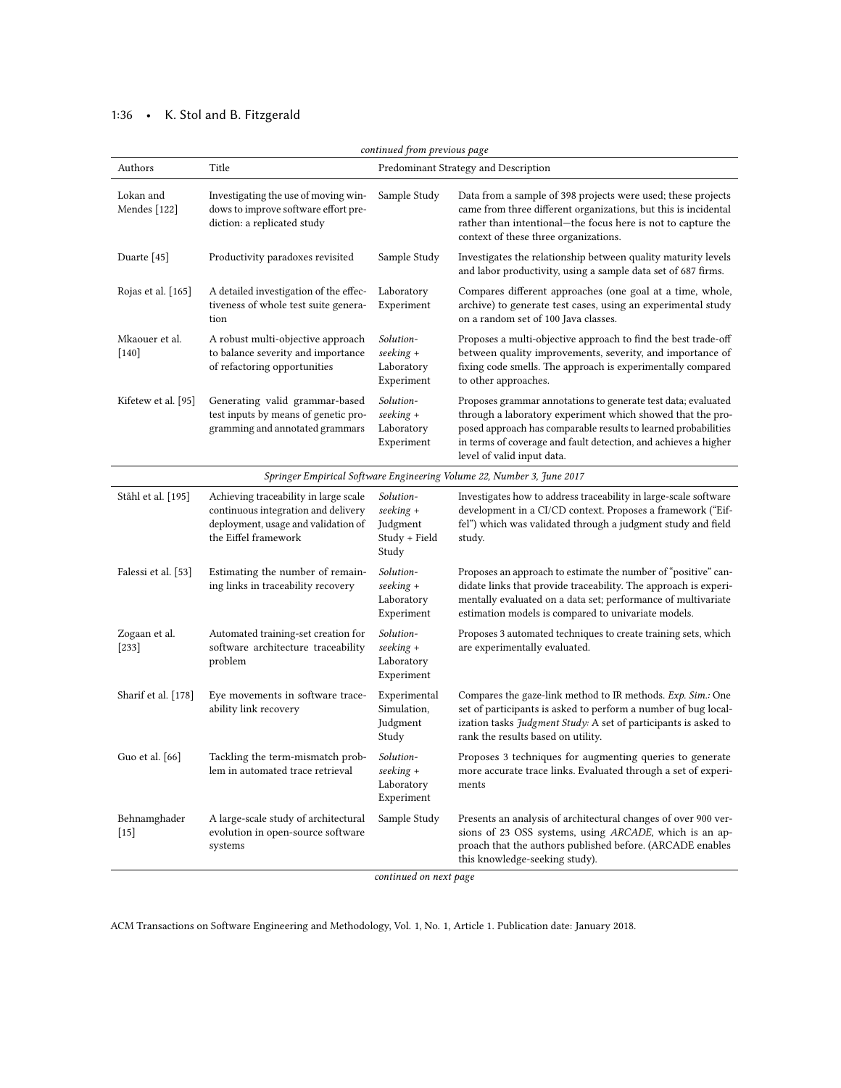# 1:36 • K. Stol and B. Fitzgerald

| continued from previous page                                           |                                                                                                                                             |                                                              |                                                                                                                                                                                                                                                                                                |  |  |  |
|------------------------------------------------------------------------|---------------------------------------------------------------------------------------------------------------------------------------------|--------------------------------------------------------------|------------------------------------------------------------------------------------------------------------------------------------------------------------------------------------------------------------------------------------------------------------------------------------------------|--|--|--|
| Authors                                                                | Title                                                                                                                                       |                                                              | Predominant Strategy and Description                                                                                                                                                                                                                                                           |  |  |  |
| Lokan and<br>Mendes $[122]$                                            | Investigating the use of moving win-<br>dows to improve software effort pre-<br>diction: a replicated study                                 | Sample Study                                                 | Data from a sample of 398 projects were used; these projects<br>came from three different organizations, but this is incidental<br>rather than intentional-the focus here is not to capture the<br>context of these three organizations.                                                       |  |  |  |
| Duarte [45]                                                            | Productivity paradoxes revisited                                                                                                            | Sample Study                                                 | Investigates the relationship between quality maturity levels<br>and labor productivity, using a sample data set of 687 firms.                                                                                                                                                                 |  |  |  |
| Rojas et al. [165]                                                     | A detailed investigation of the effec-<br>tiveness of whole test suite genera-<br>tion                                                      | Laboratory<br>Experiment                                     | Compares different approaches (one goal at a time, whole,<br>archive) to generate test cases, using an experimental study<br>on a random set of 100 Java classes.                                                                                                                              |  |  |  |
| Mkaouer et al.<br>$[140]$                                              | A robust multi-objective approach<br>to balance severity and importance<br>of refactoring opportunities                                     | Solution-<br>seeking +<br>Laboratory<br>Experiment           | Proposes a multi-objective approach to find the best trade-off<br>between quality improvements, severity, and importance of<br>fixing code smells. The approach is experimentally compared<br>to other approaches.                                                                             |  |  |  |
| Kifetew et al. [95]                                                    | Generating valid grammar-based<br>test inputs by means of genetic pro-<br>gramming and annotated grammars                                   | Solution-<br>seeking +<br>Laboratory<br>Experiment           | Proposes grammar annotations to generate test data; evaluated<br>through a laboratory experiment which showed that the pro-<br>posed approach has comparable results to learned probabilities<br>in terms of coverage and fault detection, and achieves a higher<br>level of valid input data. |  |  |  |
| Springer Empirical Software Engineering Volume 22, Number 3, June 2017 |                                                                                                                                             |                                                              |                                                                                                                                                                                                                                                                                                |  |  |  |
| Ståhl et al. [195]                                                     | Achieving traceability in large scale<br>continuous integration and delivery<br>deployment, usage and validation of<br>the Eiffel framework | Solution-<br>seeking +<br>Judgment<br>Study + Field<br>Study | Investigates how to address traceability in large-scale software<br>development in a CI/CD context. Proposes a framework ("Eif-<br>fel") which was validated through a judgment study and field<br>study.                                                                                      |  |  |  |
| Falessi et al. [53]                                                    | Estimating the number of remain-<br>ing links in traceability recovery                                                                      | Solution-<br>$seeking +$<br>Laboratory<br>Experiment         | Proposes an approach to estimate the number of "positive" can-<br>didate links that provide traceability. The approach is experi-<br>mentally evaluated on a data set; performance of multivariate<br>estimation models is compared to univariate models.                                      |  |  |  |
| Zogaan et al.<br>$[233]$                                               | Automated training-set creation for<br>software architecture traceability<br>problem                                                        | Solution-<br>$seeking +$<br>Laboratory<br>Experiment         | Proposes 3 automated techniques to create training sets, which<br>are experimentally evaluated.                                                                                                                                                                                                |  |  |  |
| Sharif et al. [178]                                                    | Eye movements in software trace-<br>ability link recovery                                                                                   | Experimental<br>Simulation,<br>Judgment<br>Study             | Compares the gaze-link method to IR methods. Exp. Sim.: One<br>set of participants is asked to perform a number of bug local-<br>ization tasks Judgment Study: A set of participants is asked to<br>rank the results based on utility.                                                         |  |  |  |
| Guo et al. [66]                                                        | Tackling the term-mismatch prob-<br>lem in automated trace retrieval                                                                        | Solution-<br>$seeking +$<br>Laboratory<br>Experiment         | Proposes 3 techniques for augmenting queries to generate<br>more accurate trace links. Evaluated through a set of experi-<br>ments                                                                                                                                                             |  |  |  |
| Behnamghader<br>$[15]$                                                 | A large-scale study of architectural<br>evolution in open-source software<br>systems                                                        | Sample Study                                                 | Presents an analysis of architectural changes of over 900 ver-<br>sions of 23 OSS systems, using ARCADE, which is an ap-<br>proach that the authors published before. (ARCADE enables<br>this knowledge-seeking study).                                                                        |  |  |  |
|                                                                        |                                                                                                                                             | continued on next page                                       |                                                                                                                                                                                                                                                                                                |  |  |  |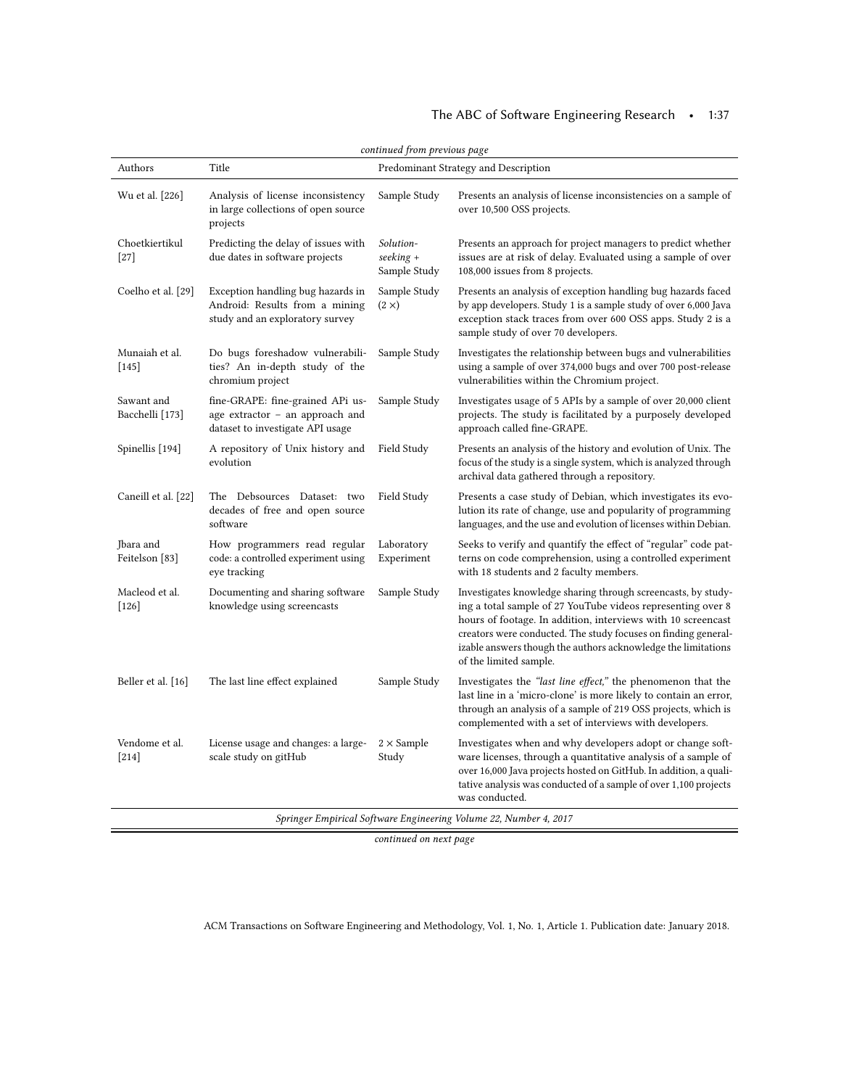| continued from previous page                                      |                                                                                                         |                                          |                                                                                                                                                                                                                                                                                                                                                           |  |  |  |
|-------------------------------------------------------------------|---------------------------------------------------------------------------------------------------------|------------------------------------------|-----------------------------------------------------------------------------------------------------------------------------------------------------------------------------------------------------------------------------------------------------------------------------------------------------------------------------------------------------------|--|--|--|
| Authors                                                           | Title                                                                                                   |                                          | Predominant Strategy and Description                                                                                                                                                                                                                                                                                                                      |  |  |  |
| Wu et al. [226]                                                   | Analysis of license inconsistency<br>in large collections of open source<br>projects                    | Sample Study                             | Presents an analysis of license inconsistencies on a sample of<br>over 10,500 OSS projects.                                                                                                                                                                                                                                                               |  |  |  |
| Choetkiertikul<br>$[27]$                                          | Predicting the delay of issues with<br>due dates in software projects                                   | Solution-<br>$seeking +$<br>Sample Study | Presents an approach for project managers to predict whether<br>issues are at risk of delay. Evaluated using a sample of over<br>108,000 issues from 8 projects.                                                                                                                                                                                          |  |  |  |
| Coelho et al. [29]                                                | Exception handling bug hazards in<br>Android: Results from a mining<br>study and an exploratory survey  | Sample Study<br>$(2 \times)$             | Presents an analysis of exception handling bug hazards faced<br>by app developers. Study 1 is a sample study of over 6,000 Java<br>exception stack traces from over 600 OSS apps. Study 2 is a<br>sample study of over 70 developers.                                                                                                                     |  |  |  |
| Munaiah et al.<br>$[145]$                                         | Do bugs foreshadow vulnerabili-<br>ties? An in-depth study of the<br>chromium project                   | Sample Study                             | Investigates the relationship between bugs and vulnerabilities<br>using a sample of over 374,000 bugs and over 700 post-release<br>vulnerabilities within the Chromium project.                                                                                                                                                                           |  |  |  |
| Sawant and<br>Bacchelli [173]                                     | fine-GRAPE: fine-grained APi us-<br>age extractor - an approach and<br>dataset to investigate API usage | Sample Study                             | Investigates usage of 5 APIs by a sample of over 20,000 client<br>projects. The study is facilitated by a purposely developed<br>approach called fine-GRAPE.                                                                                                                                                                                              |  |  |  |
| Spinellis [194]                                                   | A repository of Unix history and<br>evolution                                                           | Field Study                              | Presents an analysis of the history and evolution of Unix. The<br>focus of the study is a single system, which is analyzed through<br>archival data gathered through a repository.                                                                                                                                                                        |  |  |  |
| Caneill et al. [22]                                               | The Debsources Dataset: two<br>decades of free and open source<br>software                              | Field Study                              | Presents a case study of Debian, which investigates its evo-<br>lution its rate of change, use and popularity of programming<br>languages, and the use and evolution of licenses within Debian.                                                                                                                                                           |  |  |  |
| Jbara and<br>Feitelson [83]                                       | How programmers read regular<br>code: a controlled experiment using<br>eye tracking                     | Laboratory<br>Experiment                 | Seeks to verify and quantify the effect of "regular" code pat-<br>terns on code comprehension, using a controlled experiment<br>with 18 students and 2 faculty members.                                                                                                                                                                                   |  |  |  |
| Macleod et al.<br>$[126]$                                         | Documenting and sharing software<br>knowledge using screencasts                                         | Sample Study                             | Investigates knowledge sharing through screencasts, by study-<br>ing a total sample of 27 YouTube videos representing over 8<br>hours of footage. In addition, interviews with 10 screencast<br>creators were conducted. The study focuses on finding general-<br>izable answers though the authors acknowledge the limitations<br>of the limited sample. |  |  |  |
| Beller et al. [16]                                                | The last line effect explained                                                                          | Sample Study                             | Investigates the "last line effect," the phenomenon that the<br>last line in a 'micro-clone' is more likely to contain an error,<br>through an analysis of a sample of 219 OSS projects, which is<br>complemented with a set of interviews with developers.                                                                                               |  |  |  |
| Vendome et al.<br>$[214]$                                         | License usage and changes: a large-<br>scale study on gitHub                                            | $2 \times$ Sample<br>Study               | Investigates when and why developers adopt or change soft-<br>ware licenses, through a quantitative analysis of a sample of<br>over 16,000 Java projects hosted on GitHub. In addition, a quali-<br>tative analysis was conducted of a sample of over 1,100 projects<br>was conducted.                                                                    |  |  |  |
| Springer Empirical Software Engineering Volume 22, Number 4, 2017 |                                                                                                         |                                          |                                                                                                                                                                                                                                                                                                                                                           |  |  |  |

continued on next page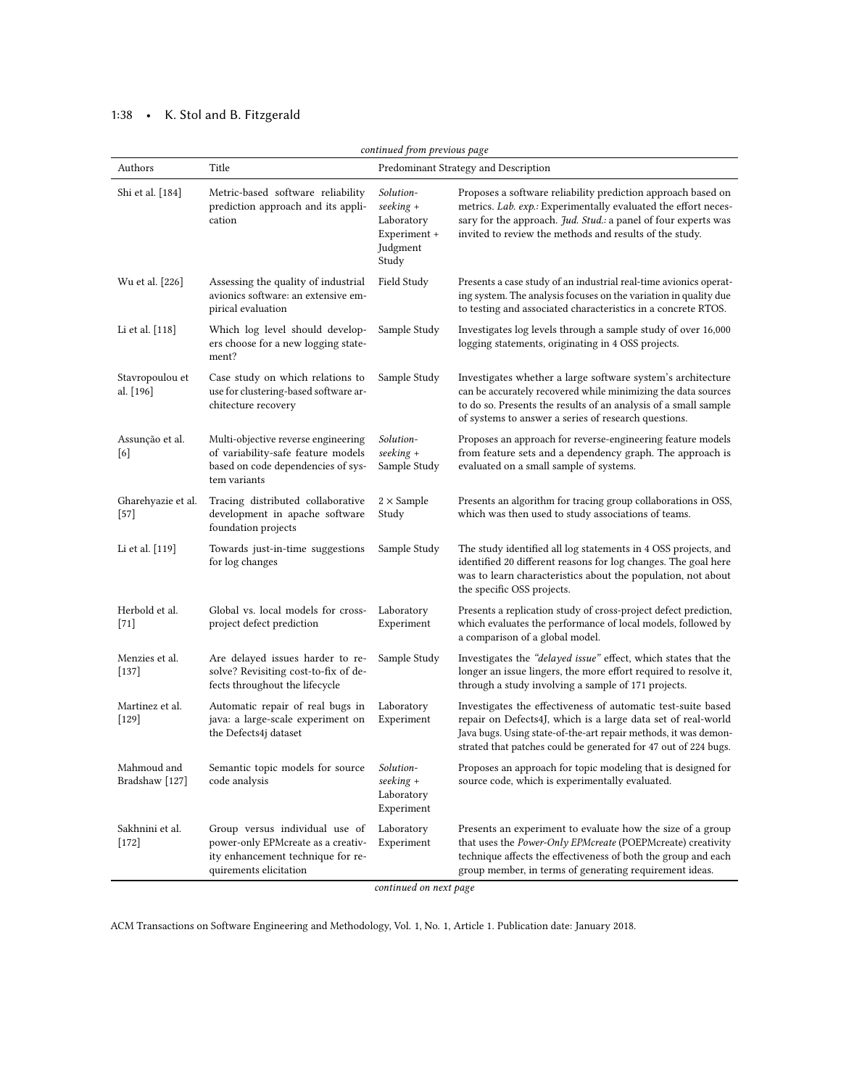# 1:38 • K. Stol and B. Fitzgerald

| continued from previous page  |                                                                                                                                     |                                                                           |                                                                                                                                                                                                                                                                    |  |  |
|-------------------------------|-------------------------------------------------------------------------------------------------------------------------------------|---------------------------------------------------------------------------|--------------------------------------------------------------------------------------------------------------------------------------------------------------------------------------------------------------------------------------------------------------------|--|--|
| Authors                       | Title                                                                                                                               |                                                                           | Predominant Strategy and Description                                                                                                                                                                                                                               |  |  |
| Shi et al. [184]              | Metric-based software reliability<br>prediction approach and its appli-<br>cation                                                   | Solution-<br>seeking +<br>Laboratory<br>Experiment +<br>Judgment<br>Study | Proposes a software reliability prediction approach based on<br>metrics. Lab. exp.: Experimentally evaluated the effort neces-<br>sary for the approach. Jud. Stud.: a panel of four experts was<br>invited to review the methods and results of the study.        |  |  |
| Wu et al. [226]               | Assessing the quality of industrial<br>avionics software: an extensive em-<br>pirical evaluation                                    | Field Study                                                               | Presents a case study of an industrial real-time avionics operat-<br>ing system. The analysis focuses on the variation in quality due<br>to testing and associated characteristics in a concrete RTOS.                                                             |  |  |
| Li et al. [118]               | Which log level should develop-<br>ers choose for a new logging state-<br>ment?                                                     | Sample Study                                                              | Investigates log levels through a sample study of over 16,000<br>logging statements, originating in 4 OSS projects.                                                                                                                                                |  |  |
| Stavropoulou et<br>al. [196]  | Case study on which relations to<br>use for clustering-based software ar-<br>chitecture recovery                                    | Sample Study                                                              | Investigates whether a large software system's architecture<br>can be accurately recovered while minimizing the data sources<br>to do so. Presents the results of an analysis of a small sample<br>of systems to answer a series of research questions.            |  |  |
| Assunção et al.<br>[6]        | Multi-objective reverse engineering<br>of variability-safe feature models<br>based on code dependencies of sys-<br>tem variants     | Solution-<br>seeking +<br>Sample Study                                    | Proposes an approach for reverse-engineering feature models<br>from feature sets and a dependency graph. The approach is<br>evaluated on a small sample of systems.                                                                                                |  |  |
| Gharehyazie et al.<br>$[57]$  | Tracing distributed collaborative<br>development in apache software<br>foundation projects                                          | $2 \times$ Sample<br>Study                                                | Presents an algorithm for tracing group collaborations in OSS,<br>which was then used to study associations of teams.                                                                                                                                              |  |  |
| Li et al. [119]               | Towards just-in-time suggestions<br>for log changes                                                                                 | Sample Study                                                              | The study identified all log statements in 4 OSS projects, and<br>identified 20 different reasons for log changes. The goal here<br>was to learn characteristics about the population, not about<br>the specific OSS projects.                                     |  |  |
| Herbold et al.<br>$[71]$      | Global vs. local models for cross-<br>project defect prediction                                                                     | Laboratory<br>Experiment                                                  | Presents a replication study of cross-project defect prediction,<br>which evaluates the performance of local models, followed by<br>a comparison of a global model.                                                                                                |  |  |
| Menzies et al.<br>$[137]$     | Are delayed issues harder to re-<br>solve? Revisiting cost-to-fix of de-<br>fects throughout the lifecycle                          | Sample Study                                                              | Investigates the "delayed issue" effect, which states that the<br>longer an issue lingers, the more effort required to resolve it,<br>through a study involving a sample of 171 projects.                                                                          |  |  |
| Martinez et al.<br>$[129]$    | Automatic repair of real bugs in<br>java: a large-scale experiment on<br>the Defects4j dataset                                      | Laboratory<br>Experiment                                                  | Investigates the effectiveness of automatic test-suite based<br>repair on Defects4J, which is a large data set of real-world<br>Java bugs. Using state-of-the-art repair methods, it was demon-<br>strated that patches could be generated for 47 out of 224 bugs. |  |  |
| Mahmoud and<br>Bradshaw [127] | Semantic topic models for source<br>code analysis                                                                                   | Solution-<br>seeking +<br>Laboratory<br>Experiment                        | Proposes an approach for topic modeling that is designed for<br>source code, which is experimentally evaluated.                                                                                                                                                    |  |  |
| Sakhnini et al.<br>$[172]$    | Group versus individual use of<br>power-only EPMcreate as a creativ-<br>ity enhancement technique for re-<br>quirements elicitation | Laboratory<br>Experiment                                                  | Presents an experiment to evaluate how the size of a group<br>that uses the Power-Only EPMcreate (POEPMcreate) creativity<br>technique affects the effectiveness of both the group and each<br>group member, in terms of generating requirement ideas.             |  |  |

continued on next page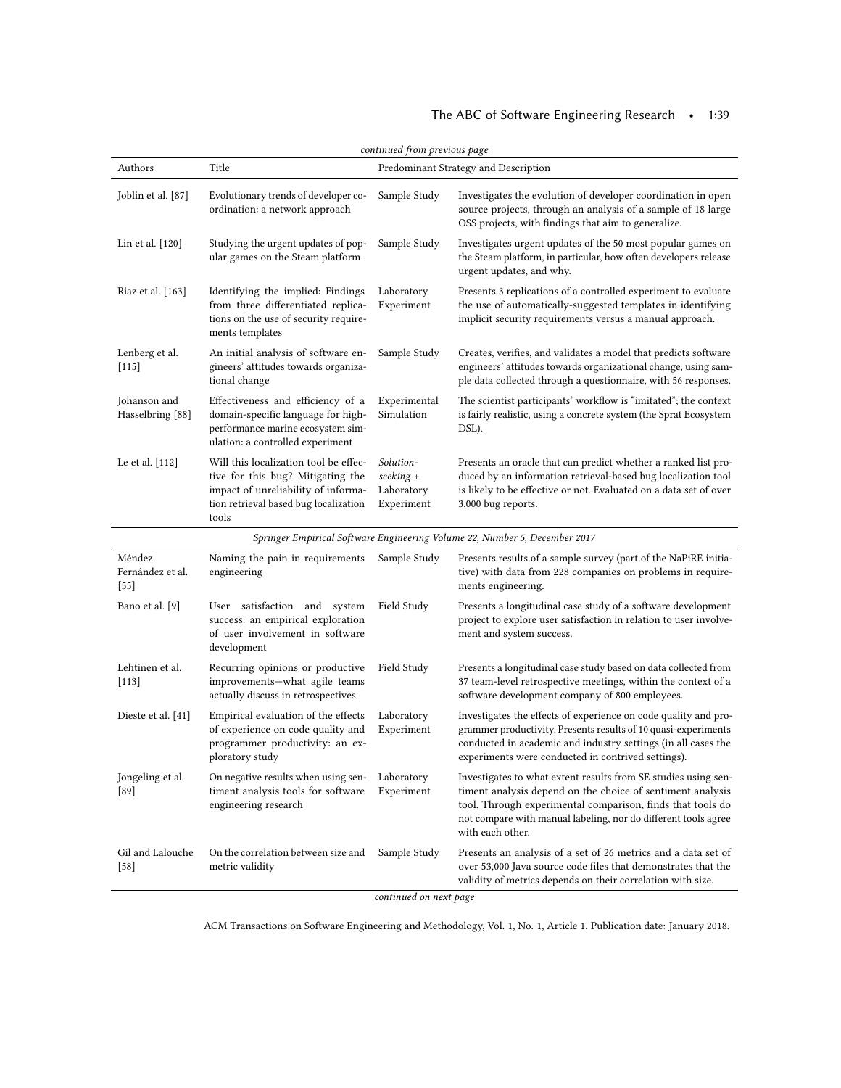# The ABC of Software Engineering Research • 1:39

| continued from previous page         |                                                                                                                                                                     |                                                    |                                                                                                                                                                                                                                                                                  |  |  |  |
|--------------------------------------|---------------------------------------------------------------------------------------------------------------------------------------------------------------------|----------------------------------------------------|----------------------------------------------------------------------------------------------------------------------------------------------------------------------------------------------------------------------------------------------------------------------------------|--|--|--|
| Authors                              | Title                                                                                                                                                               |                                                    | Predominant Strategy and Description                                                                                                                                                                                                                                             |  |  |  |
| Joblin et al. [87]                   | Evolutionary trends of developer co-<br>ordination: a network approach                                                                                              | Sample Study                                       | Investigates the evolution of developer coordination in open<br>source projects, through an analysis of a sample of 18 large<br>OSS projects, with findings that aim to generalize.                                                                                              |  |  |  |
| Lin et al. [120]                     | Studying the urgent updates of pop-<br>ular games on the Steam platform                                                                                             | Sample Study                                       | Investigates urgent updates of the 50 most popular games on<br>the Steam platform, in particular, how often developers release<br>urgent updates, and why.                                                                                                                       |  |  |  |
| Riaz et al. [163]                    | Identifying the implied: Findings<br>from three differentiated replica-<br>tions on the use of security require-<br>ments templates                                 | Laboratory<br>Experiment                           | Presents 3 replications of a controlled experiment to evaluate<br>the use of automatically-suggested templates in identifying<br>implicit security requirements versus a manual approach.                                                                                        |  |  |  |
| Lenberg et al.<br>$[115]$            | An initial analysis of software en-<br>gineers' attitudes towards organiza-<br>tional change                                                                        | Sample Study                                       | Creates, verifies, and validates a model that predicts software<br>engineers' attitudes towards organizational change, using sam-<br>ple data collected through a questionnaire, with 56 responses.                                                                              |  |  |  |
| Johanson and<br>Hasselbring [88]     | Effectiveness and efficiency of a<br>domain-specific language for high-<br>performance marine ecosystem sim-<br>ulation: a controlled experiment                    | Experimental<br>Simulation                         | The scientist participants' workflow is "imitated"; the context<br>is fairly realistic, using a concrete system (the Sprat Ecosystem<br>DSL).                                                                                                                                    |  |  |  |
| Le et al. [112]                      | Will this localization tool be effec-<br>tive for this bug? Mitigating the<br>impact of unreliability of informa-<br>tion retrieval based bug localization<br>tools | Solution-<br>seeking +<br>Laboratory<br>Experiment | Presents an oracle that can predict whether a ranked list pro-<br>duced by an information retrieval-based bug localization tool<br>is likely to be effective or not. Evaluated on a data set of over<br>3,000 bug reports.                                                       |  |  |  |
|                                      |                                                                                                                                                                     |                                                    | Springer Empirical Software Engineering Volume 22, Number 5, December 2017                                                                                                                                                                                                       |  |  |  |
| Méndez<br>Fernández et al.<br>$[55]$ | Naming the pain in requirements<br>engineering                                                                                                                      | Sample Study                                       | Presents results of a sample survey (part of the NaPiRE initia-<br>tive) with data from 228 companies on problems in require-<br>ments engineering.                                                                                                                              |  |  |  |
| Bano et al. [9]                      | User satisfaction and system<br>success: an empirical exploration<br>of user involvement in software<br>development                                                 | Field Study                                        | Presents a longitudinal case study of a software development<br>project to explore user satisfaction in relation to user involve-<br>ment and system success.                                                                                                                    |  |  |  |
| Lehtinen et al.<br>$[113]$           | Recurring opinions or productive<br>improvements-what agile teams<br>actually discuss in retrospectives                                                             | Field Study                                        | Presents a longitudinal case study based on data collected from<br>37 team-level retrospective meetings, within the context of a<br>software development company of 800 employees.                                                                                               |  |  |  |
| Dieste et al. $[41]$                 | Empirical evaluation of the effects<br>of experience on code quality and<br>programmer productivity: an ex-<br>ploratory study                                      | Laboratory<br>Experiment                           | Investigates the effects of experience on code quality and pro-<br>grammer productivity. Presents results of 10 quasi-experiments<br>conducted in academic and industry settings (in all cases the<br>experiments were conducted in contrived settings).                         |  |  |  |
| Jongeling et al.<br>[89]             | On negative results when using sen-<br>timent analysis tools for software<br>engineering research                                                                   | Laboratory<br>Experiment                           | Investigates to what extent results from SE studies using sen-<br>timent analysis depend on the choice of sentiment analysis<br>tool. Through experimental comparison, finds that tools do<br>not compare with manual labeling, nor do different tools agree<br>with each other. |  |  |  |
| Gil and Lalouche<br>$[58]$           | On the correlation between size and<br>metric validity                                                                                                              | Sample Study<br>continued on next page             | Presents an analysis of a set of 26 metrics and a data set of<br>over 53,000 Java source code files that demonstrates that the<br>validity of metrics depends on their correlation with size.                                                                                    |  |  |  |

continued on next page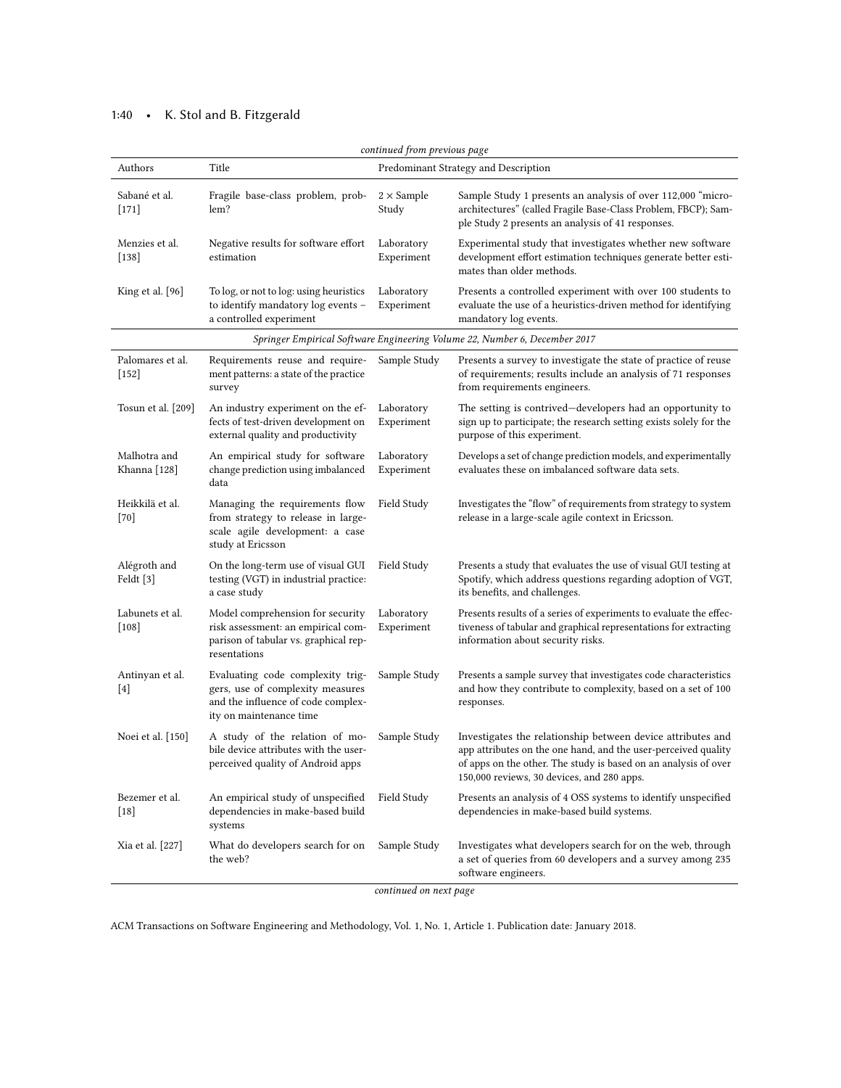# 1:40 • K. Stol and B. Fitzgerald

| continued from previous page |                                                                                                                                       |                            |                                                                                                                                                                                                                                                |  |  |
|------------------------------|---------------------------------------------------------------------------------------------------------------------------------------|----------------------------|------------------------------------------------------------------------------------------------------------------------------------------------------------------------------------------------------------------------------------------------|--|--|
| Authors                      | Title                                                                                                                                 |                            | Predominant Strategy and Description                                                                                                                                                                                                           |  |  |
| Sabané et al.<br>$[171]$     | Fragile base-class problem, prob-<br>lem?                                                                                             | $2 \times$ Sample<br>Study | Sample Study 1 presents an analysis of over 112,000 "micro-<br>architectures" (called Fragile Base-Class Problem, FBCP); Sam-<br>ple Study 2 presents an analysis of 41 responses.                                                             |  |  |
| Menzies et al.<br>$[138]$    | Negative results for software effort<br>estimation                                                                                    | Laboratory<br>Experiment   | Experimental study that investigates whether new software<br>development effort estimation techniques generate better esti-<br>mates than older methods.                                                                                       |  |  |
| King et al. $[96]$           | To log, or not to log: using heuristics<br>to identify mandatory log events -<br>a controlled experiment                              | Laboratory<br>Experiment   | Presents a controlled experiment with over 100 students to<br>evaluate the use of a heuristics-driven method for identifying<br>mandatory log events.                                                                                          |  |  |
|                              |                                                                                                                                       |                            | Springer Empirical Software Engineering Volume 22, Number 6, December 2017                                                                                                                                                                     |  |  |
| Palomares et al.<br>$[152]$  | Requirements reuse and require-<br>ment patterns: a state of the practice<br>survey                                                   | Sample Study               | Presents a survey to investigate the state of practice of reuse<br>of requirements; results include an analysis of 71 responses<br>from requirements engineers.                                                                                |  |  |
| Tosun et al. [209]           | An industry experiment on the ef-<br>fects of test-driven development on<br>external quality and productivity                         | Laboratory<br>Experiment   | The setting is contrived-developers had an opportunity to<br>sign up to participate; the research setting exists solely for the<br>purpose of this experiment.                                                                                 |  |  |
| Malhotra and<br>Khanna [128] | An empirical study for software<br>change prediction using imbalanced<br>data                                                         | Laboratory<br>Experiment   | Develops a set of change prediction models, and experimentally<br>evaluates these on imbalanced software data sets.                                                                                                                            |  |  |
| Heikkilä et al.<br>$[70]$    | Managing the requirements flow<br>from strategy to release in large-<br>scale agile development: a case<br>study at Ericsson          | Field Study                | Investigates the "flow" of requirements from strategy to system<br>release in a large-scale agile context in Ericsson.                                                                                                                         |  |  |
| Alégroth and<br>Feldt $[3]$  | On the long-term use of visual GUI<br>testing (VGT) in industrial practice:<br>a case study                                           | Field Study                | Presents a study that evaluates the use of visual GUI testing at<br>Spotify, which address questions regarding adoption of VGT,<br>its benefits, and challenges.                                                                               |  |  |
| Labunets et al.<br>$[108]$   | Model comprehension for security<br>risk assessment: an empirical com-<br>parison of tabular vs. graphical rep-<br>resentations       | Laboratory<br>Experiment   | Presents results of a series of experiments to evaluate the effec-<br>tiveness of tabular and graphical representations for extracting<br>information about security risks.                                                                    |  |  |
| Antinyan et al.<br>$[4]$     | Evaluating code complexity trig-<br>gers, use of complexity measures<br>and the influence of code complex-<br>ity on maintenance time | Sample Study               | Presents a sample survey that investigates code characteristics<br>and how they contribute to complexity, based on a set of 100<br>responses.                                                                                                  |  |  |
| Noei et al. [150]            | A study of the relation of mo-<br>bile device attributes with the user-<br>perceived quality of Android apps                          | Sample Study               | Investigates the relationship between device attributes and<br>app attributes on the one hand, and the user-perceived quality<br>of apps on the other. The study is based on an analysis of over<br>150,000 reviews, 30 devices, and 280 apps. |  |  |
| Bezemer et al.<br>$[18]$     | An empirical study of unspecified<br>dependencies in make-based build<br>systems                                                      | Field Study                | Presents an analysis of 4 OSS systems to identify unspecified<br>dependencies in make-based build systems.                                                                                                                                     |  |  |
| Xia et al. [227]             | What do developers search for on<br>the web?                                                                                          | Sample Study               | Investigates what developers search for on the web, through<br>a set of queries from 60 developers and a survey among 235<br>software engineers.                                                                                               |  |  |

continued on next page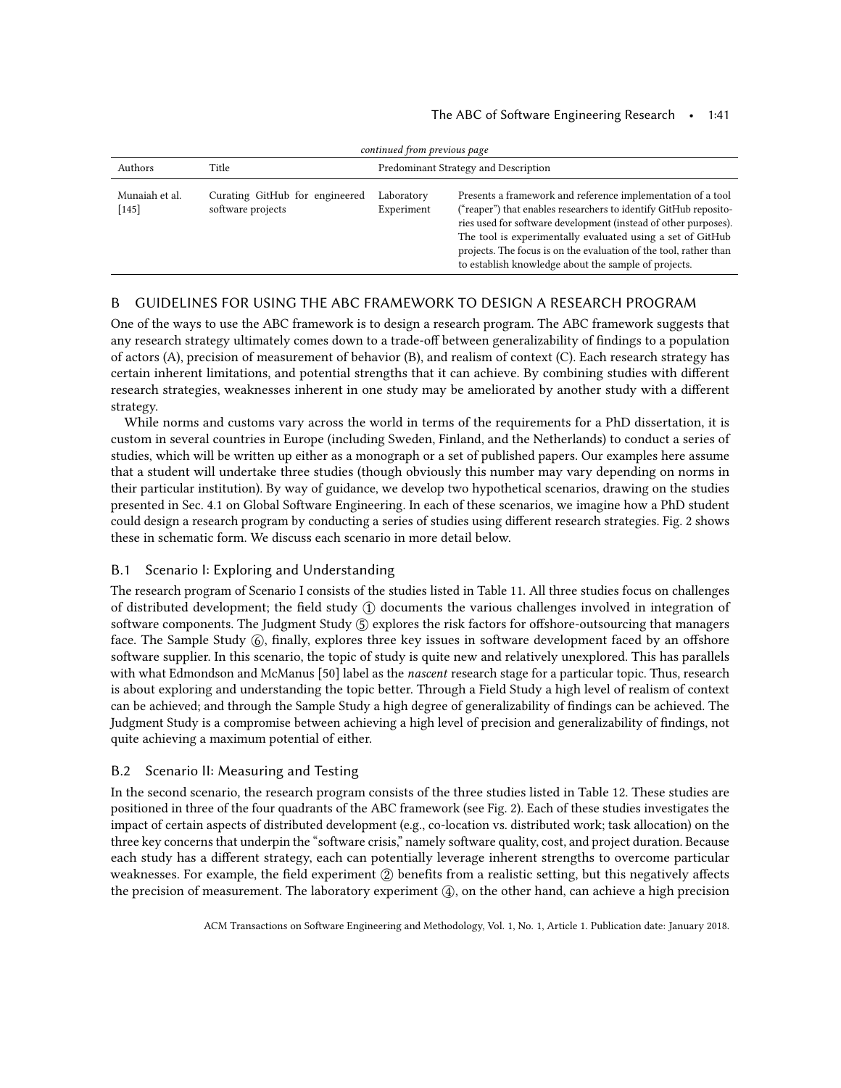| continued from previous page |                                                     |                                      |                                                                                                                                                                                                                                                                                                                                                                                               |  |  |
|------------------------------|-----------------------------------------------------|--------------------------------------|-----------------------------------------------------------------------------------------------------------------------------------------------------------------------------------------------------------------------------------------------------------------------------------------------------------------------------------------------------------------------------------------------|--|--|
| Authors                      | Title                                               | Predominant Strategy and Description |                                                                                                                                                                                                                                                                                                                                                                                               |  |  |
| Munaiah et al.<br>$[145]$    | Curating GitHub for engineered<br>software projects | Laboratory<br>Experiment             | Presents a framework and reference implementation of a tool<br>("reaper") that enables researchers to identify GitHub reposito-<br>ries used for software development (instead of other purposes).<br>The tool is experimentally evaluated using a set of GitHub<br>projects. The focus is on the evaluation of the tool, rather than<br>to establish knowledge about the sample of projects. |  |  |

# B GUIDELINES FOR USING THE ABC FRAMEWORK TO DESIGN A RESEARCH PROGRAM

One of the ways to use the ABC framework is to design a research program. The ABC framework suggests that any research strategy ultimately comes down to a trade-off between generalizability of findings to a population of actors (A), precision of measurement of behavior (B), and realism of context (C). Each research strategy has certain inherent limitations, and potential strengths that it can achieve. By combining studies with different research strategies, weaknesses inherent in one study may be ameliorated by another study with a different strategy.

While norms and customs vary across the world in terms of the requirements for a PhD dissertation, it is custom in several countries in Europe (including Sweden, Finland, and the Netherlands) to conduct a series of studies, which will be written up either as a monograph or a set of published papers. Our examples here assume that a student will undertake three studies (though obviously this number may vary depending on norms in their particular institution). By way of guidance, we develop two hypothetical scenarios, drawing on the studies presented in Sec. [4.1](#page-17-1) on Global Software Engineering. In each of these scenarios, we imagine how a PhD student could design a research program by conducting a series of studies using different research strategies. Fig. [2](#page-41-0) shows these in schematic form. We discuss each scenario in more detail below.

## B.1 Scenario I: Exploring and Understanding

The research program of Scenario I consists of the studies listed in Table [11.](#page-41-1) All three studies focus on challenges of distributed development; the field study ① documents the various challenges involved in integration of software components. The Judgment Study  $(5)$  explores the risk factors for offshore-outsourcing that managers face. The Sample Study ⑥, finally, explores three key issues in software development faced by an offshore software supplier. In this scenario, the topic of study is quite new and relatively unexplored. This has parallels with what Edmondson and McManus [\[50\]](#page-44-12) label as the nascent research stage for a particular topic. Thus, research is about exploring and understanding the topic better. Through a Field Study a high level of realism of context can be achieved; and through the Sample Study a high degree of generalizability of findings can be achieved. The Judgment Study is a compromise between achieving a high level of precision and generalizability of findings, not quite achieving a maximum potential of either.

### B.2 Scenario II: Measuring and Testing

In the second scenario, the research program consists of the three studies listed in Table [12.](#page-42-9) These studies are positioned in three of the four quadrants of the ABC framework (see Fig. [2\)](#page-41-0). Each of these studies investigates the impact of certain aspects of distributed development (e.g., co-location vs. distributed work; task allocation) on the three key concerns that underpin the "software crisis," namely software quality, cost, and project duration. Because each study has a different strategy, each can potentially leverage inherent strengths to overcome particular weaknesses. For example, the field experiment  $(2)$  benefits from a realistic setting, but this negatively affects the precision of measurement. The laboratory experiment  $(4)$ , on the other hand, can achieve a high precision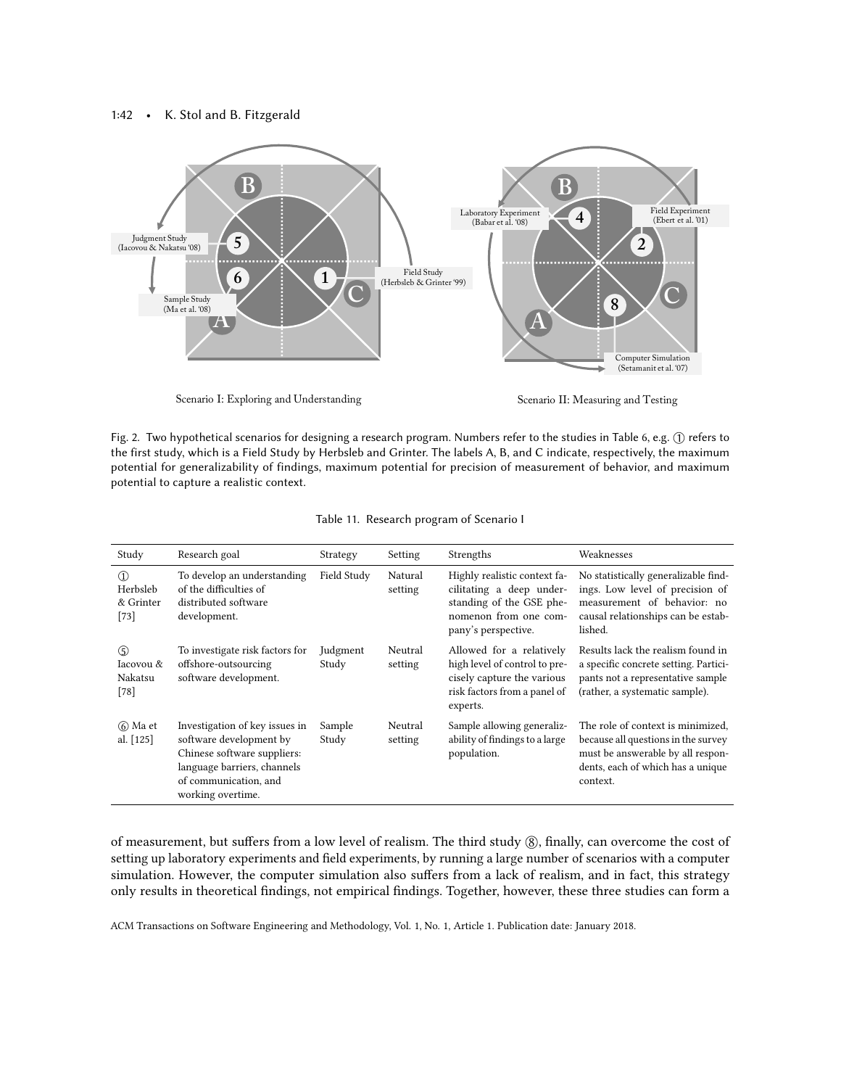<span id="page-41-0"></span>

Fig. 2. Two hypothetical scenarios for designing a research program. Numbers refer to the studies in Table [6,](#page-19-0) e.g. ① refers to the first study, which is a Field Study by Herbsleb and Grinter. The labels A, B, and C indicate, respectively, the maximum potential for generalizability of findings, maximum potential for precision of measurement of behavior, and maximum potential to capture a realistic context.

<span id="page-41-1"></span>

| Study                                       | Research goal                                                                                                                                                         | Strategy          | Setting            | Strengths                                                                                                                            | Weaknesses                                                                                                                                                     |
|---------------------------------------------|-----------------------------------------------------------------------------------------------------------------------------------------------------------------------|-------------------|--------------------|--------------------------------------------------------------------------------------------------------------------------------------|----------------------------------------------------------------------------------------------------------------------------------------------------------------|
| $\Omega$<br>Herbsleb<br>& Grinter<br>$[73]$ | To develop an understanding<br>of the difficulties of<br>distributed software<br>development.                                                                         | Field Study       | Natural<br>setting | Highly realistic context fa-<br>cilitating a deep under-<br>standing of the GSE phe-<br>nomenon from one com-<br>pany's perspective. | No statistically generalizable find-<br>ings. Low level of precision of<br>measurement of behavior: no<br>causal relationships can be estab-<br>lished.        |
| (5)<br>Iacovou &<br>Nakatsu<br>$[78]$       | To investigate risk factors for<br>offshore-outsourcing<br>software development.                                                                                      | Judgment<br>Study | Neutral<br>setting | Allowed for a relatively<br>high level of control to pre-<br>cisely capture the various<br>risk factors from a panel of<br>experts.  | Results lack the realism found in<br>a specific concrete setting. Partici-<br>pants not a representative sample<br>(rather, a systematic sample).              |
| 6 Ma et<br>al. $[125]$                      | Investigation of key issues in<br>software development by<br>Chinese software suppliers:<br>language barriers, channels<br>of communication, and<br>working overtime. | Sample<br>Study   | Neutral<br>setting | Sample allowing generaliz-<br>ability of findings to a large<br>population.                                                          | The role of context is minimized.<br>because all questions in the survey<br>must be answerable by all respon-<br>dents, each of which has a unique<br>context. |

Table 11. Research program of Scenario I

of measurement, but suffers from a low level of realism. The third study  $\delta$ , finally, can overcome the cost of setting up laboratory experiments and field experiments, by running a large number of scenarios with a computer simulation. However, the computer simulation also suffers from a lack of realism, and in fact, this strategy only results in theoretical findings, not empirical findings. Together, however, these three studies can form a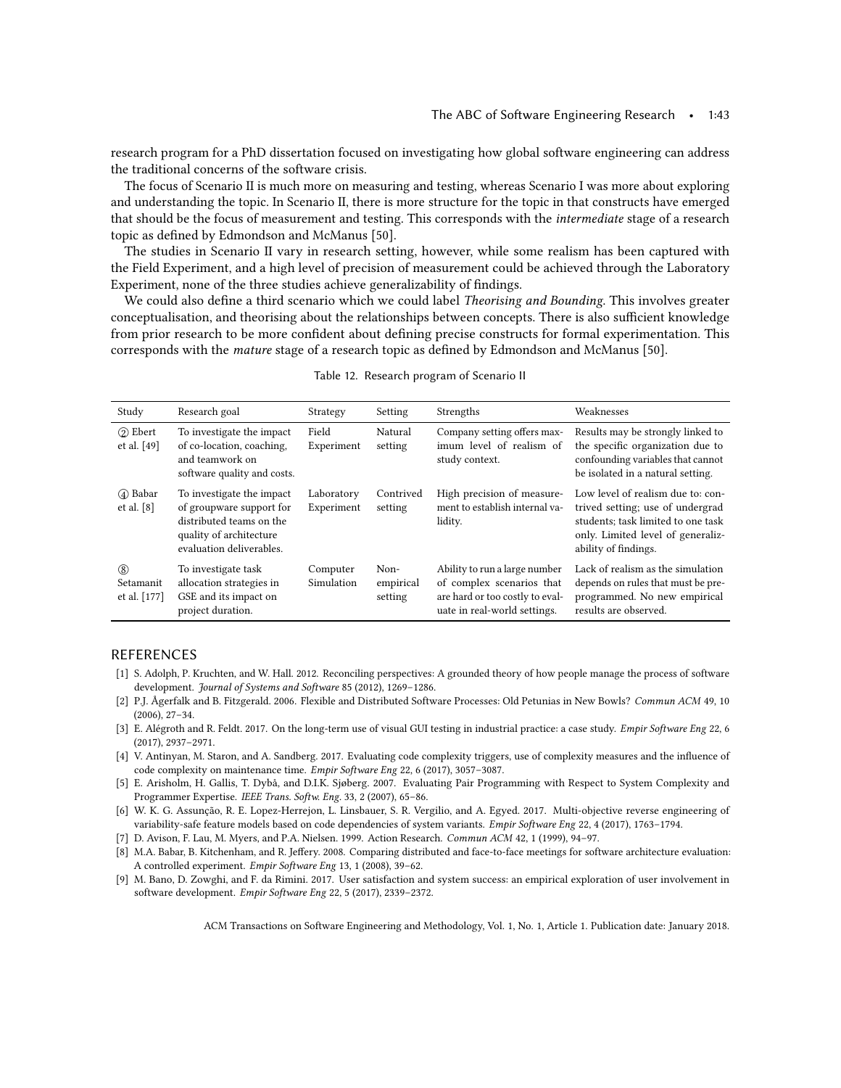research program for a PhD dissertation focused on investigating how global software engineering can address the traditional concerns of the software crisis.

The focus of Scenario II is much more on measuring and testing, whereas Scenario I was more about exploring and understanding the topic. In Scenario II, there is more structure for the topic in that constructs have emerged that should be the focus of measurement and testing. This corresponds with the intermediate stage of a research topic as defined by Edmondson and McManus [\[50\]](#page-44-12).

The studies in Scenario II vary in research setting, however, while some realism has been captured with the Field Experiment, and a high level of precision of measurement could be achieved through the Laboratory Experiment, none of the three studies achieve generalizability of findings.

We could also define a third scenario which we could label *Theorising and Bounding*. This involves greater conceptualisation, and theorising about the relationships between concepts. There is also sufficient knowledge from prior research to be more confident about defining precise constructs for formal experimentation. This corresponds with the mature stage of a research topic as defined by Edmondson and McManus [\[50\]](#page-44-12).

<span id="page-42-9"></span>

| Study                            | Research goal                                                                                                                            | Strategy                 | Setting                      | Strengths                                                                                                                     | Weaknesses                                                                                                                                                               |
|----------------------------------|------------------------------------------------------------------------------------------------------------------------------------------|--------------------------|------------------------------|-------------------------------------------------------------------------------------------------------------------------------|--------------------------------------------------------------------------------------------------------------------------------------------------------------------------|
| (2) Ebert<br>et al. $[49]$       | To investigate the impact<br>of co-location, coaching,<br>and teamwork on<br>software quality and costs.                                 | Field<br>Experiment      | Natural<br>setting           | Company setting offers max-<br>imum level of realism of<br>study context.                                                     | Results may be strongly linked to<br>the specific organization due to<br>confounding variables that cannot<br>be isolated in a natural setting.                          |
| (4) Babar<br>et al. $[8]$        | To investigate the impact<br>of groupware support for<br>distributed teams on the<br>quality of architecture<br>evaluation deliverables. | Laboratory<br>Experiment | Contrived<br>setting         | High precision of measure-<br>ment to establish internal va-<br>lidity.                                                       | Low level of realism due to: con-<br>trived setting; use of undergrad<br>students; task limited to one task<br>only. Limited level of generaliz-<br>ability of findings. |
| (8)<br>Setamanit<br>et al. [177] | To investigate task<br>allocation strategies in<br>GSE and its impact on<br>project duration.                                            | Computer<br>Simulation   | Non-<br>empirical<br>setting | Ability to run a large number<br>of complex scenarios that<br>are hard or too costly to eval-<br>uate in real-world settings. | Lack of realism as the simulation<br>depends on rules that must be pre-<br>programmed. No new empirical<br>results are observed.                                         |

|  |  |  | Table 12. Research program of Scenario II |  |
|--|--|--|-------------------------------------------|--|
|--|--|--|-------------------------------------------|--|

## REFERENCES

- <span id="page-42-0"></span>[1] S. Adolph, P. Kruchten, and W. Hall. 2012. Reconciling perspectives: A grounded theory of how people manage the process of software development. Journal of Systems and Software 85 (2012), 1269–1286.
- <span id="page-42-3"></span>[2] P.J. Ågerfalk and B. Fitzgerald. 2006. Flexible and Distributed Software Processes: Old Petunias in New Bowls? Commun ACM 49, 10 (2006), 27–34.
- <span id="page-42-7"></span>[3] E. Alégroth and R. Feldt. 2017. On the long-term use of visual GUI testing in industrial practice: a case study. Empir Software Eng 22, 6 (2017), 2937–2971.
- <span id="page-42-8"></span>[4] V. Antinyan, M. Staron, and A. Sandberg. 2017. Evaluating code complexity triggers, use of complexity measures and the influence of code complexity on maintenance time. Empir Software Eng 22, 6 (2017), 3057–3087.
- <span id="page-42-2"></span>[5] E. Arisholm, H. Gallis, T. Dybå, and D.I.K. Sjøberg. 2007. Evaluating Pair Programming with Respect to System Complexity and Programmer Expertise. IEEE Trans. Softw. Eng. 33, 2 (2007), 65–86.
- <span id="page-42-5"></span>[6] W. K. G. Assunção, R. E. Lopez-Herrejon, L. Linsbauer, S. R. Vergilio, and A. Egyed. 2017. Multi-objective reverse engineering of variability-safe feature models based on code dependencies of system variants. Empir Software Eng 22, 4 (2017), 1763–1794.
- <span id="page-42-1"></span>[7] D. Avison, F. Lau, M. Myers, and P.A. Nielsen. 1999. Action Research. Commun ACM 42, 1 (1999), 94–97.
- <span id="page-42-4"></span>[8] M.A. Babar, B. Kitchenham, and R. Jeffery. 2008. Comparing distributed and face-to-face meetings for software architecture evaluation: A controlled experiment. Empir Software Eng 13, 1 (2008), 39–62.
- <span id="page-42-6"></span>[9] M. Bano, D. Zowghi, and F. da Rimini. 2017. User satisfaction and system success: an empirical exploration of user involvement in software development. Empir Software Eng 22, 5 (2017), 2339–2372.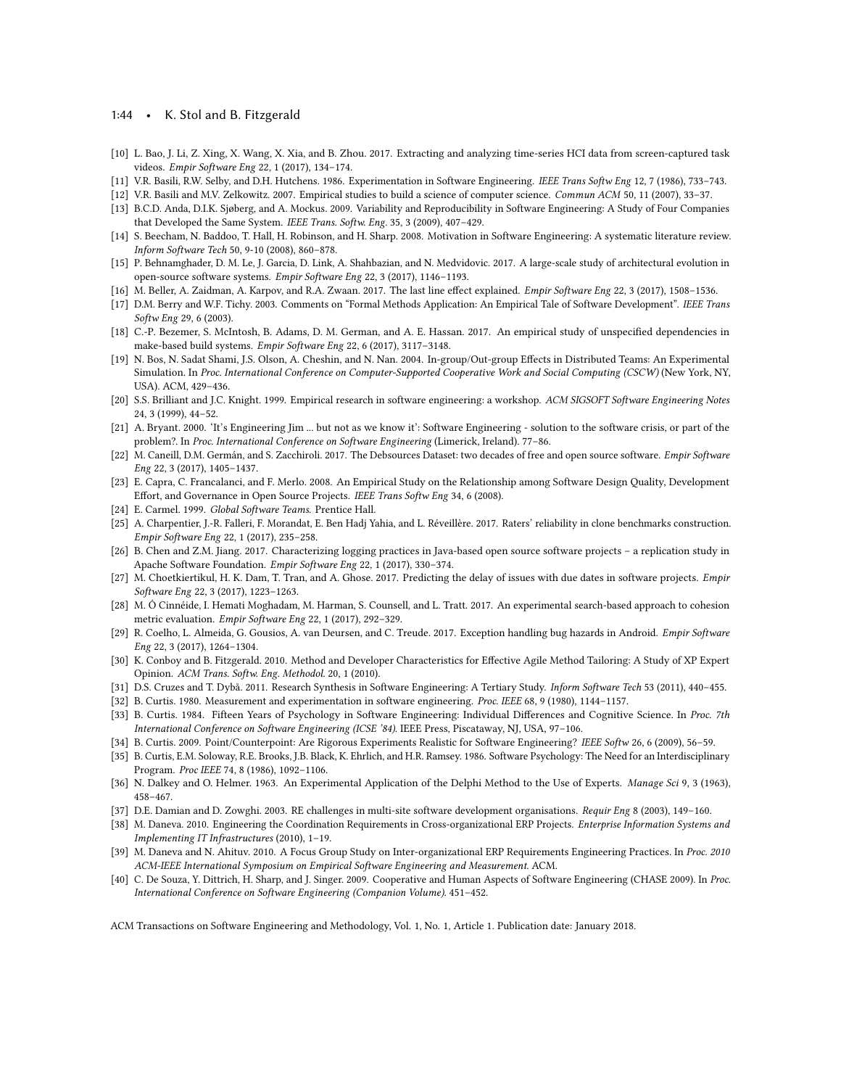#### 1:44 • K. Stol and B. Fitzgerald

- <span id="page-43-21"></span>[10] L. Bao, J. Li, Z. Xing, X. Wang, X. Xia, and B. Zhou. 2017. Extracting and analyzing time-series HCI data from screen-captured task videos. Empir Software Eng 22, 1 (2017), 134–174.
- <span id="page-43-5"></span>[11] V.R. Basili, R.W. Selby, and D.H. Hutchens. 1986. Experimentation in Software Engineering. IEEE Trans Softw Eng 12, 7 (1986), 733–743.
- <span id="page-43-0"></span>[12] V.R. Basili and M.V. Zelkowitz. 2007. Empirical studies to build a science of computer science. Commun ACM 50, 11 (2007), 33–37.
- <span id="page-43-11"></span>[13] B.C.D. Anda, D.I.K. Sjøberg, and A. Mockus. 2009. Variability and Reproducibility in Software Engineering: A Study of Four Companies that Developed the Same System. IEEE Trans. Softw. Eng. 35, 3 (2009), 407–429.
- <span id="page-43-3"></span>[14] S. Beecham, N. Baddoo, T. Hall, H. Robinson, and H. Sharp. 2008. Motivation in Software Engineering: A systematic literature review. Inform Software Tech 50, 9-10 (2008), 860–878.
- <span id="page-43-25"></span>[15] P. Behnamghader, D. M. Le, J. Garcia, D. Link, A. Shahbazian, and N. Medvidovic. 2017. A large-scale study of architectural evolution in open-source software systems. Empir Software Eng 22, 3 (2017), 1146–1193.
- <span id="page-43-29"></span>[16] M. Beller, A. Zaidman, A. Karpov, and R.A. Zwaan. 2017. The last line effect explained. Empir Software Eng 22, 3 (2017), 1508–1536.
- <span id="page-43-9"></span>[17] D.M. Berry and W.F. Tichy. 2003. Comments on "Formal Methods Application: An Empirical Tale of Software Development". IEEE Trans Softw Eng 29, 6 (2003).
- <span id="page-43-30"></span>[18] C.-P. Bezemer, S. McIntosh, B. Adams, D. M. German, and A. E. Hassan. 2017. An empirical study of unspecified dependencies in make-based build systems. Empir Software Eng 22, 6 (2017), 3117–3148.
- <span id="page-43-14"></span>[19] N. Bos, N. Sadat Shami, J.S. Olson, A. Cheshin, and N. Nan. 2004. In-group/Out-group Effects in Distributed Teams: An Experimental Simulation. In Proc. International Conference on Computer-Supported Cooperative Work and Social Computing (CSCW) (New York, NY, USA). ACM, 429–436.
- <span id="page-43-6"></span>[20] S.S. Brilliant and J.C. Knight. 1999. Empirical research in software engineering: a workshop. ACM SIGSOFT Software Engineering Notes 24, 3 (1999), 44–52.
- <span id="page-43-19"></span>[21] A. Bryant. 2000. 'It's Engineering Jim ... but not as we know it': Software Engineering - solution to the software crisis, or part of the problem?. In Proc. International Conference on Software Engineering (Limerick, Ireland). 77–86.
- <span id="page-43-28"></span>[22] M. Caneill, D.M. Germán, and S. Zacchiroli. 2017. The Debsources Dataset: two decades of free and open source software. Empir Software Eng 22, 3 (2017), 1405–1437.
- <span id="page-43-1"></span>[23] E. Capra, C. Francalanci, and F. Merlo. 2008. An Empirical Study on the Relationship among Software Design Quality, Development Effort, and Governance in Open Source Projects. IEEE Trans Softw Eng 34, 6 (2008).
- <span id="page-43-15"></span>[24] E. Carmel. 1999. Global Software Teams. Prentice Hall.
- <span id="page-43-22"></span>[25] A. Charpentier, J.-R. Falleri, F. Morandat, E. Ben Hadj Yahia, and L. Réveillère. 2017. Raters' reliability in clone benchmarks construction. Empir Software Eng 22, 1 (2017), 235–258.
- <span id="page-43-24"></span>[26] B. Chen and Z.M. Jiang. 2017. Characterizing logging practices in Java-based open source software projects – a replication study in Apache Software Foundation. Empir Software Eng 22, 1 (2017), 330–374.
- <span id="page-43-26"></span>[27] M. Choetkiertikul, H. K. Dam, T. Tran, and A. Ghose. 2017. Predicting the delay of issues with due dates in software projects. Empir Software Eng 22, 3 (2017), 1223–1263.
- <span id="page-43-23"></span>[28] M. Ó Cinnéide, I. Hemati Moghadam, M. Harman, S. Counsell, and L. Tratt. 2017. An experimental search-based approach to cohesion metric evaluation. Empir Software Eng 22, 1 (2017), 292–329.
- <span id="page-43-27"></span>[29] R. Coelho, L. Almeida, G. Gousios, A. van Deursen, and C. Treude. 2017. Exception handling bug hazards in Android. Empir Software Eng 22, 3 (2017), 1264–1304.
- <span id="page-43-13"></span>[30] K. Conboy and B. Fitzgerald. 2010. Method and Developer Characteristics for Effective Agile Method Tailoring: A Study of XP Expert Opinion. ACM Trans. Softw. Eng. Methodol. 20, 1 (2010).
- <span id="page-43-20"></span>[31] D.S. Cruzes and T. Dybå. 2011. Research Synthesis in Software Engineering: A Tertiary Study. Inform Software Tech 53 (2011), 440–455.
- <span id="page-43-7"></span>[32] B. Curtis. 1980. Measurement and experimentation in software engineering. Proc. IEEE 68, 9 (1980), 1144–1157.
- <span id="page-43-2"></span>[33] B. Curtis. 1984. Fifteen Years of Psychology in Software Engineering: Individual Differences and Cognitive Science. In Proc. 7th International Conference on Software Engineering (ICSE '84). IEEE Press, Piscataway, NJ, USA, 97–106.
- <span id="page-43-10"></span>[34] B. Curtis. 2009. Point/Counterpoint: Are Rigorous Experiments Realistic for Software Engineering? IEEE Softw 26, 6 (2009), 56–59.
- <span id="page-43-4"></span>[35] B. Curtis, E.M. Soloway, R.E. Brooks, J.B. Black, K. Ehrlich, and H.R. Ramsey. 1986. Software Psychology: The Need for an Interdisciplinary Program. Proc IEEE 74, 8 (1986), 1092–1106.
- <span id="page-43-12"></span>[36] N. Dalkey and O. Helmer. 1963. An Experimental Application of the Delphi Method to the Use of Experts. Manage Sci 9, 3 (1963), 458–467.
- <span id="page-43-16"></span>[37] D.E. Damian and D. Zowghi. 2003. RE challenges in multi-site software development organisations. Requir Eng 8 (2003), 149–160.
- <span id="page-43-18"></span>[38] M. Daneva. 2010. Engineering the Coordination Requirements in Cross-organizational ERP Projects. Enterprise Information Systems and Implementing IT Infrastructures (2010), 1–19.
- <span id="page-43-17"></span>[39] M. Daneva and N. Ahituv. 2010. A Focus Group Study on Inter-organizational ERP Requirements Engineering Practices. In Proc. 2010 ACM-IEEE International Symposium on Empirical Software Engineering and Measurement. ACM.
- <span id="page-43-8"></span>[40] C. De Souza, Y. Dittrich, H. Sharp, and J. Singer. 2009. Cooperative and Human Aspects of Software Engineering (CHASE 2009). In Proc. International Conference on Software Engineering (Companion Volume). 451–452.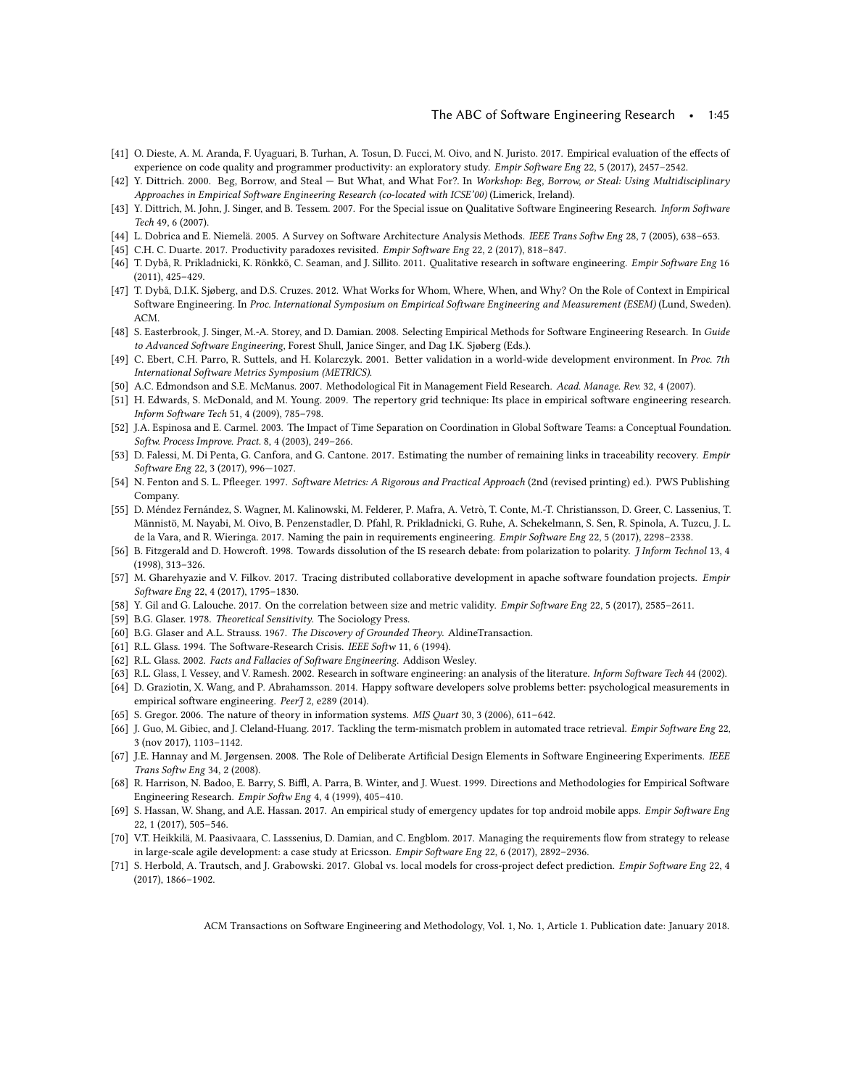- <span id="page-44-28"></span>[41] O. Dieste, A. M. Aranda, F. Uyaguari, B. Turhan, A. Tosun, D. Fucci, M. Oivo, and N. Juristo. 2017. Empirical evaluation of the effects of experience on code quality and programmer productivity: an exploratory study. Empir Software Eng 22, 5 (2017), 2457–2542.
- <span id="page-44-7"></span>[42] Y. Dittrich. 2000. Beg, Borrow, and Steal — But What, and What For?. In Workshop: Beg, Borrow, or Steal: Using Multidisciplinary Approaches in Empirical Software Engineering Research (co-located with ICSE'00) (Limerick, Ireland).
- <span id="page-44-8"></span>[43] Y. Dittrich, M. John, J. Singer, and B. Tessem. 2007. For the Special issue on Qualitative Software Engineering Research. Inform Software Tech 49, 6 (2007).
- <span id="page-44-13"></span>[44] L. Dobrica and E. Niemelä. 2005. A Survey on Software Architecture Analysis Methods. IEEE Trans Softw Eng 28, 7 (2005), 638–653.
- <span id="page-44-22"></span>[45] C.H. C. Duarte. 2017. Productivity paradoxes revisited. Empir Software Eng 22, 2 (2017), 818–847.
- <span id="page-44-9"></span>[46] T. Dybå, R. Prikladnicki, K. Rönkkö, C. Seaman, and J. Sillito. 2011. Qualitative research in software engineering. Empir Software Eng 16 (2011), 425–429.
- <span id="page-44-5"></span>[47] T. Dybå, D.I.K. Sjøberg, and D.S. Cruzes. 2012. What Works for Whom, Where, When, and Why? On the Role of Context in Empirical Software Engineering. In Proc. International Symposium on Empirical Software Engineering and Measurement (ESEM) (Lund, Sweden). ACM.
- <span id="page-44-0"></span>[48] S. Easterbrook, J. Singer, M.-A. Storey, and D. Damian. 2008. Selecting Empirical Methods for Software Engineering Research. In Guide to Advanced Software Engineering, Forest Shull, Janice Singer, and Dag I.K. Sjøberg (Eds.).
- <span id="page-44-19"></span>[49] C. Ebert, C.H. Parro, R. Suttels, and H. Kolarczyk. 2001. Better validation in a world-wide development environment. In Proc. 7th International Software Metrics Symposium (METRICS).
- <span id="page-44-12"></span>[50] A.C. Edmondson and S.E. McManus. 2007. Methodological Fit in Management Field Research. Acad. Manage. Rev. 32, 4 (2007).
- <span id="page-44-15"></span>[51] H. Edwards, S. McDonald, and M. Young. 2009. The repertory grid technique: Its place in empirical software engineering research. Inform Software Tech 51, 4 (2009), 785–798.
- <span id="page-44-20"></span>[52] J.A. Espinosa and E. Carmel. 2003. The Impact of Time Separation on Coordination in Global Software Teams: a Conceptual Foundation. Softw. Process Improve. Pract. 8, 4 (2003), 249–266.
- <span id="page-44-23"></span>[53] D. Falessi, M. Di Penta, G. Canfora, and G. Cantone. 2017. Estimating the number of remaining links in traceability recovery. Empir Software Eng 22, 3 (2017), 996—1027.
- <span id="page-44-16"></span>[54] N. Fenton and S. L. Pfleeger. 1997. Software Metrics: A Rigorous and Practical Approach (2nd (revised printing) ed.). PWS Publishing Company.
- <span id="page-44-27"></span>[55] D. Méndez Fernández, S. Wagner, M. Kalinowski, M. Felderer, P. Mafra, A. Vetrò, T. Conte, M.-T. Christiansson, D. Greer, C. Lassenius, T. Männistö, M. Nayabi, M. Oivo, B. Penzenstadler, D. Pfahl, R. Prikladnicki, G. Ruhe, A. Schekelmann, S. Sen, R. Spinola, A. Tuzcu, J. L. de la Vara, and R. Wieringa. 2017. Naming the pain in requirements engineering. Empir Software Eng 22, 5 (2017), 2298–2338.
- <span id="page-44-10"></span>[56] B. Fitzgerald and D. Howcroft. 1998. Towards dissolution of the IS research debate: from polarization to polarity. *J Inform Technol* 13, 4 (1998), 313–326.
- <span id="page-44-25"></span>[57] M. Gharehyazie and V. Filkov. 2017. Tracing distributed collaborative development in apache software foundation projects. Empir Software Eng 22, 4 (2017), 1795–1830.
- <span id="page-44-29"></span>[58] Y. Gil and G. Lalouche. 2017. On the correlation between size and metric validity. Empir Software Eng 22, 5 (2017), 2585–2611.
- <span id="page-44-14"></span>[59] B.G. Glaser. 1978. Theoretical Sensitivity. The Sociology Press.
- <span id="page-44-3"></span>[60] B.G. Glaser and A.L. Strauss. 1967. The Discovery of Grounded Theory. AldineTransaction.
- <span id="page-44-6"></span>[61] R.L. Glass. 1994. The Software-Research Crisis. IEEE Softw 11, 6 (1994).
- <span id="page-44-11"></span>[62] R.L. Glass. 2002. Facts and Fallacies of Software Engineering. Addison Wesley.
- <span id="page-44-1"></span>[63] R.L. Glass, I. Vessey, and V. Ramesh. 2002. Research in software engineering: an analysis of the literature. Inform Software Tech 44 (2002).
- <span id="page-44-4"></span>[64] D. Graziotin, X. Wang, and P. Abrahamsson. 2014. Happy software developers solve problems better: psychological measurements in empirical software engineering. Peer [ 2, e289 (2014).
- <span id="page-44-18"></span>[65] S. Gregor. 2006. The nature of theory in information systems. MIS Quart 30, 3 (2006), 611–642.
- <span id="page-44-24"></span>[66] J. Guo, M. Gibiec, and J. Cleland-Huang. 2017. Tackling the term-mismatch problem in automated trace retrieval. Empir Software Eng 22, 3 (nov 2017), 1103–1142.
- <span id="page-44-17"></span>[67] J.E. Hannay and M. Jørgensen. 2008. The Role of Deliberate Artificial Design Elements in Software Engineering Experiments. IEEE Trans Softw Eng 34, 2 (2008).
- <span id="page-44-2"></span>[68] R. Harrison, N. Badoo, E. Barry, S. Biffl, A. Parra, B. Winter, and J. Wuest. 1999. Directions and Methodologies for Empirical Software Engineering Research. Empir Softw Eng 4, 4 (1999), 405–410.
- <span id="page-44-21"></span>[69] S. Hassan, W. Shang, and A.E. Hassan. 2017. An empirical study of emergency updates for top android mobile apps. Empir Software Eng 22, 1 (2017), 505–546.
- <span id="page-44-30"></span>[70] V.T. Heikkilä, M. Paasivaara, C. Lasssenius, D. Damian, and C. Engblom. 2017. Managing the requirements flow from strategy to release in large-scale agile development: a case study at Ericsson. Empir Software Eng 22, 6 (2017), 2892–2936.
- <span id="page-44-26"></span>[71] S. Herbold, A. Trautsch, and J. Grabowski. 2017. Global vs. local models for cross-project defect prediction. Empir Software Eng 22, 4 (2017), 1866–1902.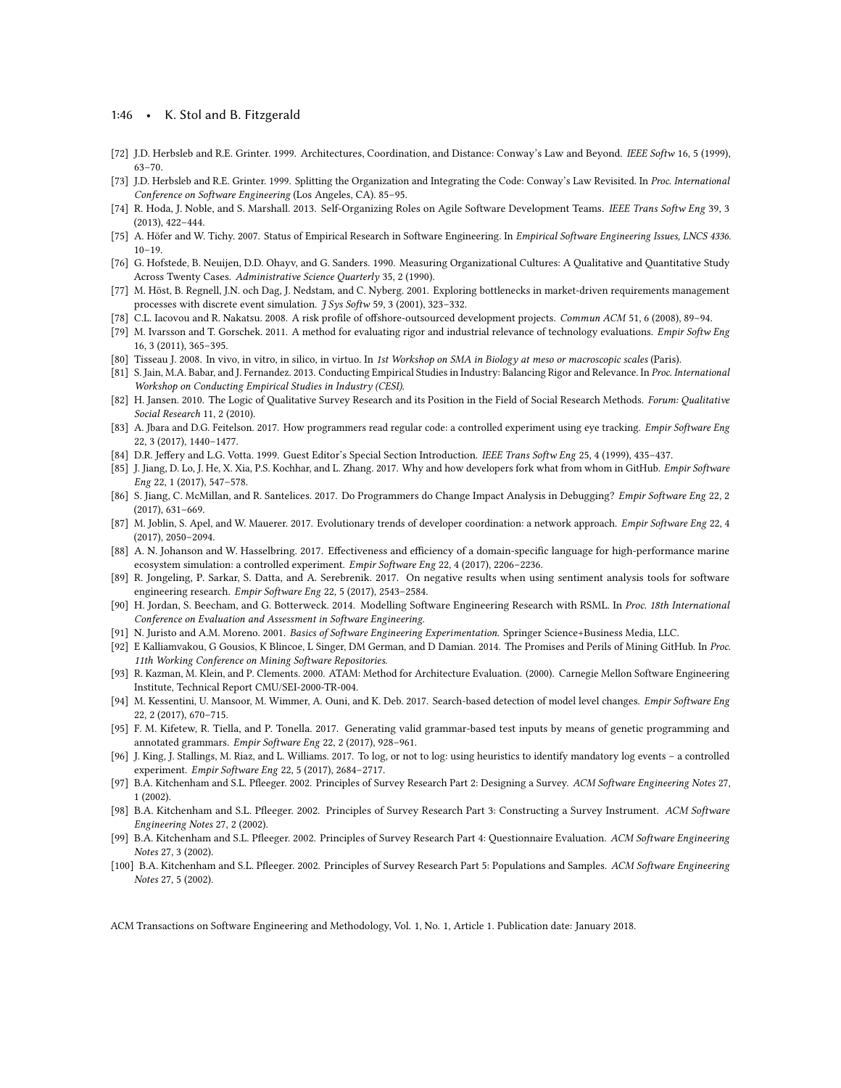#### 1:46 • K. Stol and B. Fitzgerald

- <span id="page-45-13"></span>[72] J.D. Herbsleb and R.E. Grinter. 1999. Architectures, Coordination, and Distance: Conway's Law and Beyond. IEEE Softw 16, 5 (1999), 63–70.
- <span id="page-45-4"></span>[73] J.D. Herbsleb and R.E. Grinter. 1999. Splitting the Organization and Integrating the Code: Conway's Law Revisited. In Proc. International Conference on Software Engineering (Los Angeles, CA). 85–95.
- <span id="page-45-5"></span>[74] R. Hoda, J. Noble, and S. Marshall. 2013. Self-Organizing Roles on Agile Software Development Teams. IEEE Trans Softw Eng 39, 3 (2013), 422–444.
- <span id="page-45-1"></span>[75] A. Höfer and W. Tichy. 2007. Status of Empirical Research in Software Engineering. In Empirical Software Engineering Issues, LNCS 4336. 10–19.
- <span id="page-45-12"></span>[76] G. Hofstede, B. Neuijen, D.D. Ohayv, and G. Sanders. 1990. Measuring Organizational Cultures: A Qualitative and Quantitative Study Across Twenty Cases. Administrative Science Quarterly 35, 2 (1990).
- <span id="page-45-9"></span>[77] M. Höst, B. Regnell, J.N. och Dag, J. Nedstam, and C. Nyberg. 2001. Exploring bottlenecks in market-driven requirements management processes with discrete event simulation. *J Sys Softw* 59, 3 (2001), 323-332.
- <span id="page-45-10"></span>[78] C.L. Iacovou and R. Nakatsu. 2008. A risk profile of offshore-outsourced development projects. Commun ACM 51, 6 (2008), 89–94.
- <span id="page-45-8"></span>[79] M. Ivarsson and T. Gorschek. 2011. A method for evaluating rigor and industrial relevance of technology evaluations. Empir Softw Eng 16, 3 (2011), 365–395.
- <span id="page-45-11"></span>[80] Tisseau J. 2008. In vivo, in vitro, in silico, in virtuo. In 1st Workshop on SMA in Biology at meso or macroscopic scales (Paris).
- <span id="page-45-2"></span>[81] S. Jain, M.A. Babar, and J. Fernandez. 2013. Conducting Empirical Studies in Industry: Balancing Rigor and Relevance. In Proc. International Workshop on Conducting Empirical Studies in Industry (CESI).
- <span id="page-45-16"></span>[82] H. Jansen. 2010. The Logic of Qualitative Survey Research and its Position in the Field of Social Research Methods. Forum: Qualitative Social Research 11, 2 (2010).
- <span id="page-45-21"></span>[83] A. Jbara and D.G. Feitelson. 2017. How programmers read regular code: a controlled experiment using eye tracking. Empir Software Eng 22, 3 (2017), 1440–1477.
- <span id="page-45-0"></span>[84] D.R. Jeffery and L.G. Votta. 1999. Guest Editor's Special Section Introduction. IEEE Trans Softw Eng 25, 4 (1999), 435–437.
- <span id="page-45-17"></span>[85] J. Jiang, D. Lo, J. He, X. Xia, P.S. Kochhar, and L. Zhang. 2017. Why and how developers fork what from whom in GitHub. Empir Software Eng 22, 1 (2017), 547–578.
- <span id="page-45-18"></span>[86] S. Jiang, C. McMillan, and R. Santelices. 2017. Do Programmers do Change Impact Analysis in Debugging? Empir Software Eng 22, 2 (2017), 631–669.
- <span id="page-45-22"></span>[87] M. Joblin, S. Apel, and W. Mauerer. 2017. Evolutionary trends of developer coordination: a network approach. Empir Software Eng 22, 4 (2017), 2050–2094.
- <span id="page-45-23"></span>[88] A. N. Johanson and W. Hasselbring. 2017. Effectiveness and efficiency of a domain-specific language for high-performance marine ecosystem simulation: a controlled experiment. Empir Software Eng 22, 4 (2017), 2206–2236.
- <span id="page-45-24"></span>[89] R. Jongeling, P. Sarkar, S. Datta, and A. Serebrenik. 2017. On negative results when using sentiment analysis tools for software engineering research. Empir Software Eng 22, 5 (2017), 2543–2584.
- <span id="page-45-3"></span>[90] H. Jordan, S. Beecham, and G. Botterweck. 2014. Modelling Software Engineering Research with RSML. In Proc. 18th International Conference on Evaluation and Assessment in Software Engineering.
- <span id="page-45-6"></span>[91] N. Juristo and A.M. Moreno. 2001. Basics of Software Engineering Experimentation. Springer Science+Business Media, LLC.
- <span id="page-45-15"></span>[92] E Kalliamvakou, G Gousios, K Blincoe, L Singer, DM German, and D Damian. 2014. The Promises and Perils of Mining GitHub. In Proc. 11th Working Conference on Mining Software Repositories.
- <span id="page-45-14"></span>[93] R. Kazman, M. Klein, and P. Clements. 2000. ATAM: Method for Architecture Evaluation. (2000). Carnegie Mellon Software Engineering Institute, Technical Report CMU/SEI-2000-TR-004.
- <span id="page-45-19"></span>[94] M. Kessentini, U. Mansoor, M. Wimmer, A. Ouni, and K. Deb. 2017. Search-based detection of model level changes. Empir Software Eng 22, 2 (2017), 670–715.
- <span id="page-45-20"></span>[95] F. M. Kifetew, R. Tiella, and P. Tonella. 2017. Generating valid grammar-based test inputs by means of genetic programming and annotated grammars. Empir Software Eng 22, 2 (2017), 928–961.
- <span id="page-45-25"></span>[96] J. King, J. Stallings, M. Riaz, and L. Williams. 2017. To log, or not to log: using heuristics to identify mandatory log events – a controlled experiment. Empir Software Eng 22, 5 (2017), 2684–2717.
- <span id="page-45-7"></span>[97] B.A. Kitchenham and S.L. Pfleeger. 2002. Principles of Survey Research Part 2: Designing a Survey. ACM Software Engineering Notes 27, 1 (2002).
- [98] B.A. Kitchenham and S.L. Pfleeger. 2002. Principles of Survey Research Part 3: Constructing a Survey Instrument. ACM Software Engineering Notes 27, 2 (2002).
- [99] B.A. Kitchenham and S.L. Pfleeger. 2002. Principles of Survey Research Part 4: Questionnaire Evaluation. ACM Software Engineering Notes 27, 3 (2002).
- [100] B.A. Kitchenham and S.L. Pfleeger. 2002. Principles of Survey Research Part 5: Populations and Samples. ACM Software Engineering Notes 27, 5 (2002).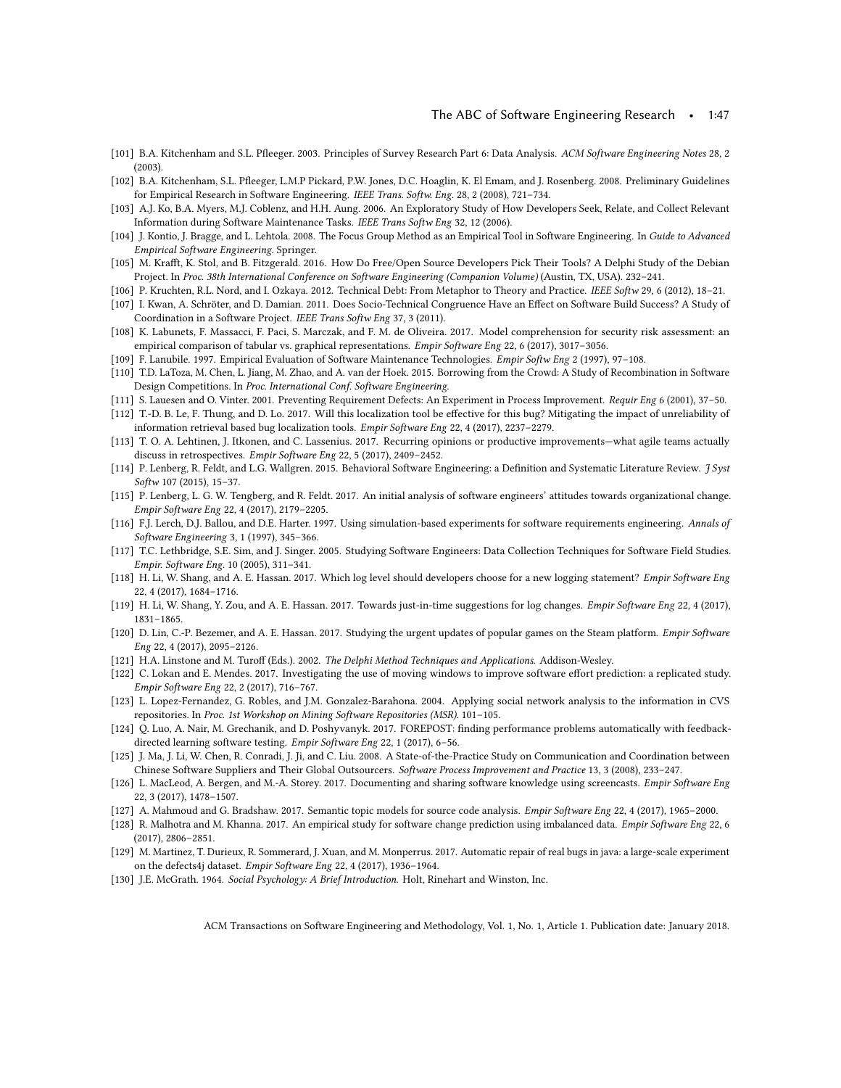- <span id="page-46-10"></span>[101] B.A. Kitchenham and S.L. Pfleeger. 2003. Principles of Survey Research Part 6: Data Analysis. ACM Software Engineering Notes 28, 2 (2003).
- <span id="page-46-0"></span>[102] B.A. Kitchenham, S.L. Pfleeger, L.M.P Pickard, P.W. Jones, D.C. Hoaglin, K. El Emam, and J. Rosenberg. 2008. Preliminary Guidelines for Empirical Research in Software Engineering. IEEE Trans. Softw. Eng. 28, 2 (2008), 721–734.
- <span id="page-46-2"></span>[103] A.J. Ko, B.A. Myers, M.J. Coblenz, and H.H. Aung. 2006. An Exploratory Study of How Developers Seek, Relate, and Collect Relevant Information during Software Maintenance Tasks. IEEE Trans Softw Eng 32, 12 (2006).
- <span id="page-46-13"></span>[104] J. Kontio, J. Bragge, and L. Lehtola. 2008. The Focus Group Method as an Empirical Tool in Software Engineering. In Guide to Advanced Empirical Software Engineering. Springer.
- <span id="page-46-1"></span>[105] M. Krafft, K. Stol, and B. Fitzgerald. 2016. How Do Free/Open Source Developers Pick Their Tools? A Delphi Study of the Debian Project. In Proc. 38th International Conference on Software Engineering (Companion Volume) (Austin, TX, USA). 232–241.
- <span id="page-46-17"></span>[106] P. Kruchten, R.L. Nord, and I. Ozkaya. 2012. Technical Debt: From Metaphor to Theory and Practice. IEEE Softw 29, 6 (2012), 18–21.
- <span id="page-46-3"></span>[107] I. Kwan, A. Schröter, and D. Damian. 2011. Does Socio-Technical Congruence Have an Effect on Software Build Success? A Study of Coordination in a Software Project. IEEE Trans Softw Eng 37, 3 (2011).
- <span id="page-46-29"></span>[108] K. Labunets, F. Massacci, F. Paci, S. Marczak, and F. M. de Oliveira. 2017. Model comprehension for security risk assessment: an empirical comparison of tabular vs. graphical representations. Empir Software Eng 22, 6 (2017), 3017-3056.
- <span id="page-46-7"></span>[109] F. Lanubile. 1997. Empirical Evaluation of Software Maintenance Technologies. Empir Softw Eng 2 (1997), 97–108.
- <span id="page-46-11"></span>[110] T.D. LaToza, M. Chen, L. Jiang, M. Zhao, and A. van der Hoek. 2015. Borrowing from the Crowd: A Study of Recombination in Software Design Competitions. In Proc. International Conf. Software Engineering.
- <span id="page-46-15"></span>[111] S. Lauesen and O. Vinter. 2001. Preventing Requirement Defects: An Experiment in Process Improvement. Requir Eng 6 (2001), 37–50.
- <span id="page-46-26"></span>[112] T.-D. B. Le, F. Thung, and D. Lo. 2017. Will this localization tool be effective for this bug? Mitigating the impact of unreliability of information retrieval based bug localization tools. Empir Software Eng 22, 4 (2017), 2237–2279.
- <span id="page-46-27"></span>[113] T. O. A. Lehtinen, J. Itkonen, and C. Lassenius. 2017. Recurring opinions or productive improvements—what agile teams actually discuss in retrospectives. Empir Software Eng 22, 5 (2017), 2409–2452.
- <span id="page-46-6"></span>[114] P. Lenberg, R. Feldt, and L.G. Wallgren. 2015. Behavioral Software Engineering: a Definition and Systematic Literature Review. *J Syst* Softw 107 (2015), 15–37.
- <span id="page-46-25"></span>[115] P. Lenberg, L. G. W. Tengberg, and R. Feldt. 2017. An initial analysis of software engineers' attitudes towards organizational change. Empir Software Eng 22, 4 (2017), 2179–2205.
- <span id="page-46-16"></span>[116] F.J. Lerch, D.J. Ballou, and D.E. Harter. 1997. Using simulation-based experiments for software requirements engineering. Annals of Software Engineering 3, 1 (1997), 345–366.
- <span id="page-46-9"></span>[117] T.C. Lethbridge, S.E. Sim, and J. Singer. 2005. Studying Software Engineers: Data Collection Techniques for Software Field Studies. Empir. Software Eng. 10 (2005), 311–341.
- <span id="page-46-21"></span>[118] H. Li, W. Shang, and A. E. Hassan. 2017. Which log level should developers choose for a new logging statement? Empir Software Eng 22, 4 (2017), 1684–1716.
- <span id="page-46-18"></span>[119] H. Li, W. Shang, Y. Zou, and A. E. Hassan. 2017. Towards just-in-time suggestions for log changes. Empir Software Eng 22, 4 (2017), 1831–1865.
- <span id="page-46-24"></span>[120] D. Lin, C.-P. Bezemer, and A. E. Hassan. 2017. Studying the urgent updates of popular games on the Steam platform. Empir Software Eng 22, 4 (2017), 2095–2126.
- <span id="page-46-12"></span>[121] H.A. Linstone and M. Turoff (Eds.). 2002. The Delphi Method Techniques and Applications. Addison-Wesley.
- <span id="page-46-19"></span>[122] C. Lokan and E. Mendes. 2017. Investigating the use of moving windows to improve software effort prediction: a replicated study. Empir Software Eng 22, 2 (2017), 716–767.
- <span id="page-46-8"></span>[123] L. Lopez-Fernandez, G. Robles, and J.M. Gonzalez-Barahona. 2004. Applying social network analysis to the information in CVS repositories. In Proc. 1st Workshop on Mining Software Repositories (MSR). 101–105.
- <span id="page-46-5"></span>[124] Q. Luo, A. Nair, M. Grechanik, and D. Poshyvanyk. 2017. FOREPOST: finding performance problems automatically with feedbackdirected learning software testing. Empir Software Eng 22, 1 (2017), 6–56.
- <span id="page-46-14"></span>[125] J. Ma, J. Li, W. Chen, R. Conradi, J. Ji, and C. Liu. 2008. A State-of-the-Practice Study on Communication and Coordination between Chinese Software Suppliers and Their Global Outsourcers. Software Process Improvement and Practice 13, 3 (2008), 233–247.
- <span id="page-46-20"></span>[126] L. MacLeod, A. Bergen, and M.-A. Storey. 2017. Documenting and sharing software knowledge using screencasts. Empir Software Eng 22, 3 (2017), 1478–1507.
- <span id="page-46-23"></span>[127] A. Mahmoud and G. Bradshaw. 2017. Semantic topic models for source code analysis. Empir Software Eng 22, 4 (2017), 1965–2000.
- <span id="page-46-28"></span>[128] R. Malhotra and M. Khanna. 2017. An empirical study for software change prediction using imbalanced data. Empir Software Eng 22, 6 (2017), 2806–2851.
- <span id="page-46-22"></span>[129] M. Martinez, T. Durieux, R. Sommerard, J. Xuan, and M. Monperrus. 2017. Automatic repair of real bugs in java: a large-scale experiment on the defects4j dataset. Empir Software Eng 22, 4 (2017), 1936–1964.
- <span id="page-46-4"></span>[130] J.E. McGrath. 1964. Social Psychology: A Brief Introduction. Holt, Rinehart and Winston, Inc.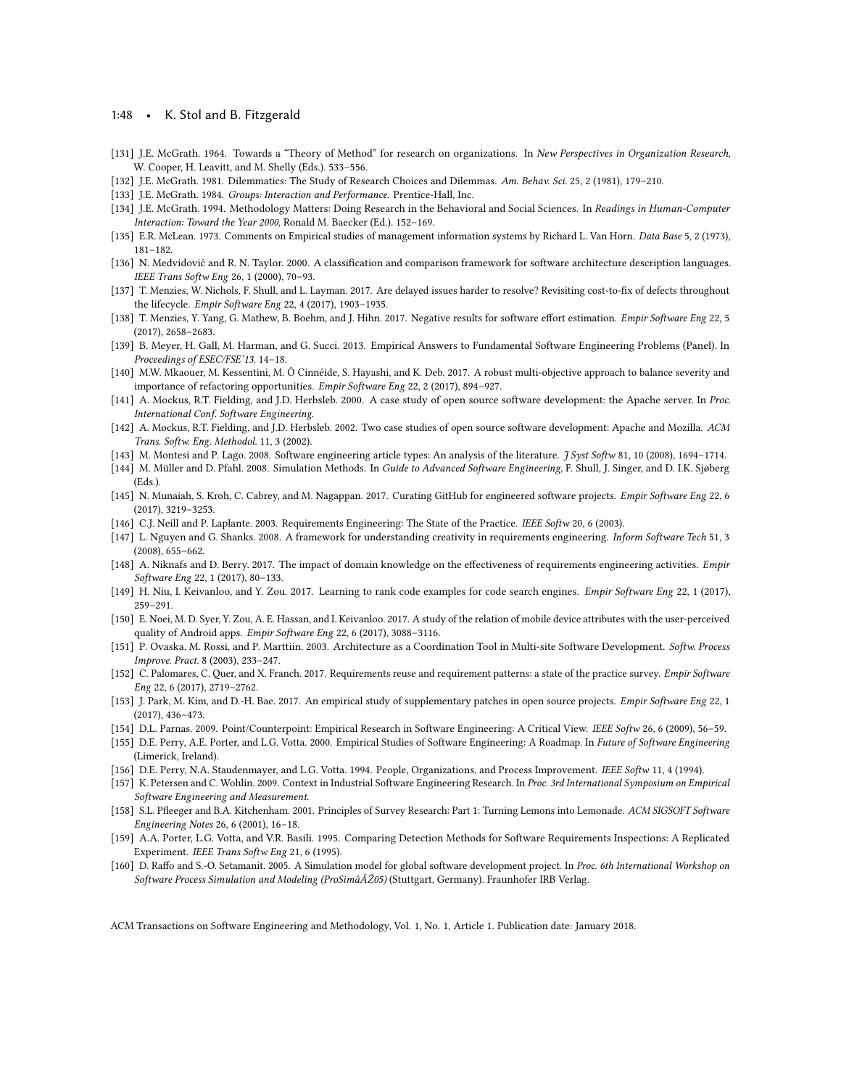#### 1:48 • K. Stol and B. Fitzgerald

- <span id="page-47-11"></span>[131] J.E. McGrath. 1964. Towards a "Theory of Method" for research on organizations. In New Perspectives in Organization Research, W. Cooper, H. Leavitt, and M. Shelly (Eds.). 533–556.
- <span id="page-47-2"></span>[132] J.E. McGrath. 1981. Dilemmatics: The Study of Research Choices and Dilemmas. Am. Behav. Sci. 25, 2 (1981), 179–210.
- <span id="page-47-12"></span>[133] J.E. McGrath. 1984. Groups: Interaction and Performance. Prentice-Hall, Inc.
- <span id="page-47-5"></span>[134] J.E. McGrath. 1994. Methodology Matters: Doing Research in the Behavioral and Social Sciences. In Readings in Human-Computer Interaction: Toward the Year 2000, Ronald M. Baecker (Ed.). 152–169.
- <span id="page-47-0"></span>[135] E.R. McLean. 1973. Comments on Empirical studies of management information systems by Richard L. Van Horn. Data Base 5, 2 (1973), 181–182.
- <span id="page-47-14"></span>[136] N. Medvidović and R. N. Taylor. 2000. A classification and comparison framework for software architecture description languages. IEEE Trans Softw Eng 26, 1 (2000), 70–93.
- <span id="page-47-26"></span>[137] T. Menzies, W. Nichols, F. Shull, and L. Layman. 2017. Are delayed issues harder to resolve? Revisiting cost-to-fix of defects throughout the lifecycle. Empir Software Eng 22, 4 (2017), 1903–1935.
- <span id="page-47-27"></span>[138] T. Menzies, Y. Yang, G. Mathew, B. Boehm, and J. Hihn. 2017. Negative results for software effort estimation. Empir Software Eng 22, 5 (2017), 2658–2683.
- <span id="page-47-6"></span>[139] B. Meyer, H. Gall, M. Harman, and G. Succi. 2013. Empirical Answers to Fundamental Software Engineering Problems (Panel). In Proceedings of ESEC/FSE'13. 14–18.
- <span id="page-47-24"></span>[140] M.W. Mkaouer, M. Kessentini, M. Ó Cinnéide, S. Hayashi, and K. Deb. 2017. A robust multi-objective approach to balance severity and importance of refactoring opportunities. Empir Software Eng 22, 2 (2017), 894–927.
- <span id="page-47-13"></span>[141] A. Mockus, R.T. Fielding, and J.D. Herbsleb. 2000. A case study of open source software development: the Apache server. In Proc. International Conf. Software Engineering.
- <span id="page-47-9"></span>[142] A. Mockus, R.T. Fielding, and J.D. Herbsleb. 2002. Two case studies of open source software development: Apache and Mozilla. ACM Trans. Softw. Eng. Methodol. 11, 3 (2002).
- <span id="page-47-8"></span>[143] M. Montesi and P. Lago. 2008. Software engineering article types: An analysis of the literature. J Syst Softw 81, 10 (2008), 1694–1714.
- <span id="page-47-15"></span>[144] M. Müller and D. Pfahl. 2008. Simulation Methods. In Guide to Advanced Software Engineering, F. Shull, J. Singer, and D. I.K. Sjøberg (Eds.).
- <span id="page-47-25"></span>[145] N. Munaiah, S. Kroh, C. Cabrey, and M. Nagappan. 2017. Curating GitHub for engineered software projects. Empir Software Eng 22, 6 (2017), 3219–3253.
- <span id="page-47-19"></span>[146] C.J. Neill and P. Laplante. 2003. Requirements Engineering: The State of the Practice. IEEE Softw 20, 6 (2003).
- <span id="page-47-20"></span>[147] L. Nguyen and G. Shanks. 2008. A framework for understanding creativity in requirements engineering. Inform Software Tech 51, 3 (2008), 655–662.
- <span id="page-47-21"></span>[148] A. Niknafs and D. Berry. 2017. The impact of domain knowledge on the effectiveness of requirements engineering activities. Empir Software Eng 22, 1 (2017), 80–133.
- <span id="page-47-22"></span>[149] H. Niu, I. Keivanloo, and Y. Zou. 2017. Learning to rank code examples for code search engines. Empir Software Eng 22, 1 (2017), 259–291.
- <span id="page-47-29"></span>[150] E. Noei, M. D. Syer, Y. Zou, A. E. Hassan, and I. Keivanloo. 2017. A study of the relation of mobile device attributes with the user-perceived quality of Android apps. Empir Software Eng 22, 6 (2017), 3088–3116.
- <span id="page-47-16"></span>[151] P. Ovaska, M. Rossi, and P. Marttiin. 2003. Architecture as a Coordination Tool in Multi-site Software Development. Softw. Process Improve. Pract. 8 (2003), 233–247.
- <span id="page-47-28"></span>[152] C. Palomares, C. Quer, and X. Franch. 2017. Requirements reuse and requirement patterns: a state of the practice survey. Empir Software Eng 22, 6 (2017), 2719–2762.
- <span id="page-47-23"></span>[153] J. Park, M. Kim, and D.-H. Bae. 2017. An empirical study of supplementary patches in open source projects. Empir Software Eng 22, 1 (2017), 436–473.
- <span id="page-47-7"></span>[154] D.L. Parnas. 2009. Point/Counterpoint: Empirical Research in Software Engineering: A Critical View. IEEE Softw 26, 6 (2009), 56–59.
- <span id="page-47-1"></span>[155] D.E. Perry, A.E. Porter, and L.G. Votta. 2000. Empirical Studies of Software Engineering: A Roadmap. In Future of Software Engineering (Limerick, Ireland).
- <span id="page-47-3"></span>[156] D.E. Perry, N.A. Staudenmayer, and L.G. Votta. 1994. People, Organizations, and Process Improvement. IEEE Softw 11, 4 (1994).
- <span id="page-47-4"></span>[157] K. Petersen and C. Wohlin. 2009. Context in Industrial Software Engineering Research. In Proc. 3rd International Symposium on Empirical Software Engineering and Measurement.
- <span id="page-47-10"></span>[158] S.L. Pfleeger and B.A. Kitchenham. 2001. Principles of Survey Research: Part 1: Turning Lemons into Lemonade. ACM SIGSOFT Software Engineering Notes 26, 6 (2001), 16–18.
- <span id="page-47-18"></span>[159] A.A. Porter, L.G. Votta, and V.R. Basili. 1995. Comparing Detection Methods for Software Requirements Inspections: A Replicated Experiment. IEEE Trans Softw Eng 21, 6 (1995).
- <span id="page-47-17"></span>[160] D. Raffo and S.-O. Setamanit. 2005. A Simulation model for global software development project. In Proc. 6th International Workshop on Software Process Simulation and Modeling (ProSimâĂŹ05) (Stuttgart, Germany). Fraunhofer IRB Verlag.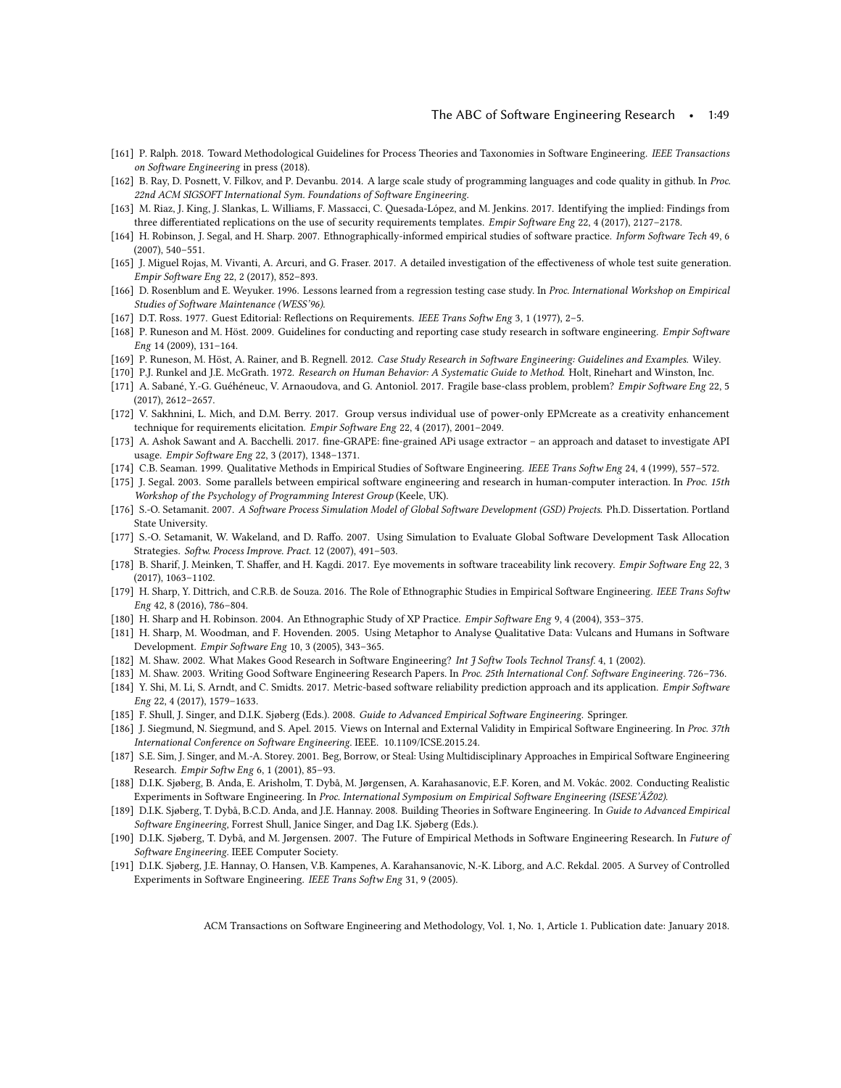- <span id="page-48-16"></span>[161] P. Ralph. 2018. Toward Methodological Guidelines for Process Theories and Taxonomies in Software Engineering. IEEE Transactions on Software Engineering in press (2018).
- <span id="page-48-19"></span>[162] B. Ray, D. Posnett, V. Filkov, and P. Devanbu. 2014. A large scale study of programming languages and code quality in github. In Proc. 22nd ACM SIGSOFT International Sym. Foundations of Software Engineering.
- <span id="page-48-29"></span>[163] M. Riaz, J. King, J. Slankas, L. Williams, F. Massacci, C. Quesada-López, and M. Jenkins. 2017. Identifying the implied: Findings from three differentiated replications on the use of security requirements templates. Empir Software Eng 22, 4 (2017), 2127–2178.
- <span id="page-48-18"></span>[164] H. Robinson, J. Segal, and H. Sharp. 2007. Ethnographically-informed empirical studies of software practice. Inform Software Tech 49, 6 (2007), 540–551.
- <span id="page-48-23"></span>[165] J. Miguel Rojas, M. Vivanti, A. Arcuri, and G. Fraser. 2017. A detailed investigation of the effectiveness of whole test suite generation. Empir Software Eng 22, 2 (2017), 852–893.
- <span id="page-48-10"></span>[166] D. Rosenblum and E. Weyuker. 1996. Lessons learned from a regression testing case study. In Proc. International Workshop on Empirical Studies of Software Maintenance (WESS'96).
- <span id="page-48-22"></span>[167] D.T. Ross. 1977. Guest Editorial: Reflections on Requirements. IEEE Trans Softw Eng 3, 1 (1977), 2–5.
- <span id="page-48-11"></span>[168] P. Runeson and M. Höst. 2009. Guidelines for conducting and reporting case study research in software engineering. Empir Software Eng 14 (2009), 131–164.
- <span id="page-48-12"></span>[169] P. Runeson, M. Höst, A. Rainer, and B. Regnell. 2012. Case Study Research in Software Engineering: Guidelines and Examples. Wiley.
- <span id="page-48-4"></span>[170] P.J. Runkel and J.E. McGrath. 1972. Research on Human Behavior: A Systematic Guide to Method. Holt, Rinehart and Winston, Inc.
- <span id="page-48-30"></span>[171] A. Sabané, Y.-G. Guéhéneuc, V. Arnaoudova, and G. Antoniol. 2017. Fragile base-class problem, problem? Empir Software Eng 22, 5 (2017), 2612–2657.
- <span id="page-48-28"></span>[172] V. Sakhnini, L. Mich, and D.M. Berry. 2017. Group versus individual use of power-only EPMcreate as a creativity enhancement technique for requirements elicitation. Empir Software Eng 22, 4 (2017), 2001–2049.
- <span id="page-48-26"></span>[173] A. Ashok Sawant and A. Bacchelli. 2017. fine-GRAPE: fine-grained APi usage extractor – an approach and dataset to investigate API usage. Empir Software Eng 22, 3 (2017), 1348–1371.
- <span id="page-48-8"></span>[174] C.B. Seaman. 1999. Qualitative Methods in Empirical Studies of Software Engineering. IEEE Trans Softw Eng 24, 4 (1999), 557–572.
- <span id="page-48-7"></span>[175] J. Segal. 2003. Some parallels between empirical software engineering and research in human-computer interaction. In Proc. 15th Workshop of the Psychology of Programming Interest Group (Keele, UK).
- <span id="page-48-21"></span>[176] S.-O. Setamanit. 2007. A Software Process Simulation Model of Global Software Development (GSD) Projects. Ph.D. Dissertation. Portland State University.
- <span id="page-48-20"></span>[177] S.-O. Setamanit, W. Wakeland, and D. Raffo. 2007. Using Simulation to Evaluate Global Software Development Task Allocation Strategies. Softw. Process Improve. Pract. 12 (2007), 491-503.
- <span id="page-48-25"></span>[178] B. Sharif, J. Meinken, T. Shaffer, and H. Kagdi. 2017. Eye movements in software traceability link recovery. Empir Software Eng 22, 3 (2017), 1063–1102.
- <span id="page-48-1"></span>[179] H. Sharp, Y. Dittrich, and C.R.B. de Souza. 2016. The Role of Ethnographic Studies in Empirical Software Engineering. IEEE Trans Softw Eng 42, 8 (2016), 786–804.
- <span id="page-48-6"></span>[180] H. Sharp and H. Robinson. 2004. An Ethnographic Study of XP Practice. Empir Software Eng 9, 4 (2004), 353–375.
- <span id="page-48-24"></span>[181] H. Sharp, M. Woodman, and F. Hovenden. 2005. Using Metaphor to Analyse Qualitative Data: Vulcans and Humans in Software Development. Empir Software Eng 10, 3 (2005), 343–365.
- <span id="page-48-14"></span>[182] M. Shaw. 2002. What Makes Good Research in Software Engineering? Int J Softw Tools Technol Transf. 4, 1 (2002).
- <span id="page-48-27"></span><span id="page-48-13"></span>[183] M. Shaw. 2003. Writing Good Software Engineering Research Papers. In Proc. 25th International Conf. Software Engineering. 726–736. [184] Y. Shi, M. Li, S. Arndt, and C. Smidts. 2017. Metric-based software reliability prediction approach and its application. Empir Software Eng 22, 4 (2017), 1579–1633.
- <span id="page-48-15"></span>[185] F. Shull, J. Singer, and D.I.K. Sjøberg (Eds.). 2008. Guide to Advanced Empirical Software Engineering. Springer.
- <span id="page-48-9"></span>[186] J. Siegmund, N. Siegmund, and S. Apel. 2015. Views on Internal and External Validity in Empirical Software Engineering. In Proc. 37th International Conference on Software Engineering. IEEE. [10.1109/ICSE.2015.24.](10.1109/ICSE.2015.24)
- <span id="page-48-3"></span>[187] S.E. Sim, J. Singer, and M.-A. Storey. 2001. Beg, Borrow, or Steal: Using Multidisciplinary Approaches in Empirical Software Engineering Research. Empir Softw Eng 6, 1 (2001), 85–93.
- <span id="page-48-5"></span>[188] D.I.K. Sjøberg, B. Anda, E. Arisholm, T. Dybå, M. Jørgensen, A. Karahasanovic, E.F. Koren, and M. Vokác. 2002. Conducting Realistic Experiments in Software Engineering. In Proc. International Symposium on Empirical Software Engineering (ISESE'ĂŹ02).
- <span id="page-48-17"></span>[189] D.I.K. Sjøberg, T. Dybå, B.C.D. Anda, and J.E. Hannay. 2008. Building Theories in Software Engineering. In Guide to Advanced Empirical Software Engineering, Forrest Shull, Janice Singer, and Dag I.K. Sjøberg (Eds.).
- <span id="page-48-0"></span>[190] D.I.K. Sjøberg, T. Dybå, and M. Jørgensen. 2007. The Future of Empirical Methods in Software Engineering Research. In Future of Software Engineering. IEEE Computer Society.
- <span id="page-48-2"></span>[191] D.I.K. Sjøberg, J.E. Hannay, O. Hansen, V.B. Kampenes, A. Karahansanovic, N.-K. Liborg, and A.C. Rekdal. 2005. A Survey of Controlled Experiments in Software Engineering. IEEE Trans Softw Eng 31, 9 (2005).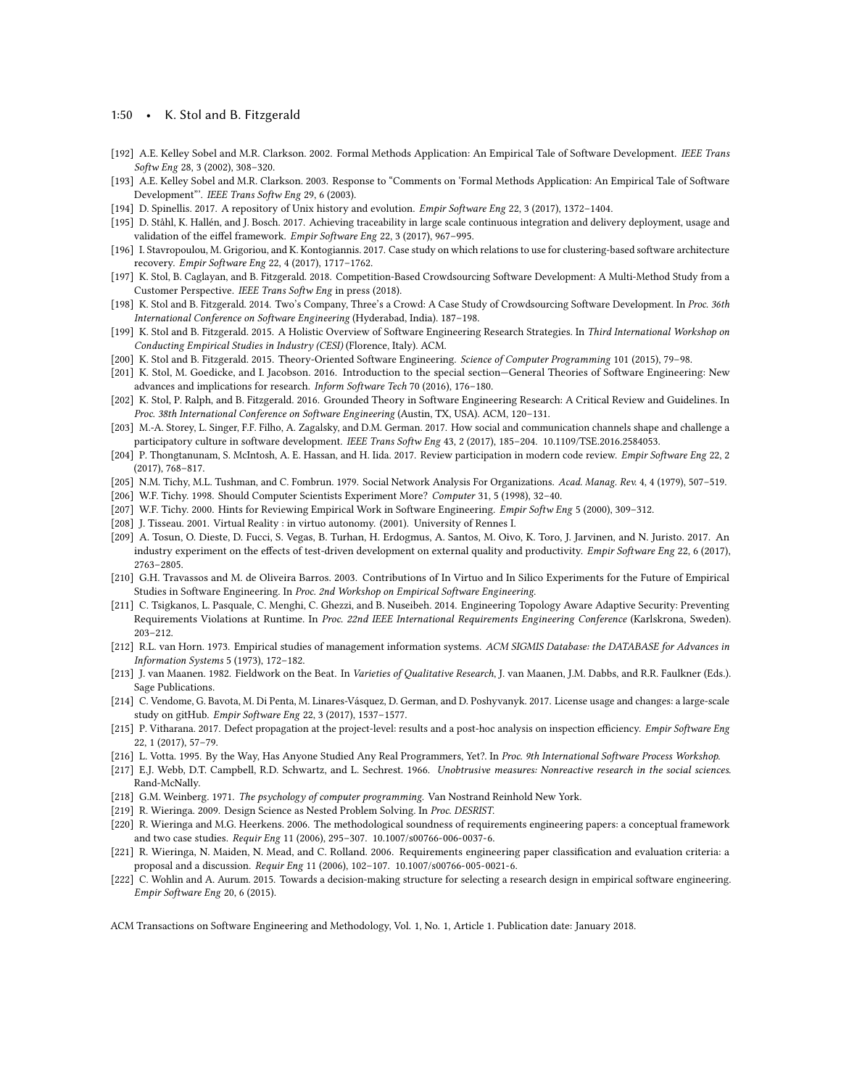#### 1:50 • K. Stol and B. Fitzgerald

- <span id="page-49-12"></span>[192] A.E. Kelley Sobel and M.R. Clarkson. 2002. Formal Methods Application: An Empirical Tale of Software Development. IEEE Trans Softw Eng 28, 3 (2002), 308–320.
- <span id="page-49-13"></span>[193] A.E. Kelley Sobel and M.R. Clarkson. 2003. Response to "Comments on 'Formal Methods Application: An Empirical Tale of Software Development"'. IEEE Trans Softw Eng 29, 6 (2003).
- <span id="page-49-25"></span>[194] D. Spinellis. 2017. A repository of Unix history and evolution. Empir Software Eng 22, 3 (2017), 1372–1404.
- <span id="page-49-27"></span>[195] D. Ståhl, K. Hallén, and J. Bosch. 2017. Achieving traceability in large scale continuous integration and delivery deployment, usage and validation of the eiffel framework. Empir Software Eng 22, 3 (2017), 967–995.
- <span id="page-49-29"></span>[196] I. Stavropoulou, M. Grigoriou, and K. Kontogiannis. 2017. Case study on which relations to use for clustering-based software architecture recovery. Empir Software Eng 22, 4 (2017), 1717–1762.
- <span id="page-49-19"></span>[197] K. Stol, B. Caglayan, and B. Fitzgerald. 2018. Competition-Based Crowdsourcing Software Development: A Multi-Method Study from a Customer Perspective. IEEE Trans Softw Eng in press (2018).
- <span id="page-49-20"></span>[198] K. Stol and B. Fitzgerald. 2014. Two's Company, Three's a Crowd: A Case Study of Crowdsourcing Software Development. In Proc. 36th International Conference on Software Engineering (Hyderabad, India). 187–198.
- <span id="page-49-4"></span>[199] K. Stol and B. Fitzgerald. 2015. A Holistic Overview of Software Engineering Research Strategies. In Third International Workshop on Conducting Empirical Studies in Industry (CESI) (Florence, Italy). ACM.
- <span id="page-49-16"></span>[200] K. Stol and B. Fitzgerald. 2015. Theory-Oriented Software Engineering. Science of Computer Programming 101 (2015), 79–98.
- <span id="page-49-5"></span>[201] K. Stol, M. Goedicke, and I. Jacobson. 2016. Introduction to the special section—General Theories of Software Engineering: New advances and implications for research. Inform Software Tech 70 (2016), 176–180.
- <span id="page-49-1"></span>[202] K. Stol, P. Ralph, and B. Fitzgerald. 2016. Grounded Theory in Software Engineering Research: A Critical Review and Guidelines. In Proc. 38th International Conference on Software Engineering (Austin, TX, USA). ACM, 120–131.
- <span id="page-49-23"></span>[203] M.-A. Storey, L. Singer, F.F. Filho, A. Zagalsky, and D.M. German. 2017. How social and communication channels shape and challenge a participatory culture in software development. IEEE Trans Softw Eng 43, 2 (2017), 185–204. [10.1109/TSE.2016.2584053.](10.1109/TSE.2016.2584053)
- <span id="page-49-26"></span>[204] P. Thongtanunam, S. McIntosh, A. E. Hassan, and H. Iida. 2017. Review participation in modern code review. Empir Software Eng 22, 2 (2017), 768–817.
- <span id="page-49-14"></span>[205] N.M. Tichy, M.L. Tushman, and C. Fombrun. 1979. Social Network Analysis For Organizations. Acad. Manag. Rev. 4, 4 (1979), 507–519.
- <span id="page-49-0"></span>[206] W.F. Tichy. 1998. Should Computer Scientists Experiment More? Computer 31, 5 (1998), 32–40.
- <span id="page-49-8"></span>[207] W.F. Tichy. 2000. Hints for Reviewing Empirical Work in Software Engineering. Empir Softw Eng 5 (2000), 309–312.
- <span id="page-49-22"></span>[208] J. Tisseau. 2001. Virtual Reality : in virtuo autonomy. (2001). University of Rennes I.
- <span id="page-49-30"></span>[209] A. Tosun, O. Dieste, D. Fucci, S. Vegas, B. Turhan, H. Erdogmus, A. Santos, M. Oivo, K. Toro, J. Jarvinen, and N. Juristo. 2017. An industry experiment on the effects of test-driven development on external quality and productivity. Empir Software Eng 22, 6 (2017), 2763–2805.
- <span id="page-49-21"></span>[210] G.H. Travassos and M. de Oliveira Barros. 2003. Contributions of In Virtuo and In Silico Experiments for the Future of Empirical Studies in Software Engineering. In Proc. 2nd Workshop on Empirical Software Engineering.
- <span id="page-49-10"></span>[211] C. Tsigkanos, L. Pasquale, C. Menghi, C. Ghezzi, and B. Nuseibeh. 2014. Engineering Topology Aware Adaptive Security: Preventing Requirements Violations at Runtime. In Proc. 22nd IEEE International Requirements Engineering Conference (Karlskrona, Sweden). 203–212.
- <span id="page-49-11"></span>[212] R.L. van Horn. 1973. Empirical studies of management information systems. ACM SIGMIS Database: the DATABASE for Advances in Information Systems 5 (1973), 172–182.
- <span id="page-49-17"></span>[213] J. van Maanen. 1982. Fieldwork on the Beat. In Varieties of Qualitative Research, J. van Maanen, J.M. Dabbs, and R.R. Faulkner (Eds.). Sage Publications.
- <span id="page-49-28"></span>[214] C. Vendome, G. Bavota, M. Di Penta, M. Linares-Vásquez, D. German, and D. Poshyvanyk. 2017. License usage and changes: a large-scale study on gitHub. Empir Software Eng 22, 3 (2017), 1537–1577.
- <span id="page-49-24"></span>[215] P. Vitharana. 2017. Defect propagation at the project-level: results and a post-hoc analysis on inspection efficiency. Empir Software Eng 22, 1 (2017), 57–79.
- <span id="page-49-2"></span>[216] L. Votta. 1995. By the Way, Has Anyone Studied Any Real Programmers, Yet?. In Proc. 9th International Software Process Workshop.
- <span id="page-49-18"></span>[217] E.J. Webb, D.T. Campbell, R.D. Schwartz, and L. Sechrest. 1966. Unobtrusive measures: Nonreactive research in the social sciences. Rand-McNally.
- <span id="page-49-3"></span>[218] G.M. Weinberg. 1971. The psychology of computer programming. Van Nostrand Reinhold New York.
- <span id="page-49-7"></span>[219] R. Wieringa. 2009. Design Science as Nested Problem Solving. In Proc. DESRIST.
- <span id="page-49-6"></span>[220] R. Wieringa and M.G. Heerkens. 2006. The methodological soundness of requirements engineering papers: a conceptual framework and two case studies. Requir Eng 11 (2006), 295–307. [10.1007/s00766-006-0037-6.](10.1007/s00766-006-0037-6)
- <span id="page-49-15"></span>[221] R. Wieringa, N. Maiden, N. Mead, and C. Rolland. 2006. Requirements engineering paper classification and evaluation criteria: a proposal and a discussion. Requir Eng 11 (2006), 102–107. [10.1007/s00766-005-0021-6.](10.1007/s00766-005-0021-6)
- <span id="page-49-9"></span>[222] C. Wohlin and A. Aurum. 2015. Towards a decision-making structure for selecting a research design in empirical software engineering. Empir Software Eng 20, 6 (2015).